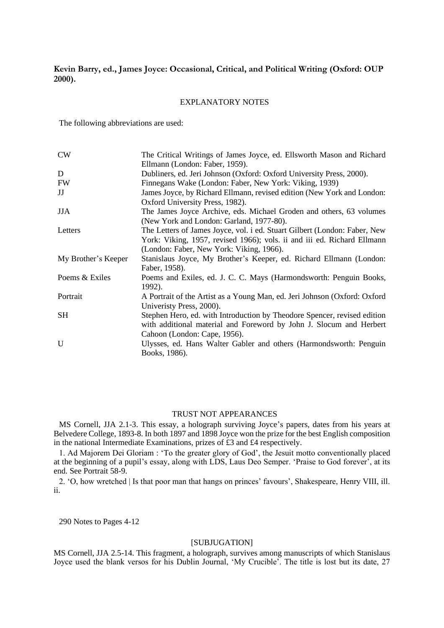# **Kevin Barry, ed., James Joyce: Occasional, Critical, and Political Writing (Oxford: OUP 2000).**

# EXPLANATORY NOTES

The following abbreviations are used:

| <b>CW</b>           | The Critical Writings of James Joyce, ed. Ellsworth Mason and Richard     |
|---------------------|---------------------------------------------------------------------------|
|                     | Ellmann (London: Faber, 1959).                                            |
| D                   | Dubliners, ed. Jeri Johnson (Oxford: Oxford University Press, 2000).      |
| <b>FW</b>           | Finnegans Wake (London: Faber, New York: Viking, 1939)                    |
| JJ                  | James Joyce, by Richard Ellmann, revised edition (New York and London:    |
|                     | Oxford University Press, 1982).                                           |
| <b>JJA</b>          | The James Joyce Archive, eds. Michael Groden and others, 63 volumes       |
|                     | (New York and London: Garland, 1977-80).                                  |
| Letters             | The Letters of James Joyce, vol. i ed. Stuart Gilbert (London: Faber, New |
|                     | York: Viking, 1957, revised 1966); vols. ii and iii ed. Richard Ellmann   |
|                     | (London: Faber, New York: Viking, 1966).                                  |
| My Brother's Keeper | Stanislaus Joyce, My Brother's Keeper, ed. Richard Ellmann (London:       |
|                     | Faber, 1958).                                                             |
| Poems & Exiles      | Poems and Exiles, ed. J. C. C. Mays (Harmondsworth: Penguin Books,        |
|                     | 1992).                                                                    |
| Portrait            | A Portrait of the Artist as a Young Man, ed. Jeri Johnson (Oxford: Oxford |
|                     | Univeristy Press, 2000).                                                  |
| SH                  | Stephen Hero, ed. with Introduction by Theodore Spencer, revised edition  |
|                     | with additional material and Foreword by John J. Slocum and Herbert       |
|                     | Cahoon (London: Cape, 1956).                                              |
| U                   | Ulysses, ed. Hans Walter Gabler and others (Harmondsworth: Penguin        |
|                     | Books, 1986).                                                             |

### TRUST NOT APPEARANCES

MS Cornell, JJA 2.1-3. This essay, a holograph surviving Joyce's papers, dates from his years at Belvedere College, 1893-8. In both 1897 and 1898 Joyce won the prize for the best English composition in the national Intermediate Examinations, prizes of £3 and £4 respectively.

1. Ad Majorem Dei Gloriam : 'To the greater glory of God', the Jesuit motto conventionally placed at the beginning of a pupil's essay, along with LDS, Laus Deo Semper. 'Praise to God forever', at its end. See Portrait 58-9.

2. 'O, how wretched | Is that poor man that hangs on princes' favours', Shakespeare, Henry VIII, ill. ii.

290 Notes to Pages 4-12

# [SUBJUGATION]

MS Cornell, JJA 2.5-14. This fragment, a holograph, survives among manuscripts of which Stanislaus Joyce used the blank versos for his Dublin Journal, 'My Crucible'. The title is lost but its date, 27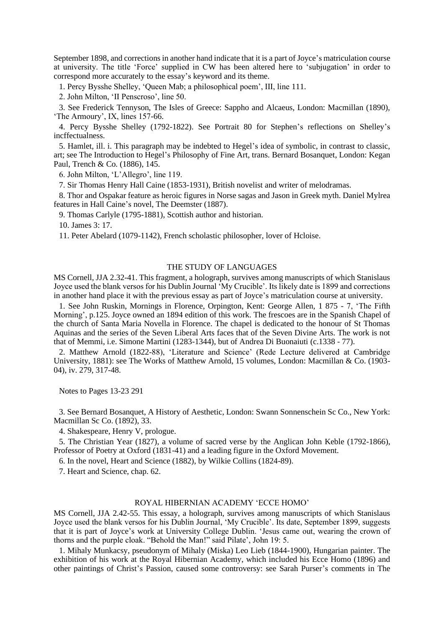September 1898, and corrections in another hand indicate that it is a part of Joyce's matriculation course at university. The title 'Force' supplied in CW has been altered here to 'subjugation' in order to correspond more accurately to the essay's keyword and its theme.

1. Percy Bysshe Shelley, 'Queen Mab; a philosophical poem', III, line 111.

2. John Milton, 'II Penscroso', line 50.

3. See Frederick Tennyson, The Isles of Greece: Sappho and Alcaeus, London: Macmillan (1890), 'The Armoury', IX, lines 157-66.

4. Percy Bysshe Shelley (1792-1822). See Portrait 80 for Stephen's reflections on Shelley's incffectualness.

5. Hamlet, ill. i. This paragraph may be indebted to Hegel's idea of symbolic, in contrast to classic, art; see The Introduction to Hegel's Philosophy of Fine Art, trans. Bernard Bosanquet, London: Kegan Paul, Trench & Co. (1886), 145.

6. John Milton, 'L'Allegro', line 119.

7. Sir Thomas Henry Hall Caine (1853-1931), British novelist and writer of melodramas.

8. Thor and Ospakar feature as heroic figures in Norse sagas and Jason in Greek myth. Daniel Mylrea features in Hall Caine's novel, The Deemster (1887).

9. Thomas Carlyle (1795-1881), Scottish author and historian.

10. James 3: 17.

11. Peter Abelard (1079-1142), French scholastic philosopher, lover of Hcloise.

# THE STUDY OF LANGUAGES

MS Cornell, JJA 2.32-41. This fragment, a holograph, survives among manuscripts of which Stanislaus Joyce used the blank versos for his Dublin Journal 'My Crucible'. Its likely date is 1899 and corrections in another hand place it with the previous essay as part of Joyce's matriculation course at university.

1. See John Ruskin, Mornings in Florence, Orpington, Kent: George Allen, 1 875 - 7, 'The Fifth Morning', p.125. Joyce owned an 1894 edition of this work. The frescoes are in the Spanish Chapel of the church of Santa Maria Novella in Florence. The chapel is dedicated to the honour of St Thomas Aquinas and the series of the Seven Liberal Arts faces that of the Seven Divine Arts. The work is not that of Memmi, i.e. Simone Martini (1283-1344), but of Andrea Di Buonaiuti (c.1338 - 77).

2. Matthew Arnold (1822-88), 'Literature and Science' (Rede Lecture delivered at Cambridge University, 1881): see The Works of Matthew Arnold, 15 volumes, London: Macmillan & Co. (1903- 04), iv. 279, 317-48.

Notes to Pages 13-23 291

3. See Bernard Bosanquet, A History of Aesthetic, London: Swann Sonnenschein Sc Co., New York: Macmillan Sc Co. (1892), 33.

4. Shakespeare, Henry V, prologue.

5. The Christian Year (1827), a volume of sacred verse by the Anglican John Keble (1792-1866), Professor of Poetry at Oxford (1831-41) and a leading figure in the Oxford Movement.

6. In the novel, Heart and Science (1882), by Wilkie Collins (1824-89).

7. Heart and Science, chap. 62.

# ROYAL HIBERNIAN ACADEMY 'ECCE HOMO'

MS Cornell, JJA 2.42-55. This essay, a holograph, survives among manuscripts of which Stanislaus Joyce used the blank versos for his Dublin Journal, 'My Crucible'. Its date, September 1899, suggests that it is part of Joyce's work at University College Dublin. 'Jesus came out, wearing the crown of thorns and the purple cloak. "Behold the Man!" said Pilate', John 19: 5.

1. Mihaly Munkacsy, pseudonym of Mihaly (Miska) Leo Lieb (1844-1900), Hungarian painter. The exhibition of his work at the Royal Hibernian Academy, which included his Ecce Homo (1896) and other paintings of Christ's Passion, caused some controversy: see Sarah Purser's comments in The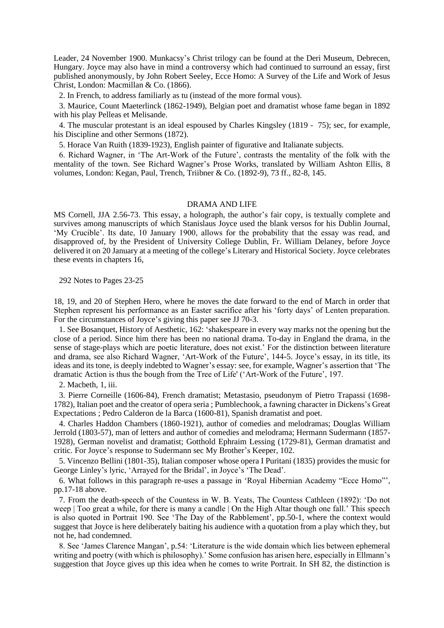Leader, 24 November 1900. Munkacsy's Christ trilogy can be found at the Deri Museum, Debrecen, Hungary. Joyce may also have in mind a controversy which had continued to surround an essay, first published anonymously, by John Robert Seeley, Ecce Homo: A Survey of the Life and Work of Jesus Christ, London: Macmillan & Co. (1866).

2. In French, to address familiarly as tu (instead of the more formal vous).

3. Maurice, Count Maeterlinck (1862-1949), Belgian poet and dramatist whose fame began in 1892 with his play Pelleas et Melisande.

4. The muscular protestant is an ideal espoused by Charles Kingsley (1819 - 75); sec, for example, his Discipline and other Sermons (1872).

5. Horace Van Ruith (1839-1923), English painter of figurative and Italianate subjects.

6. Richard Wagner, in 'The Art-Work of the Future', contrasts the mentality of the folk with the mentality of the town. See Richard Wagner's Prose Works, translated by William Ashton Ellis, 8 volumes, London: Kegan, Paul, Trench, Triibner & Co. (1892-9), 73 ff., 82-8, 145.

#### DRAMA AND LIFE

MS Cornell, JJA 2.56-73. This essay, a holograph, the author's fair copy, is textually complete and survives among manuscripts of which Stanislaus Joyce used the blank versos for his Dublin Journal, 'My Crucible'. Its date, 10 January 1900, allows for the probability that the essay was read, and disapproved of, by the President of University College Dublin, Fr. William Delaney, before Joyce delivered it on 20 January at a meeting of the college's Literary and Historical Society. Joyce celebrates these events in chapters 16,

292 Notes to Pages 23-25

18, 19, and 20 of Stephen Hero, where he moves the date forward to the end of March in order that Stephen represent his performance as an Easter sacrifice after his 'forty days' of Lenten preparation. For the circumstances of Joyce's giving this paper see JJ 70-3.

1. See Bosanquet, History of Aesthetic, 162: 'shakespeare in every way marks not the opening but the close of a period. Since him there has been no national drama. To-day in England the drama, in the sense of stage-plays which are poetic literature, does not exist.' For the distinction between literature and drama, see also Richard Wagner, 'Art-Work of the Future', 144-5. Joyce's essay, in its title, its ideas and its tone, is deeply indebted to Wagner's essay: see, for example, Wagner's assertion that 'The dramatic Action is thus the bough from the Tree of Life' ('Art-Work of the Future', 197.

2. Macbeth, 1, iii.

3. Pierre Corneille (1606-84), French dramatist; Metastasio, pseudonym of Pietro Trapassi (1698- 1782), Italian poet and the creator of opera seria ; Pumblechook, a fawning character in Dickens's Great Expectations ; Pedro Calderon de la Barca (1600-81), Spanish dramatist and poet.

4. Charles Haddon Chambers (1860-1921), author of comedies and melodramas; Douglas William Jerrold (1803-57), man of letters and author of comedies and melodrama; Hermann Sudermann (1857- 1928), German novelist and dramatist; Gotthold Ephraim Lessing (1729-81), German dramatist and critic. For Joyce's response to Sudermann sec My Brother's Keeper, 102.

5. Vincenzo Bellini (1801-35), Italian composer whose opera I Puritani (1835) provides the music for George Linley's lyric, 'Arrayed for the Bridal', in Joyce's 'The Dead'.

6. What follows in this paragraph re-uses a passage in 'Royal Hibernian Academy "Ecce Homo"', pp.17-18 above.

7. From the death-speech of the Countess in W. B. Yeats, The Countess Cathleen (1892): 'Do not weep | Too great a while, for there is many a candle | On the High Altar though one fall.' This speech is also quoted in Portrait 190. See 'The Day of the Rabblement', pp.50-1, where the context would suggest that Joyce is here deliberately baiting his audience with a quotation from a play which they, but not he, had condemned.

8. See 'James Clarence Mangan', p.54: 'Literature is the wide domain which lies between ephemeral writing and poetry (with which is philosophy).' Some confusion has arisen here, especially in Ellmann's suggestion that Joyce gives up this idea when he comes to write Portrait. In SH 82, the distinction is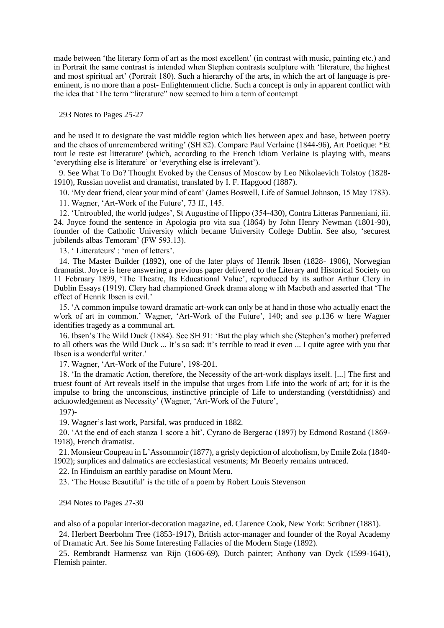made between 'the literary form of art as the most excellent' (in contrast with music, painting etc.) and in Portrait the same contrast is intended when Stephen contrasts sculpture with 'literature, the highest and most spiritual art' (Portrait 180). Such a hierarchy of the arts, in which the art of language is preeminent, is no more than a post- Enlightenment cliche. Such a concept is only in apparent conflict with the idea that 'The term "literature" now seemed to him a term of contempt

293 Notes to Pages 25-27

and he used it to designate the vast middle region which lies between apex and base, between poetry and the chaos of unremembered writing' (SH 82). Compare Paul Verlaine (1844-96), Art Poetique: \*Et tout le reste est litterature' (which, according to the French idiom Verlaine is playing with, means 'everything else is literature' or 'everything else is irrelevant').

9. See What To Do? Thought Evoked by the Census of Moscow by Leo Nikolaevich Tolstoy (1828- 1910), Russian novelist and dramatist, translated by I. F. Hapgood (1887).

10. 'My dear friend, clear your mind of cant' (James Boswell, Life of Samuel Johnson, 15 May 1783).

11. Wagner, 'Art-Work of the Future', 73 ff., 145.

12. 'Untroubled, the world judges', St Augustine of Hippo (354-430), Contra Litteras Parmeniani, iii. 24. Joyce found the sentence in Apologia pro vita sua (1864) by John Henry Newman (1801-90), founder of the Catholic University which became University College Dublin. See also, 'securest jubilends albas Temoram' (FW 593.13).

13. ' Litterateurs' : 'men of letters'.

14. The Master Builder (1892), one of the later plays of Henrik Ibsen (1828- 1906), Norwegian dramatist. Joyce is here answering a previous paper delivered to the Literary and Historical Society on 11 February 1899, 'The Theatre, Its Educational Value', reproduced by its author Arthur Clery in Dublin Essays (1919). Clery had championed Greek drama along w ith Macbeth and asserted that 'The effect of Henrik Ibsen is evil.'

15. 'A common impulse toward dramatic art-work can only be at hand in those who actually enact the w'ork of art in common.' Wagner, 'Art-Work of the Future', 140; and see p.136 w here Wagner identifies tragedy as a communal art.

16. Ibsen's The Wild Duck (1884). See SH 91: 'But the play which she (Stephen's mother) preferred to all others was the Wild Duck ... It's so sad: it's terrible to read it even ... I quite agree with you that Ibsen is a wonderful writer.'

17. Wagner, 'Art-Work of the Future', 198-201.

18. 'In the dramatic Action, therefore, the Necessity of the art-work displays itself. [...] The first and truest fount of Art reveals itself in the impulse that urges from Life into the work of art; for it is the impulse to bring the unconscious, instinctive principle of Life to understanding (verstdtidniss) and acknowledgement as Necessity' (Wagner, 'Art-Work of the Future',

197)-

19. Wagner's last work, Parsifal, was produced in 1882.

20. 'At the end of each stanza 1 score a hit', Cyrano de Bergerac (1897) by Edmond Rostand (1869- 1918), French dramatist.

21. Monsieur Coupeau in L'Assommoir (1877), a grisly depiction of alcoholism, by Emile Zola (1840- 1902); surplices and dalmatics are ecclesiastical vestments; Mr Beoerly remains untraced.

22. In Hinduism an earthly paradise on Mount Meru.

23. 'The House Beautiful' is the title of a poem by Robert Louis Stevenson

294 Notes to Pages 27-30

and also of a popular interior-decoration magazine, ed. Clarence Cook, New York: Scribner (1881).

24. Herbert Beerbohm Tree (1853-1917), British actor-manager and founder of the Royal Academy of Dramatic Art. See his Some Interesting Fallacies of the Modern Stage (1892).

25. Rembrandt Harmensz van Rijn (1606-69), Dutch painter; Anthony van Dyck (1599-1641), Flemish painter.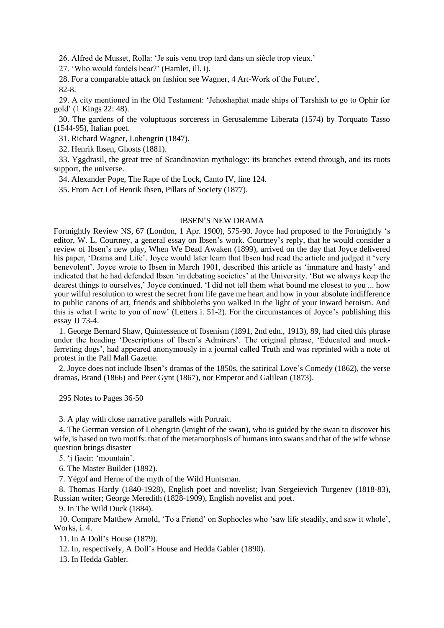26. Alfred de Musset, Rolla: 'Je suis venu trop tard dans un siècle trop vieux.'

27. 'Who would fardels bear?' (Hamlet, ill. i).

28. For a comparable attack on fashion see Wagner, 4 Art-Work of the Future', 82-8.

29. A city mentioned in the Old Testament: 'Jehoshaphat made ships of Tarshish to go to Ophir for gold' (1 Kings 22: 48).

30. The gardens of the voluptuous sorceress in Gerusalemme Liberata (1574) by Torquato Tasso (1544-95), Italian poet.

31. Richard Wagner, Lohengrin (1847).

32. Henrik Ibsen, Ghosts (1881).

33. Yggdrasil, the great tree of Scandinavian mythology: its branches extend through, and its roots support, the universe.

34. Alexander Pope, The Rape of the Lock, Canto IV, line 124.

35. From Act I of Henrik Ibsen, Pillars of Society (1877).

## IBSEN'S NEW DRAMA

Fortnightly Review NS, 67 (London, 1 Apr. 1900), 575-90. Joyce had proposed to the Fortnightly 's editor, W. L. Courtney, a general essay on Ibsen's work. Courtney's reply, that he would consider a review of Ibsen's new play, When We Dead Awaken (1899), arrived on the day that Joyce delivered his paper, 'Drama and Life'. Jovce would later learn that Ibsen had read the article and judged it 'very benevolent'. Joyce wrote to Ibsen in March 1901, described this article as 'immature and hasty' and indicated that he had defended Ibsen 'in debating societies' at the University. 'But we always keep the dearest things to ourselves,' Joyce continued. 'I did not tell them what bound me closest to you ... how your wilful resolution to wrest the secret from life gave me heart and how in your absolute indifference to public canons of art, friends and shibboleths you walked in the light of your inward heroism. And this is what I write to you of now' (Letters i. 51-2). For the circumstances of Joyce's publishing this essay JJ 73-4.

1. George Bernard Shaw, Quintessence of Ibsenism (1891, 2nd edn., 1913), 89, had cited this phrase under the heading 'Descriptions of Ibsen's Admirers'. The original phrase, 'Educated and muckferreting dogs', had appeared anonymously in a journal called Truth and was reprinted with a note of protest in the Pall Mall Gazette.

2. Joyce does not include Ibsen's dramas of the 1850s, the satirical Love's Comedy (1862), the verse dramas, Brand (1866) and Peer Gynt (1867), nor Emperor and Galilean (1873).

295 Notes to Pages 36-50

3. A play with close narrative parallels with Portrait.

4. The German version of Lohengrin (knight of the swan), who is guided by the swan to discover his wife, is based on two motifs: that of the metamorphosis of humans into swans and that of the wife whose question brings disaster

5. 'j fjaeir: 'mountain'.

6. The Master Builder (1892).

7. Yégof and Herne of the myth of the Wild Huntsman.

8. Thomas Hardy (1840-1928), English poet and novelist; Ivan Sergeievich Turgenev (1818-83), Russian writer; George Meredith (1828-1909), English novelist and poet.

9. In The Wild Duck (1884).

10. Compare Matthew Arnold, 'To a Friend' on Sophocles who 'saw life steadily, and saw it whole', Works, i. 4.

11. In A Doll's House (1879).

12. In, respectively, A Doll's House and Hedda Gabler (1890).

13. In Hedda Gabler.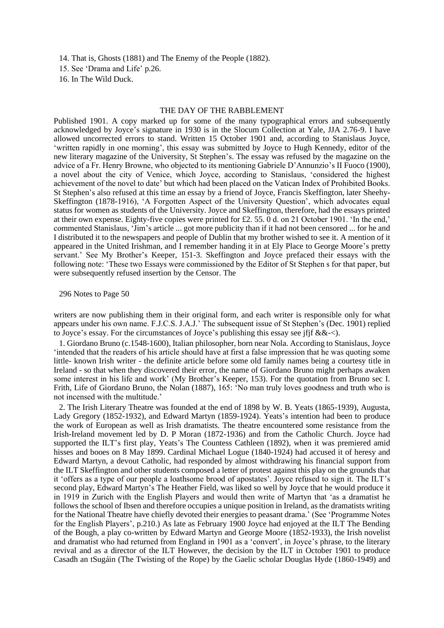14. That is, Ghosts (1881) and The Enemy of the People (1882).

15. See 'Drama and Life' p.26.

16. In The Wild Duck.

#### THE DAY OF THE RABBLEMENT

Published 1901. A copy marked up for some of the many typographical errors and subsequently acknowledged by Joyce's signature in 1930 is in the Slocum Collection at Yale, JJA 2.76-9. I have allowed uncorrected errors to stand. Written 15 October 1901 and, according to Stanislaus Joyce, 'written rapidly in one morning', this essay was submitted by Joyce to Hugh Kennedy, editor of the new literary magazine of the University, St Stephen's. The essay was refused by the magazine on the advice of a Fr. Henry Browne, who objected to its mentioning Gabriele D'Annunzio's II Fuoco (1900), a novel about the city of Venice, which Joyce, according to Stanislaus, 'considered the highest achievement of the novel to date' but which had been placed on the Vatican Index of Prohibited Books. St Stephen's also refused at this time an essay by a friend of Joyce, Francis Skeffington, later Sheehy-Skeffington (1878-1916), 'A Forgotten Aspect of the University Question', which advocates equal status for women as students of the University. Joyce and Skeffington, therefore, had the essays printed at their own expense. Eighty-five copies were printed for £2. 55. 0 d. on 21 October 1901. 'In the end,' commented Stanislaus, 'Jim's article ... got more publicity than if it had not been censored ... for he and I distributed it to the newspapers and people of Dublin that my brother wished to see it. A mention of it appeared in the United Irishman, and I remember handing it in at Ely Place to George Moore's pretty servant.' See My Brother's Keeper, 151-3. Skeffington and Joyce prefaced their essays with the following note: 'These two Essays were commissioned by the Editor of St Stephen s for that paper, but were subsequently refused insertion by the Censor. The

296 Notes to Page 50

writers are now publishing them in their original form, and each writer is responsible only for what appears under his own name. F.J.C.S. J.A.J.' The subsequent issue of St Stephen's (Dec. 1901) replied to Joyce's essay. For the circumstances of Joyce's publishing this essay see jfjf  $&&<-$ ).

1. Giordano Bruno (c.1548-1600), Italian philosopher, born near Nola. According to Stanislaus, Joyce 'intended that the readers of his article should have at first a false impression that he was quoting some little- known Irish writer - the definite article before some old family names being a courtesy title in Ireland - so that when they discovered their error, the name of Giordano Bruno might perhaps awaken some interest in his life and work' (My Brother's Keeper, 153). For the quotation from Bruno sec I. Frith, Life of Giordano Bruno, the Nolan (1887), 165: 'No man truly loves goodness and truth who is not incensed with the multitude.'

2. The Irish Literary Theatre was founded at the end of 1898 by W. B. Yeats (1865-1939), Augusta, Lady Gregory (1852-1932), and Edward Martyn (1859-1924). Yeats's intention had been to produce the work of European as well as Irish dramatists. The theatre encountered some resistance from the Irish-Ireland movement led by D. P Moran (1872-1936) and from the Catholic Church. Joyce had supported the ILT's first play, Yeats's The Countess Cathleen (1892), when it was premiered amid hisses and booes on 8 May 1899. Cardinal Michael Logue (1840-1924) had accused it of heresy and Edward Martyn, a devout Catholic, had responded by almost withdrawing his financial support from the ILT Skeffington and other students composed a letter of protest against this play on the grounds that it 'offers as a type of our people a loathsome brood of apostates'. Joyce refused to sign it. The ILT's second play, Edward Martyn's The Heather Field, was liked so well by Joyce that he would produce it in 1919 in Zurich with the English Players and would then write of Martyn that 'as a dramatist he follows the school of Ibsen and therefore occupies a unique position in Ireland, as the dramatists writing for the National Theatre have chiefly devoted their energies to peasant drama.' (See 'Programme Notes for the English Players', p.210.) As late as February 1900 Joyce had enjoyed at the ILT The Bending of the Bough, a play co-written by Edward Martyn and George Moore (1852-1933), the Irish novelist and dramatist who had returned from England in 1901 as a 'convert', in Joyce's phrase, to the literary revival and as a director of the ILT However, the decision by the ILT in October 1901 to produce Casadh an tSugáin (The Twisting of the Rope) by the Gaelic scholar Douglas Hyde (1860-1949) and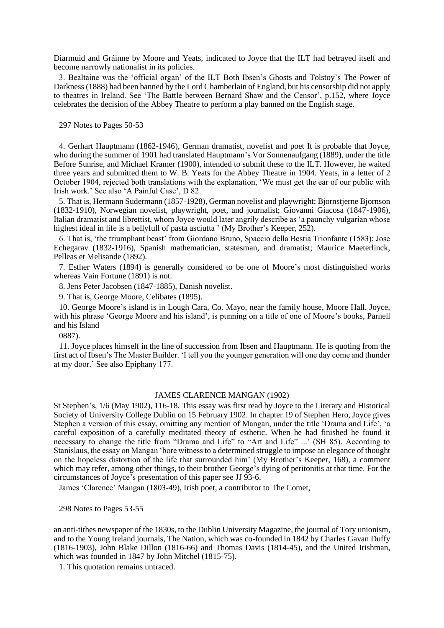Diarmuid and Gráinne by Moore and Yeats, indicated to Joyce that the ILT had betrayed itself and become narrowly nationalist in its policies.

3. Bealtaine was the 'official organ' of the ILT Both Ibsen's Ghosts and Tolstoy's The Power of Darkness (1888) had been banned by the Lord Chamberlain of England, but his censorship did not apply to theatres in Ireland. See 'The Battle between Bernard Shaw and the Censor', p.152, where Joyce celebrates the decision of the Abbey Theatre to perform a play banned on the English stage.

297 Notes to Pages 50-53

4. Gerhart Hauptmann (1862-1946), German dramatist, novelist and poet It is probable that Joyce, who during the summer of 1901 had translated Hauptmann's Vor Sonnenaufgang (1889), under the title Before Sunrise, and Michael Kramer (1900), intended to submit these to the ILT. However, he waited three years and submitted them to W. B. Yeats for the Abbey Theatre in 1904. Yeats, in a letter of 2 October 1904, rejected both translations with the explanation, 'We must get the ear of our public with Irish work.' See also 'A Painful Case', D 82.

5. That is, Hermann Sudermann (1857-1928), German novelist and playwright; Bjornstjerne Bjornson (1832-1910), Norwegian novelist, playwright, poet, and journalist; Giovanni Giacosa (1847-1906), Italian dramatist and librettist, whom Joyce would later angrily describe as 'a paunchy vulgarian whose highest ideal in life is a bellyfull of pasta asciutta ' (My Brother's Keeper, 252).

6. That is, 'the triumphant beast' from Giordano Bruno, Spaccio della Bestia Trionfante (1583); Jose Echegarav (1832-1916), Spanish mathematician, statesman, and dramatist; Maurice Maeterlinck, Pelleas et Melisande (1892).

7. Esther Waters (1894) is generally considered to be one of Moore's most distinguished works whereas Vain Fortune (1891) is not.

8. Jens Peter Jacobsen (1847-1885), Danish novelist.

9. That is, George Moore, Celibates (1895).

10. George Moore's island is in Lough Cara, Co. Mayo, near the family house, Moore Hall. Joyce, with his phrase 'George Moore and his island', is punning on a title of one of Moore's books, Parnell and his Island

0887).

11. Joyce places himself in the line of succession from Ibsen and Hauptmann. He is quoting from the first act of Ibsen's The Master Builder. 'I tell you the younger generation will one day come and thunder at my door.' See also Epiphany 177.

#### JAMES CLARENCE MANGAN (1902)

St Stephen's, 1/6 (May 1902), 116-18. This essay was first read by Joyce to the Literary and Historical Society of University College Dublin on 15 February 1902. In chapter 19 of Stephen Hero, Joyce gives Stephen a version of this essay, omitting any mention of Mangan, under the title 'Drama and Life', 'a careful exposition of a carefully meditated theory of esthetic. When he had finished he found it necessary to change the title from "Drama and Life" to "Art and Life" ...' (SH 85). According to Stanislaus, the essay on Mangan 'bore witness to a determined struggle to impose an elegance of thought on the hopeless distortion of the life that surrounded him' (My Brother's Keeper, 168), a comment which may refer, among other things, to their brother George's dying of peritonitis at that time. For the circumstances of Joyce's presentation of this paper see JJ 93-6.

James 'Clarence' Mangan (1803-49), Irish poet, a contributor to The Comet,

298 Notes to Pages 53-55

an anti-tithes newspaper of the 1830s, to the Dublin University Magazine, the journal of Tory unionism, and to the Young Ireland journals, The Nation, which was co-founded in 1842 by Charles Gavan Duffy (1816-1903), John Blake Dillon (1816-66) and Thomas Davis (1814-45), and the United Irishman, which was founded in 1847 by John Mitchel (1815-75).

1. This quotation remains untraced.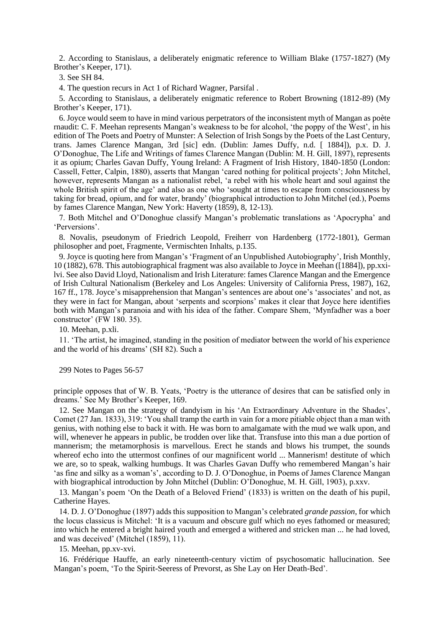2. According to Stanislaus, a deliberately enigmatic reference to William Blake (1757-1827) (My Brother's Keeper, 171).

3. See SH 84.

4. The question recurs in Act 1 of Richard Wagner, Parsifal .

5. According to Stanislaus, a deliberately enigmatic reference to Robert Browning (1812-89) (My Brother's Keeper, 171).

6. Joyce would seem to have in mind various perpetrators of the inconsistent myth of Mangan as poète rnaudit: C. F. Meehan represents Mangan's weakness to be for alcohol, 'the poppy of the West', in his edition of The Poets and Poetry of Munster: A Selection of Irish Songs by the Poets of the Last Century, trans. James Clarence Mangan, 3rd [sic] edn. (Dublin: James Duffy, n.d. [ 1884]), p.x. D. J. O'Donoghue, The Life and Writings of fames Clarence Mangan (Dublin: M. H. Gill, 1897), represents it as opium; Charles Gavan Duffy, Young Ireland: A Fragment of Irish History, 1840-1850 (London: Cassell, Fetter, Calpin, 1880), asserts that Mangan 'cared nothing for political projects'; John Mitchel, however, represents Mangan as a nationalist rebel, 'a rebel with his whole heart and soul against the whole British spirit of the age' and also as one who 'sought at times to escape from consciousness by taking for bread, opium, and for water, brandy' (biographical introduction to John Mitchel (ed.), Poems by fames Clarence Mangan, New York: Haverty (1859), 8, 12-13).

7. Both Mitchel and O'Donoghue classify Mangan's problematic translations as 'Apocrypha' and 'Perversions'.

8. Novalis, pseudonym of Friedrich Leopold, Freiherr von Hardenberg (1772-1801), German philosopher and poet, Fragmente, Vermischten Inhalts, p.135.

9. Joyce is quoting here from Mangan's 'Fragment of an Unpublished Autobiography', Irish Monthly, 10 (1882), 678. This autobiographical fragment was also available to Joyce in Meehan ([1884]), pp.xxilvi. See also David Lloyd, Nationalism and Irish Literature: fames Clarence Mangan and the Emergence of Irish Cultural Nationalism (Berkeley and Los Angeles: University of California Press, 1987), 162, 167 ff., 178. Joyce's misapprehension that Mangan's sentences are about one's 'associates' and not, as they were in fact for Mangan, about 'serpents and scorpions' makes it clear that Joyce here identifies both with Mangan's paranoia and with his idea of the father. Compare Shem, 'Mynfadher was a boer constructor' (FW 180. 35).

10. Meehan, p.xli.

11. 'The artist, he imagined, standing in the position of mediator between the world of his experience and the world of his dreams' (SH 82). Such a

299 Notes to Pages 56-57

principle opposes that of W. B. Yeats, 'Poetry is the utterance of desires that can be satisfied only in dreams.' See My Brother's Keeper, 169.

12. See Mangan on the strategy of dandyism in his 'An Extraordinary Adventure in the Shades', Comet (27 Jan. 1833), 319: 'You shall tramp the earth in vain for a more pitiable object than a man with genius, with nothing else to back it with. He was born to amalgamate with the mud we walk upon, and will, whenever he appears in public, be trodden over like that. Transfuse into this man a due portion of mannerism; the metamorphosis is marvellous. Erect he stands and blows his trumpet, the sounds whereof echo into the uttermost confines of our magnificent world ... Mannerism! destitute of which we are, so to speak, walking humbugs. It was Charles Gavan Duffy who remembered Mangan's hair 'as fine and silky as a woman's', according to D. J. O'Donoghue, in Poems of James Clarence Mangan with biographical introduction by John Mitchel (Dublin: O'Donoghue, M. H. Gill, 1903), p.xxv.

13. Mangan's poem 'On the Death of a Beloved Friend' (1833) is written on the death of his pupil, Catherine Hayes.

14. D. J. O'Donoghue (1897) adds this supposition to Mangan's celebrated *grande passion*, for which the locus classicus is Mitchel: 'It is a vacuum and obscure gulf which no eyes fathomed or measured; into which he entered a bright haired youth and emerged a withered and stricken man ... he had loved, and was deceived' (Mitchel (1859), 11).

15. Meehan, pp.xv-xvi.

16. Frédérique Hauffe, an early nineteenth-century victim of psychosomatic hallucination. See Mangan's poem, 'To the Spirit-Seeress of Prevorst, as She Lay on Her Death-Bed'.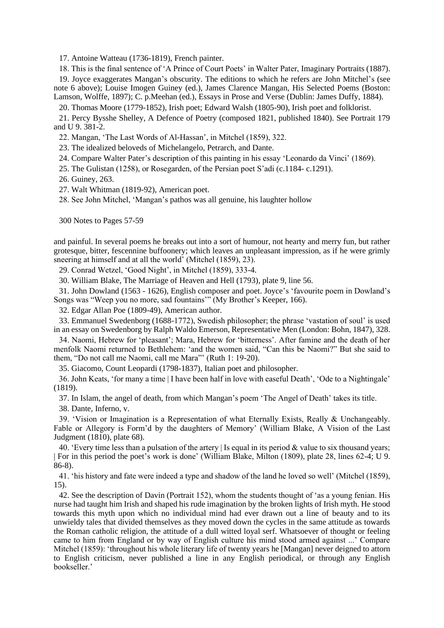17. Antoine Watteau (1736-1819), French painter.

18. This is the final sentence of 'A Prince of Court Poets' in Walter Pater, Imaginary Portraits (1887).

19. Joyce exaggerates Mangan's obscurity. The editions to which he refers are John Mitchel's (see note 6 above); Louise Imogen Guiney (ed.), James Clarence Mangan, His Selected Poems (Boston: Lamson, Wolffe, 1897); C. p.Meehan (ed.), Essays in Prose and Verse (Dublin: James Duffy, 1884).

20. Thomas Moore (1779-1852), Irish poet; Edward Walsh (1805-90), Irish poet and folklorist.

21. Percy Bysshe Shelley, A Defence of Poetry (composed 1821, published 1840). See Portrait 179 and U 9. 381-2.

22. Mangan, 'The Last Words of Al-Hassan', in Mitchel (1859), 322.

23. The idealized beloveds of Michelangelo, Petrarch, and Dante.

24. Compare Walter Pater's description of this painting in his essay 'Leonardo da Vinci' (1869).

25. The Gulistan (1258), or Rosegarden, of the Persian poet S'adi (c.1184- c.1291).

26. Guiney, 263.

27. Walt Whitman (1819-92), American poet.

28. See John Mitchel, 'Mangan's pathos was all genuine, his laughter hollow

300 Notes to Pages 57-59

and painful. In several poems he breaks out into a sort of humour, not hearty and merry fun, but rather grotesque, bitter, fescennine buffoonery; which leaves an unpleasant impression, as if he were grimly sneering at himself and at all the world' (Mitchel (1859), 23).

29. Conrad Wetzel, 'Good Night', in Mitchel (1859), 333-4.

30. William Blake, The Marriage of Heaven and Hell (1793), plate 9, line 56.

31. John Dowland (1563 - 1626), English composer and poet. Joyce's 'favourite poem in Dowland's Songs was "Weep you no more, sad fountains'" (My Brother's Keeper, 166).

32. Edgar Allan Poe (1809-49), American author.

33. Emmanuel Swedenborg (1688-1772), Swedish philosopher; the phrase 'vastation of soul' is used in an essay on Swedenborg by Ralph Waldo Emerson, Representative Men (London: Bohn, 1847), 328.

34. Naomi, Hebrew for 'pleasant'; Mara, Hebrew for 'bitterness'. After famine and the death of her menfolk Naomi returned to Bethlehem: 'and the women said, "Can this be Naomi?" But she said to them, "Do not call me Naomi, call me Mara"' (Ruth 1: 19-20).

35. Giacomo, Count Leopardi (1798-1837), Italian poet and philosopher.

36. John Keats, 'for many a time | I have been half in love with easeful Death', 'Ode to a Nightingale' (1819).

37. In Islam, the angel of death, from which Mangan's poem 'The Angel of Death' takes its title.

38. Dante, Inferno, v.

39. 'Vision or Imagination is a Representation of what Eternally Exists, Really & Unchangeably. Fable or Allegory is Form'd by the daughters of Memory' (William Blake, A Vision of the Last Judgment (1810), plate 68).

40. 'Every time less than a pulsation of the artery  $\vert$  Is equal in its period & value to six thousand years; | For in this period the poet's work is done' (William Blake, Milton (1809), plate 28, lines 62-4; U 9. 86-8).

41. 'his history and fate were indeed a type and shadow of the land he loved so well' (Mitchel (1859), 15).

42. See the description of Davin (Portrait 152), whom the students thought of 'as a young fenian. His nurse had taught him Irish and shaped his rude imagination by the broken lights of Irish myth. He stood towards this myth upon which no individual mind had ever drawn out a line of beauty and to its unwieldy tales that divided themselves as they moved down the cycles in the same attitude as towards the Roman catholic religion, the attitude of a dull witted loyal serf. Whatsoever of thought or feeling came to him from England or by way of English culture his mind stood armed against ...' Compare Mitchel (1859): 'throughout his whole literary life of twenty years he [Mangan] never deigned to attorn to English criticism, never published a line in any English periodical, or through any English bookseller.'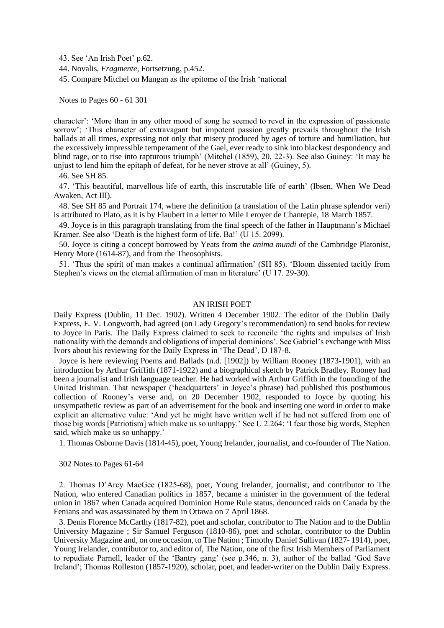43. See 'An Irish Poet' p.62.

44. Novalis, *Fragmente,* Fortsetzung, p.452.

45. Compare Mitchel on Mangan as the epitome of the Irish 'national

Notes to Pages 60 - 61 301

character': 'More than in any other mood of song he seemed to revel in the expression of passionate sorrow'; 'This character of extravagant but impotent passion greatly prevails throughout the Irish ballads at all times, expressing not only that misery produced by ages of torture and humiliation, but the excessively impressible temperament of the Gael, ever ready to sink into blackest despondency and blind rage, or to rise into rapturous triumph' (Mitchel (1859), 20, 22-3). See also Guiney: 'It may be unjust to lend him the epitaph of defeat, for he never strove at all' (Guiney, 5).

46. See SH 85.

47. 'This beautiful, marvellous life of earth, this inscrutable life of earth' (Ibsen, When We Dead Awaken, Act III).

48. See SH 85 and Portrait 174, where the definition (a translation of the Latin phrase splendor veri) is attributed to Plato, as it is by Flaubert in a letter to Mile Leroyer de Chantepie, 18 March 1857.

49. Joyce is in this paragraph translating from the final speech of the father in Hauptmann's Michael Kramer. See also 'Death is the highest form of life. Ba!' (U 15. 2099).

50. Joyce is citing a concept borrowed by Yeats from the *anima mundi* of the Cambridge Platonist, Henry More (1614-87), and from the Theosophists.

51. 'Thus the spirit of man makes a continual affirmation' (SH 85). 'Bloom dissented tacitly from Stephen's views on the eternal affirmation of man in literature' (U 17. 29-30).

### AN IRISH POET

Daily Express (Dublin, 11 Dec. 1902). Written 4 December 1902. The editor of the Dublin Daily Express, E. V. Longworth, had agreed (on Lady Gregory's recommendation) to send books for review to Joyce in Paris. The Daily Express claimed to seek to reconcile 'the rights and impulses of Irish nationality with the demands and obligations of imperial dominions'. See Gabriel's exchange with Miss Ivors about his reviewing for the Daily Express in 'The Dead', D 187-8.

Joyce is here reviewing Poems and Ballads (n.d. [1902]) by William Rooney (1873-1901), with an introduction by Arthur Griffith (1871-1922) and a biographical sketch by Patrick Bradley. Rooney had been a journalist and Irish language teacher. He had worked with Arthur Griffith in the founding of the United Irishman. That newspaper ('headquarters' in Joyce's phrase) had published this posthumous collection of Rooney's verse and, on 20 December 1902, responded to Joyce by quoting his unsympathetic review as part of an advertisement for the book and inserting one word in order to make explicit an alternative value: 'And yet he might have written well if he had not suffered from one of those big words [Patriotism] which make us so unhappy.' See U 2.264: 'I fear those big words, Stephen said, which make us so unhappy.'

1. Thomas Osborne Davis (1814-45), poet, Young Irelander, journalist, and co-founder of The Nation.

302 Notes to Pages 61-64

2. Thomas D'Arcy MacGee (1825-68), poet, Young Irelander, journalist, and contributor to The Nation, who entered Canadian politics in 1857, became a minister in the government of the federal union in 1867 when Canada acquired Dominion Home Rule status, denounced raids on Canada by the Fenians and was assassinated by them in Ottawa on 7 April 1868.

3. Denis Florence McCarthy (1817-82), poet and scholar, contributor to The Nation and to the Dublin University Magazine ; Sir Samuel Ferguson (1810-86), poet and scholar, contributor to the Dublin University Magazine and, on one occasion, to The Nation ; Timothy Daniel Sullivan (1827- 1914), poet, Young Irelander, contributor to, and editor of, The Nation, one of the first Irish Members of Parliament to repudiate Parnell, leader of the 'Bantry gang' (see p.346, n. 3), author of the ballad 'God Save Ireland'; Thomas Rolleston (1857-1920), scholar, poet, and leader-writer on the Dublin Daily Express.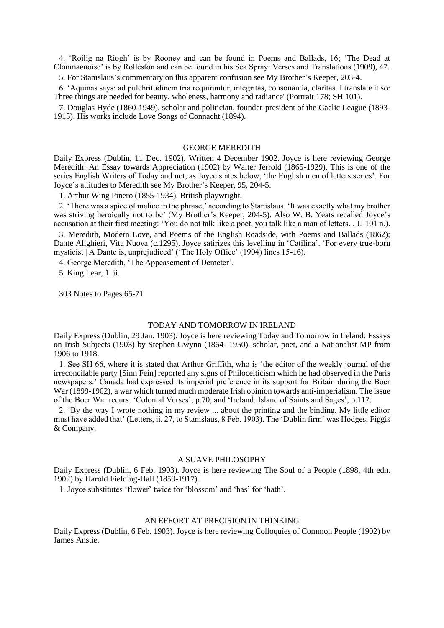4. 'Roilig na Riogh' is by Rooney and can be found in Poems and Ballads, 16; 'The Dead at Clonmaenoise' is by Rolleston and can be found in his Sea Spray: Verses and Translations (1909), 47.

5. For Stanislaus's commentary on this apparent confusion see My Brother's Keeper, 203-4.

6. 'Aquinas says: ad pulchritudinem tria requiruntur, integritas, consonantia, claritas. I translate it so: Three things are needed for beauty, wholeness, harmony and radiance' (Portrait 178; SH 101).

7. Douglas Hyde (1860-1949), scholar and politician, founder-president of the Gaelic League (1893- 1915). His works include Love Songs of Connacht (1894).

### GEORGE MEREDITH

Daily Express (Dublin, 11 Dec. 1902). Written 4 December 1902. Joyce is here reviewing George Meredith: An Essay towards Appreciation (1902) by Walter Jerrold (1865-1929). This is one of the series English Writers of Today and not, as Joyce states below, 'the English men of letters series'. For Joyce's attitudes to Meredith see My Brother's Keeper, 95, 204-5.

1. Arthur Wing Pinero (1855-1934), British playwright.

2. 'There was a spice of malice in the phrase,' according to Stanislaus. 'It was exactly what my brother was striving heroically not to be' (My Brother's Keeper, 204-5). Also W. B. Yeats recalled Joyce's accusation at their first meeting: 'You do not talk like a poet, you talk like a man of letters. . JJ 101 n.).

3. Meredith, Modern Love, and Poems of the English Roadside, with Poems and Ballads (1862); Dante Alighieri, Vita Nuova (c.1295). Joyce satirizes this levelling in 'Catilina'. 'For every true-born mysticist | A Dante is, unprejudiced' ('The Holy Office' (1904) lines 15-16).

4. George Meredith, 'The Appeasement of Demeter'.

5. King Lear, 1. ii.

303 Notes to Pages 65-71

# TODAY AND TOMORROW IN IRELAND

Daily Express (Dublin, 29 Jan. 1903). Joyce is here reviewing Today and Tomorrow in Ireland: Essays on Irish Subjects (1903) by Stephen Gwynn (1864- 1950), scholar, poet, and a Nationalist MP from 1906 to 1918.

1. See SH 66, where it is stated that Arthur Griffith, who is 'the editor of the weekly journal of the irreconcilable party [Sinn Fein] reported any signs of Philocelticism which he had observed in the Paris newspapers.' Canada had expressed its imperial preference in its support for Britain during the Boer War (1899-1902), a war which turned much moderate Irish opinion towards anti-imperialism. The issue of the Boer War recurs: 'Colonial Verses', p.70, and 'Ireland: Island of Saints and Sages', p.117.

2. 'By the way I wrote nothing in my review ... about the printing and the binding. My little editor must have added that' (Letters, ii. 27, to Stanislaus, 8 Feb. 1903). The 'Dublin firm' was Hodges, Figgis & Company.

## A SUAVE PHILOSOPHY

Daily Express (Dublin, 6 Feb. 1903). Joyce is here reviewing The Soul of a People (1898, 4th edn. 1902) by Harold Fielding-Hall (1859-1917).

1. Joyce substitutes 'flower' twice for 'blossom' and 'has' for 'hath'.

# AN EFFORT AT PRECISION IN THINKING

Daily Express (Dublin, 6 Feb. 1903). Joyce is here reviewing Colloquies of Common People (1902) by James Anstie.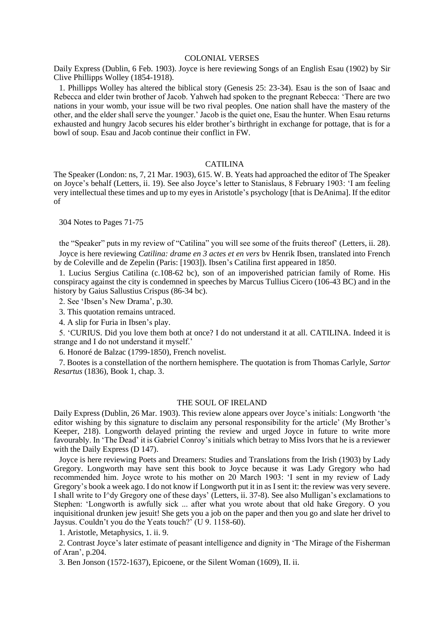## COLONIAL VERSES

Daily Express (Dublin, 6 Feb. 1903). Joyce is here reviewing Songs of an English Esau (1902) by Sir Clive Phillipps Wolley (1854-1918).

1. Phillipps Wolley has altered the biblical story (Genesis 25: 23-34). Esau is the son of Isaac and Rebecca and elder twin brother of Jacob. Yahweh had spoken to the pregnant Rebecca: 'There are two nations in your womb, your issue will be two rival peoples. One nation shall have the mastery of the other, and the elder shall serve the younger.' Jacob is the quiet one, Esau the hunter. When Esau returns exhausted and hungry Jacob secures his elder brother's birthright in exchange for pottage, that is for a bowl of soup. Esau and Jacob continue their conflict in FW.

# CATILINA

The Speaker (London: ns, 7, 21 Mar. 1903), 615. W. B. Yeats had approached the editor of The Speaker on Joyce's behalf (Letters, ii. 19). See also Joyce's letter to Stanislaus, 8 February 1903: 'I am feeling very intellectual these times and up to my eyes in Aristotle's psychology [that is DeAnima]. If the editor of

304 Notes to Pages 71-75

the "Speaker" puts in my review of "Catilina" you will see some of the fruits thereof' (Letters, ii. 28). Joyce is here reviewing *Catilina: drame en 3 actes et en vers* bv Henrik Ibsen, translated into French by de Coleville and de Zepelin (Paris: [1903]). Ibsen's Catilina first appeared in 1850.

1. Lucius Sergius Catilina (c.108-62 bc), son of an impoverished patrician family of Rome. His conspiracy against the city is condemned in speeches by Marcus Tullius Cicero (106-43 BC) and in the history by Gaius Sallustius Crispus (86-34 bc).

2. See 'Ibsen's New Drama', p.30.

3. This quotation remains untraced.

4. A slip for Furia in Ibsen's play.

5. 'CURIUS. Did you love them both at once? I do not understand it at all. CATILINA. Indeed it is strange and I do not understand it myself.'

6. Honoré de Balzac (1799-1850), French novelist.

7. Bootes is a constellation of the northern hemisphere. The quotation is from Thomas Carlyle, *Sartor Resartus* (1836), Book 1, chap. 3.

### THE SOUL OF IRELAND

Daily Express (Dublin, 26 Mar. 1903). This review alone appears over Joyce's initials: Longworth 'the editor wishing by this signature to disclaim any personal responsibility for the article' (My Brother's Keeper, 218). Longworth delayed printing the review and urged Joyce in future to write more favourably. In 'The Dead' it is Gabriel Conroy's initials which betray to Miss Ivors that he is a reviewer with the Daily Express (D 147).

Joyce is here reviewing Poets and Dreamers: Studies and Translations from the Irish (1903) by Lady Gregory. Longworth may have sent this book to Joyce because it was Lady Gregory who had recommended him. Joyce wrote to his mother on 20 March 1903: 'I sent in my review of Lady Gregory's book a week ago. I do not know if Longworth put it in as I sent it: the review was very severe. I shall write to I^dy Gregory one of these days' (Letters, ii. 37-8). See also Mulligan's exclamations to Stephen: 'Longworth is awfully sick ... after what you wrote about that old hake Gregory. O you inquisitional drunken jew jesuit! She gets you a job on the paper and then you go and slate her drivel to Jaysus. Couldn't you do the Yeats touch?' (U 9. 1158-60).

1. Aristotle, Metaphysics, 1. ii. 9.

2. Contrast Joyce's later estimate of peasant intelligence and dignity in 'The Mirage of the Fisherman of Aran', p.204.

3. Ben Jonson (1572-1637), Epicoene, or the Silent Woman (1609), II. ii.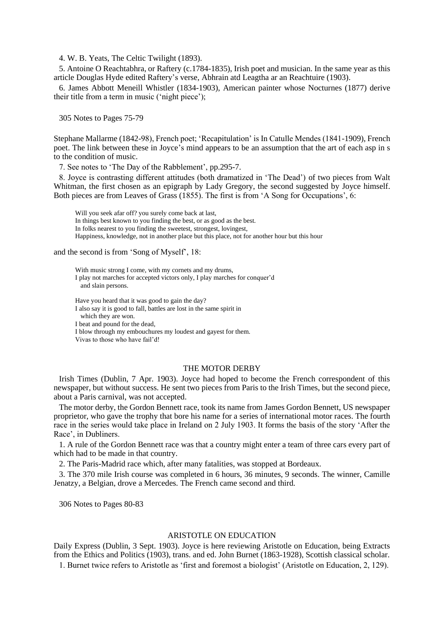4. W. B. Yeats, The Celtic Twilight (1893).

5. Antoine O Reachtabhra, or Raftery (c.1784-1835), Irish poet and musician. In the same year as this article Douglas Hyde edited Raftery's verse, Abhrain atd Leagtha ar an Reachtuire (1903).

6. James Abbott Meneill Whistler (1834-1903), American painter whose Nocturnes (1877) derive their title from a term in music ('night piece');

305 Notes to Pages 75-79

Stephane Mallarme (1842-98), French poet; 'Recapitulation' is In Catulle Mendes (1841-1909), French poet. The link between these in Joyce's mind appears to be an assumption that the art of each asp in s to the condition of music.

7. See notes to 'The Day of the Rabblement', pp.295-7.

8. Joyce is contrasting different attitudes (both dramatized in 'The Dead') of two pieces from Walt Whitman, the first chosen as an epigraph by Lady Gregory, the second suggested by Joyce himself. Both pieces are from Leaves of Grass (1855). The first is from 'A Song for Occupations', 6:

Will you seek afar off? you surely come back at last, In things best known to you finding the best, or as good as the best. In folks nearest to you finding the sweetest, strongest, lovingest, Happiness, knowledge, not in another place but this place, not for another hour but this hour

and the second is from 'Song of Myself', 18:

With music strong I come, with my cornets and my drums, I play not marches for accepted victors only, I play marches for conquer'd and slain persons.

Have you heard that it was good to gain the day? I also say it is good to fall, battles are lost in the same spirit in which they are won. I beat and pound for the dead, I blow through my embouchures my loudest and gayest for them. Vivas to those who have fail'd!

#### THE MOTOR DERBY

Irish Times (Dublin, 7 Apr. 1903). Joyce had hoped to become the French correspondent of this newspaper, but without success. He sent two pieces from Paris to the Irish Times, but the second piece, about a Paris carnival, was not accepted.

The motor derby, the Gordon Bennett race, took its name from James Gordon Bennett, US newspaper proprietor, who gave the trophy that bore his name for a series of international motor races. The fourth race in the series would take place in Ireland on 2 July 1903. It forms the basis of the story 'After the Race', in Dubliners.

1. A rule of the Gordon Bennett race was that a country might enter a team of three cars every part of which had to be made in that country.

2. The Paris-Madrid race which, after many fatalities, was stopped at Bordeaux.

3. The 370 mile Irish course was completed in 6 hours, 36 minutes, 9 seconds. The winner, Camille Jenatzy, a Belgian, drove a Mercedes. The French came second and third.

306 Notes to Pages 80-83

### ARISTOTLE ON EDUCATION

Daily Express (Dublin, 3 Sept. 1903). Joyce is here reviewing Aristotle on Education, being Extracts from the Ethics and Politics (1903), trans. and ed. John Burnet (1863-1928), Scottish classical scholar. 1. Burnet twice refers to Aristotle as 'first and foremost a biologist' (Aristotle on Education, 2, 129).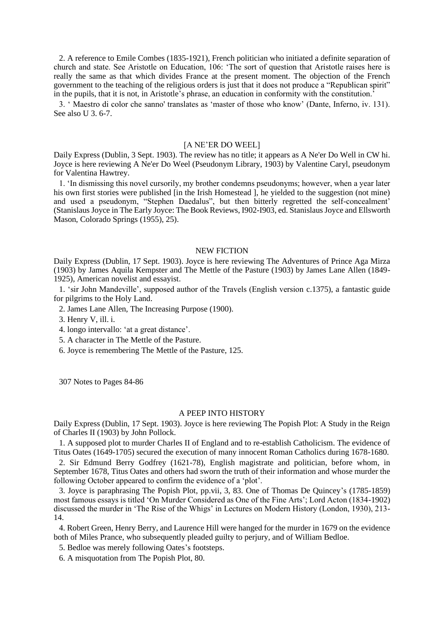2. A reference to Emile Combes (1835-1921), French politician who initiated a definite separation of church and state. See Aristotle on Education, 106: 'The sort of question that Aristotle raises here is really the same as that which divides France at the present moment. The objection of the French government to the teaching of the religious orders is just that it does not produce a "Republican spirit" in the pupils, that it is not, in Aristotle's phrase, an education in conformity with the constitution.'

3. ' Maestro di color che sanno' translates as 'master of those who know' (Dante, Inferno, iv. 131). See also U 3. 6-7.

# [A NE'ER DO WEEL]

Daily Express (Dublin, 3 Sept. 1903). The review has no title; it appears as A Ne'er Do Well in CW hi. Joyce is here reviewing A Ne'er Do Weel (Pseudonym Library, 1903) by Valentine Caryl, pseudonym for Valentina Hawtrey.

1. 'In dismissing this novel cursorily, my brother condemns pseudonyms; however, when a year later his own first stories were published [in the Irish Homestead ], he yielded to the suggestion (not mine) and used a pseudonym, "Stephen Daedalus", but then bitterly regretted the self-concealment' (Stanislaus Joyce in The Early Joyce: The Book Reviews, I902-I903, ed. Stanislaus Joyce and Ellsworth Mason, Colorado Springs (1955), 25).

### NEW FICTION

Daily Express (Dublin, 17 Sept. 1903). Joyce is here reviewing The Adventures of Prince Aga Mirza (1903) by James Aquila Kempster and The Mettle of the Pasture (1903) by James Lane Allen (1849- 1925), American novelist and essayist.

1. 'sir John Mandeville', supposed author of the Travels (English version c.1375), a fantastic guide for pilgrims to the Holy Land.

2. James Lane Allen, The Increasing Purpose (1900).

3. Henry V, ill. i.

4. longo intervallo: 'at a great distance'.

5. A character in The Mettle of the Pasture.

6. Joyce is remembering The Mettle of the Pasture, 125.

307 Notes to Pages 84-86

# A PEEP INTO HISTORY

Daily Express (Dublin, 17 Sept. 1903). Joyce is here reviewing The Popish Plot: A Study in the Reign of Charles II (1903) by John Pollock.

1. A supposed plot to murder Charles II of England and to re-establish Catholicism. The evidence of Titus Oates (1649-1705) secured the execution of many innocent Roman Catholics during 1678-1680.

2. Sir Edmund Berry Godfrey (1621-78), English magistrate and politician, before whom, in September 1678, Titus Oates and others had sworn the truth of their information and whose murder the following October appeared to confirm the evidence of a 'plot'.

3. Joyce is paraphrasing The Popish Plot, pp.vii, 3, 83. One of Thomas De Quincey's (1785-1859) most famous essays is titled 'On Murder Considered as One of the Fine Arts'; Lord Acton (1834-1902) discussed the murder in 'The Rise of the Whigs' in Lectures on Modern History (London, 1930), 213- 14.

4. Robert Green, Henry Berry, and Laurence Hill were hanged for the murder in 1679 on the evidence both of Miles Prance, who subsequently pleaded guilty to perjury, and of William Bedloe.

5. Bedloe was merely following Oates's footsteps.

6. A misquotation from The Popish Plot, 80.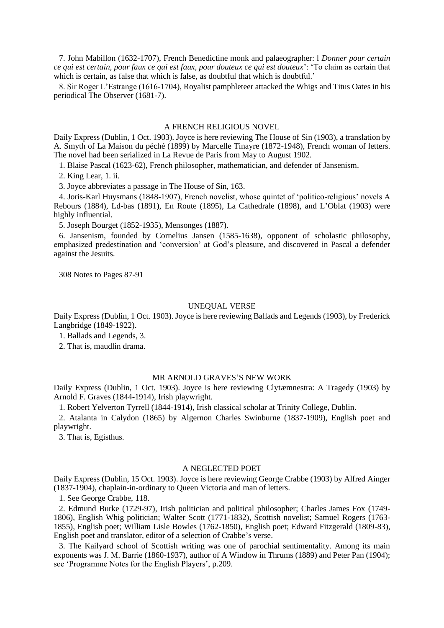7. John Mabillon (1632-1707), French Benedictine monk and palaeographer: l *Donner pour certain ce qui est certain, pour faux ce qui est faux, pour douteux ce qui est douteux*': 'To claim as certain that which is certain, as false that which is false, as doubtful that which is doubtful.'

8. Sir Roger L'Estrange (1616-1704), Royalist pamphleteer attacked the Whigs and Titus Oates in his periodical The Observer (1681-7).

# A FRENCH RELIGIOUS NOVEL

Daily Express (Dublin, 1 Oct. 1903). Joyce is here reviewing The House of Sin (1903), a translation by A. Smyth of La Maison du péché (1899) by Marcelle Tinayre (1872-1948), French woman of letters. The novel had been serialized in La Revue de Paris from May to August 1902.

1. Blaise Pascal (1623-62), French philosopher, mathematician, and defender of Jansenism.

2. King Lear, 1. ii.

3. Joyce abbreviates a passage in The House of Sin, 163.

4. Joris-Karl Huysmans (1848-1907), French novelist, whose quintet of 'politico-religious' novels A Rebours (1884), Ld-bas (1891), En Route (1895), La Cathedrale (1898), and L'Oblat (1903) were highly influential.

5. Joseph Bourget (1852-1935), Mensonges (1887).

6. Jansenism, founded by Cornelius Jansen (1585-1638), opponent of scholastic philosophy, emphasized predestination and 'conversion' at God's pleasure, and discovered in Pascal a defender against the Jesuits.

308 Notes to Pages 87-91

## UNEQUAL VERSE

Daily Express (Dublin, 1 Oct. 1903). Joyce is here reviewing Ballads and Legends (1903), by Frederick Langbridge (1849-1922).

1. Ballads and Legends, 3.

2. That is, maudlin drama.

### MR ARNOLD GRAVES'S NEW WORK

Daily Express (Dublin, 1 Oct. 1903). Joyce is here reviewing Clytæmnestra: A Tragedy (1903) by Arnold F. Graves (1844-1914), Irish playwright.

1. Robert Yelverton Tyrrell (1844-1914), Irish classical scholar at Trinity College, Dublin.

2. Atalanta in Calydon (1865) by Algernon Charles Swinburne (1837-1909), English poet and playwright.

3. That is, Egisthus.

### A NEGLECTED POET

Daily Express (Dublin, 15 Oct. 1903). Joyce is here reviewing George Crabbe (1903) by Alfred Ainger (1837-1904), chaplain-in-ordinary to Queen Victoria and man of letters.

1. See George Crabbe, 118.

2. Edmund Burke (1729-97), Irish politician and political philosopher; Charles James Fox (1749- 1806), English Whig politician; Walter Scott (1771-1832), Scottish novelist; Samuel Rogers (1763- 1855), English poet; William Lisle Bowles (1762-1850), English poet; Edward Fitzgerald (1809-83), English poet and translator, editor of a selection of Crabbe's verse.

3. The Kailyard school of Scottish writing was one of parochial sentimentality. Among its main exponents was J. M. Barrie (1860-1937), author of A Window in Thrums (1889) and Peter Pan (1904); see 'Programme Notes for the English Players', p.209.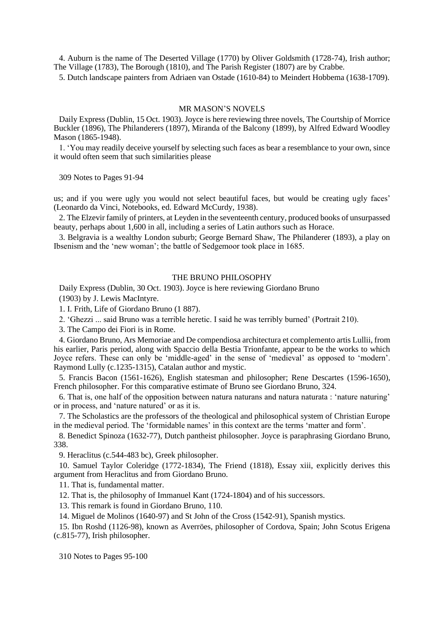4. Auburn is the name of The Deserted Village (1770) by Oliver Goldsmith (1728-74), Irish author; The Village (1783), The Borough (1810), and The Parish Register (1807) are by Crabbe.

5. Dutch landscape painters from Adriaen van Ostade (1610-84) to Meindert Hobbema (1638-1709).

# MR MASON'S NOVELS

Daily Express (Dublin, 15 Oct. 1903). Joyce is here reviewing three novels, The Courtship of Morrice Buckler (1896), The Philanderers (1897), Miranda of the Balcony (1899), by Alfred Edward Woodley Mason (1865-1948).

1. 'You may readily deceive yourself by selecting such faces as bear a resemblance to your own, since it would often seem that such similarities please

309 Notes to Pages 91-94

us; and if you were ugly you would not select beautiful faces, but would be creating ugly faces' (Leonardo da Vinci, Notebooks, ed. Edward McCurdy, 1938).

2. The Elzevir family of printers, at Leyden in the seventeenth century, produced books of unsurpassed beauty, perhaps about 1,600 in all, including a series of Latin authors such as Horace.

3. Belgravia is a wealthy London suburb; George Bernard Shaw, The Philanderer (1893), a play on Ibsenism and the 'new woman'; the battle of Sedgemoor took place in 1685.

# THE BRUNO PHILOSOPHY

Daily Express (Dublin, 30 Oct. 1903). Joyce is here reviewing Giordano Bruno (1903) by J. Lewis MacIntyre.

1. I. Frith, Life of Giordano Bruno (1 887).

2. 'Ghezzi ... said Bruno was a terrible heretic. I said he was terribly burned' (Portrait 210).

3. The Campo dei Fiori is in Rome.

4. Giordano Bruno, Ars Memoriae and De compendiosa architectura et complemento artis Lullii, from his earlier, Paris period, along with Spaccio della Bestia Trionfante, appear to be the works to which Joyce refers. These can only be 'middle-aged' in the sense of 'medieval' as opposed to 'modern'. Raymond Lully (c.1235-1315), Catalan author and mystic.

5. Francis Bacon (1561-1626), English statesman and philosopher; Rene Descartes (1596-1650), French philosopher. For this comparative estimate of Bruno see Giordano Bruno, 324.

6. That is, one half of the opposition between natura naturans and natura naturata : 'nature naturing' or in process, and 'nature natured' or as it is.

7. The Scholastics are the professors of the theological and philosophical system of Christian Europe in the medieval period. The 'formidable names' in this context are the terms 'matter and form'.

8. Benedict Spinoza (1632-77), Dutch pantheist philosopher. Joyce is paraphrasing Giordano Bruno, 338.

9. Heraclitus (c.544-483 bc), Greek philosopher.

10. Samuel Taylor Coleridge (1772-1834), The Friend (1818), Essay xiii, explicitly derives this argument from Heraclitus and from Giordano Bruno.

11. That is, fundamental matter.

12. That is, the philosophy of Immanuel Kant (1724-1804) and of his successors.

13. This remark is found in Giordano Bruno, 110.

14. Miguel de Molinos (1640-97) and St John of the Cross (1542-91), Spanish mystics.

15. Ibn Roshd (1126-98), known as Averröes, philosopher of Cordova, Spain; John Scotus Erigena (c.815-77), Irish philosopher.

310 Notes to Pages 95-100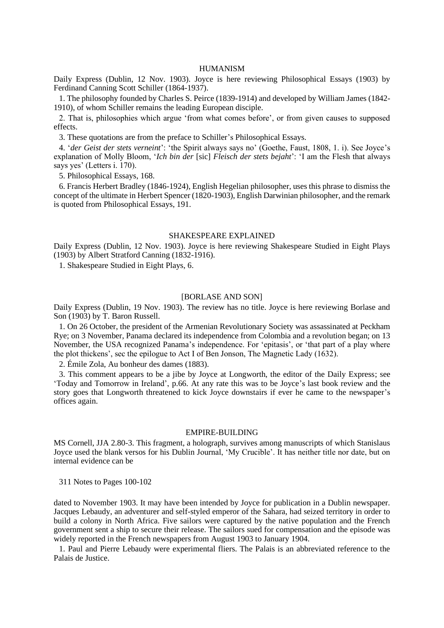# HUMANISM

Daily Express (Dublin, 12 Nov. 1903). Joyce is here reviewing Philosophical Essays (1903) by Ferdinand Canning Scott Schiller (1864-1937).

1. The philosophy founded by Charles S. Peirce (1839-1914) and developed by William James (1842- 1910), of whom Schiller remains the leading European disciple.

2. That is, philosophies which argue 'from what comes before', or from given causes to supposed effects.

3. These quotations are from the preface to Schiller's Philosophical Essays.

4. '*der Geist der stets verneint*': 'the Spirit always says no' (Goethe, Faust, 1808, 1. i). See Joyce's explanation of Molly Bloom, '*Ich bin der* [sic] *Fleisch der stets bejaht*': 'I am the Flesh that always says yes' (Letters i. 170).

5. Philosophical Essays, 168.

6. Francis Herbert Bradley (1846-1924), English Hegelian philosopher, uses this phrase to dismiss the concept of the ultimate in Herbert Spencer (1820-1903), English Darwinian philosopher, and the remark is quoted from Philosophical Essays, 191.

# SHAKESPEARE EXPLAINED

Daily Express (Dublin, 12 Nov. 1903). Joyce is here reviewing Shakespeare Studied in Eight Plays (1903) by Albert Stratford Canning (1832-1916).

1. Shakespeare Studied in Eight Plays, 6.

## [BORLASE AND SON]

Daily Express (Dublin, 19 Nov. 1903). The review has no title. Joyce is here reviewing Borlase and Son (1903) by T. Baron Russell.

1. On 26 October, the president of the Armenian Revolutionary Society was assassinated at Peckham Rye; on 3 November, Panama declared its independence from Colombia and a revolution began; on 13 November, the USA recognized Panama's independence. For 'epitasis', or 'that part of a play where the plot thickens', sec the epilogue to Act I of Ben Jonson, The Magnetic Lady (1632).

2. Émile Zola, Au bonheur des dames (1883).

3. This comment appears to be a jibe by Joyce at Longworth, the editor of the Daily Express; see 'Today and Tomorrow in Ireland', p.66. At any rate this was to be Joyce's last book review and the story goes that Longworth threatened to kick Joyce downstairs if ever he came to the newspaper's offices again.

#### EMPIRE-BUILDING

MS Cornell, JJA 2.80-3. This fragment, a holograph, survives among manuscripts of which Stanislaus Joyce used the blank versos for his Dublin Journal, 'My Crucible'. It has neither title nor date, but on internal evidence can be

311 Notes to Pages 100-102

dated to November 1903. It may have been intended by Joyce for publication in a Dublin newspaper. Jacques Lebaudy, an adventurer and self-styled emperor of the Sahara, had seized territory in order to build a colony in North Africa. Five sailors were captured by the native population and the French government sent a ship to secure their release. The sailors sued for compensation and the episode was widely reported in the French newspapers from August 1903 to January 1904.

1. Paul and Pierre Lebaudy were experimental fliers. The Palais is an abbreviated reference to the Palais de Justice.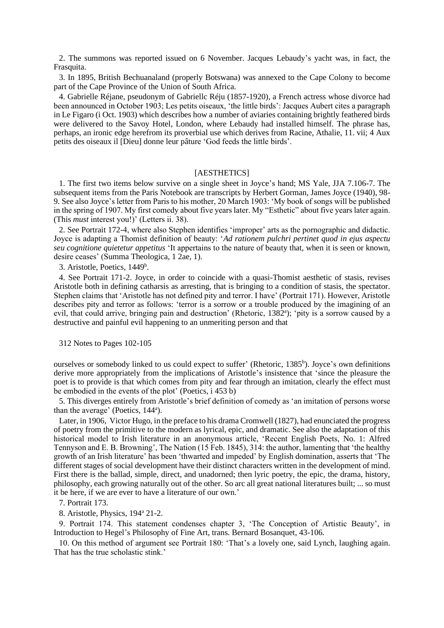2. The summons was reported issued on 6 November. Jacques Lebaudy's yacht was, in fact, the Frasquita.

3. In 1895, British Bechuanaland (properly Botswana) was annexed to the Cape Colony to become part of the Cape Province of the Union of South Africa.

4. Gabrielle Réjane, pseudonym of Gabriellc Réju (1857-1920), a French actress whose divorce had been announced in October 1903; Les petits oiseaux, 'the little birds': Jacques Aubert cites a paragraph in Le Figaro (i Oct. 1903) which describes how a number of aviaries containing brightly feathered birds were delivered to the Savoy Hotel, London, where Lebaudy had installed himself. The phrase has, perhaps, an ironic edge herefrom its proverbial use which derives from Racine, Athalie, 11. vii; 4 Aux petits des oiseaux il [Dieu] donne leur pâture 'God feeds the little birds'.

#### [AESTHETICS]

1. The first two items below survive on a single sheet in Joyce's hand; MS Yale, JJA 7.106-7. The subsequent items from the Paris Notebook are transcripts by Herbert Gorman, James Joyce (1940), 98- 9. See also Joyce's letter from Paris to his mother, 20 March 1903: 'My book of songs will be published in the spring of 1907. My first comedy about five years later. My "Esthetic" about five years later again. (This *must* interest you!)' (Letters ii. 38).

2. See Portrait 172-4, where also Stephen identifies 'improper' arts as the pornographic and didactic. Joyce is adapting a Thomist definition of beauty: '*Ad rationem pulchri pertinet quod in ejus aspectu seu cognitione quietetur appetitus* 'It appertains to the nature of beauty that, when it is seen or known, desire ceases' (Summa Theologica, 1 2ae, 1).

3. Aristotle, Poetics, 1449<sup>b</sup>.

4. See Portrait 171-2. Joyce, in order to coincide with a quasi-Thomist aesthetic of stasis, revises Aristotle both in defining catharsis as arresting, that is bringing to a condition of stasis, the spectator. Stephen claims that 'Aristotle has not defined pity and terror. I have' (Portrait 171). However, Aristotle describes pity and terror as follows: 'terror is a sorrow or a trouble produced by the imagining of an evil, that could arrive, bringing pain and destruction' (Rhetoric, 1382<sup>a</sup>); 'pity is a sorrow caused by a destructive and painful evil happening to an unmeriting person and that

312 Notes to Pages 102-105

ourselves or somebody linked to us could expect to suffer' (Rhetoric, 1385<sup>b</sup>). Joyce's own definitions derive more appropriately from the implications of Aristotle's insistence that 'since the pleasure the poet is to provide is that which comes from pity and fear through an imitation, clearly the effect must be embodied in the events of the plot' (Poetics, i 453 b)

5. This diverges entirely from Aristotle's brief definition of comedy as 'an imitation of persons worse than the average' (Poetics, 144<sup>a</sup>).

Later, in 1906, Victor Hugo, in the preface to his drama Cromwell (1827), had enunciated the progress of poetry from the primitive to the modern as lyrical, epic, and dramatic. See also the adaptation of this historical model to Irish literature in an anonymous article, 'Recent English Poets, No. 1: Alfred Tennyson and E. B. Browning', The Nation (15 Feb. 1845), 314: the author, lamenting that 'the healthy growth of an Irish literature' has been 'thwarted and impeded' by English domination, asserts that 'The different stages of social development have their distinct characters written in the development of mind. First there is the ballad, simple, direct, and unadorned; then lyric poetry, the epic, the drama, history, philosophy, each growing naturally out of the other. So arc all great national literatures built; ... so must it be here, if we are ever to have a literature of our own.'

7. Portrait 173.

8. Aristotle, Physics, 194<sup>a</sup> 21-2.

9. Portrait 174. This statement condenses chapter 3, 'The Conception of Artistic Beauty', in Introduction to Hegel's Philosophy of Fine Art, trans. Bernard Bosanquet, 43-106.

10. On this method of argument see Portrait 180: 'That's a lovely one, said Lynch, laughing again. That has the true scholastic stink.'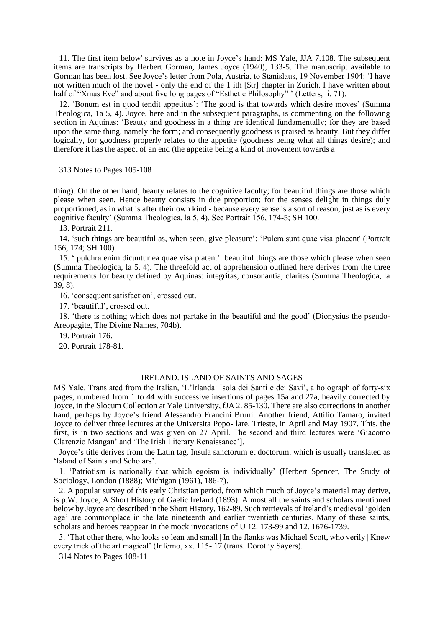11. The first item below' survives as a note in Joyce's hand: MS Yale, JJA 7.108. The subsequent items are transcripts by Herbert Gorman, James Joyce (1940), 133-5. The manuscript available to Gorman has been lost. See Joyce's letter from Pola, Austria, to Stanislaus, 19 November 1904: 'I have not written much of the novel - only the end of the 1 ith [\$tr] chapter in Zurich. I have written about half of "Xmas Eve" and about five long pages of "Esthetic Philosophy" ' (Letters, ii. 71).

12. 'Bonum est in quod tendit appetitus': 'The good is that towards which desire moves' (Summa Theologica, 1a 5, 4). Joyce, here and in the subsequent paragraphs, is commenting on the following section in Aquinas: 'Beauty and goodness in a thing are identical fundamentally; for they are based upon the same thing, namely the form; and consequently goodness is praised as beauty. But they differ logically, for goodness properly relates to the appetite (goodness being what all things desire); and therefore it has the aspect of an end (the appetite being a kind of movement towards a

313 Notes to Pages 105-108

thing). On the other hand, beauty relates to the cognitive faculty; for beautiful things are those which please when seen. Hence beauty consists in due proportion; for the senses delight in things duly proportioned, as in what is after their own kind - because every sense is a sort of reason, just as is every cognitive faculty' (Summa Theologica, la 5, 4). See Portrait 156, 174-5; SH 100.

13. Portrait 211.

14. 'such things are beautiful as, when seen, give pleasure'; 'Pulcra sunt quae visa placent' (Portrait 156, 174; SH 100).

15. ' pulchra enim dicuntur ea quae visa platent': beautiful things are those which please when seen (Summa Theologica, la 5, 4). The threefold act of apprehension outlined here derives from the three requirements for beauty defined by Aquinas: integritas, consonantia, claritas (Summa Theologica, la 39, 8).

16. 'consequent satisfaction', crossed out.

17. 'beautiful', crossed out.

18. 'there is nothing which does not partake in the beautiful and the good' (Dionysius the pseudo-Areopagite, The Divine Names, 704b).

19. Portrait 176.

20. Portrait 178-81.

#### IRELAND. ISLAND OF SAINTS AND SAGES

MS Yale. Translated from the Italian, 'L'lrlanda: Isola dei Santi e dei Savi', a holograph of forty-six pages, numbered from 1 to 44 with successive insertions of pages 15a and 27a, heavily corrected by Joyce, in the Slocum Collection at Yale University, fJA 2. 85-130. There are also corrections in another hand, perhaps by Joyce's friend Alessandro Francini Bruni. Another friend, Attilio Tamaro, invited Joyce to deliver three lectures at the Universita Popo- lare, Trieste, in April and May 1907. This, the first, is in two sections and was given on 27 April. The second and third lectures were 'Giacomo Clarenzio Mangan' and 'The Irish Literary Renaissance'].

Joyce's title derives from the Latin tag. Insula sanctorum et doctorum, which is usually translated as 'Island of Saints and Scholars'.

1. 'Patriotism is nationally that which egoism is individually' (Herbert Spencer, The Study of Sociology, London (1888); Michigan (1961), 186-7).

2. A popular survey of this early Christian period, from which much of Joyce's material may derive, is p.W. Joyce, A Short History of Gaelic Ireland (1893). Almost all the saints and scholars mentioned below by Joyce arc described in the Short History, 162-89. Such retrievals of Ireland's medieval 'golden age' are commonplace in the late nineteenth and earlier twentieth centuries. Many of these saints, scholars and heroes reappear in the mock invocations of U 12. 173-99 and 12. 1676-1739.

3. 'That other there, who looks so lean and small | In the flanks was Michael Scott, who verily | Knew every trick of the art magical' (Inferno, xx. 115- 17 (trans. Dorothy Sayers).

314 Notes to Pages 108-11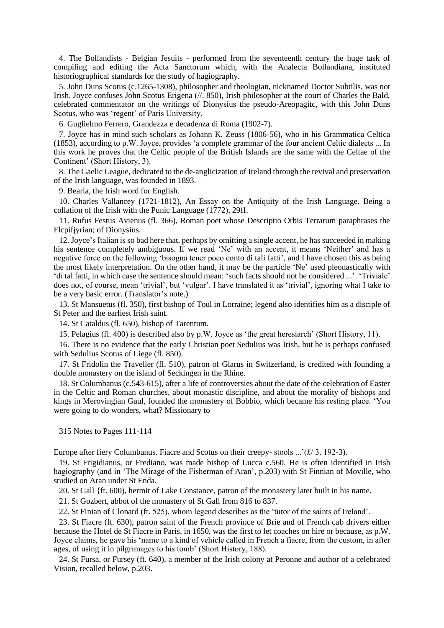4. The Bollandists - Belgian Jesuits - performed from the seventeenth century the huge task of compiling and editing the Acta Sanctorum which, with the Analecta Bollandiana, instituted historiographical standards for the study of hagiography.

5. John Duns Scotus (c.1265-1308), philosopher and theologian, nicknamed Doctor Subtilis, was not Irish. Joyce confuses John Scotus Erigena (//. 850), Irish philosopher at the court of Charles the Bald, celebrated commentator on the writings of Dionysius the pseudo-Areopagitc, with this John Duns Scotus, who was 'regent' of Paris University.

6. Guglielmo Ferrero, Grandezza e decadenza di Roma (1902-7).

7. Joyce has in mind such scholars as Johann K. Zeuss (1806-56), who in his Grammatica Celtica (1853), according to p.W. Joyce, provides 'a complete grammar of the four ancient Celtic dialects ... In this work he proves that the Celtic people of the British Islands are the same with the Celtae of the Continent' (Short History, 3).

8. The Gaelic League, dedicated to the de-anglicization of Ireland through the revival and preservation of the Irish language, was founded in 1893.

9. Bearla, the Irish word for English.

10. Charles Vallancey (1721-1812), An Essay on the Antiquity of the Irish Language. Being a collation of the Irish with the Punic Language (1772), 29ff.

11. Rufus Festus Avienus (fl. 366), Roman poet whose Descriptio Orbis Terrarum paraphrases the Flcpifjyrian; of Dionysius.

12. Joyce's Italian is so bad here that, perhaps by omitting a single accent, he has succeeded in making his sentence completely ambiguous. If we read 'Ne' with an accent, it means 'Neither' and has a negative force on the following 'bisogna tener poco conto di tali fatti', and I have chosen this as being the most likely interpretation. On the other hand, it may be the particle 'Ne' used pleonastically with 'di tal fatti, in which case the sentence should mean: 'such facts should not be considered ...'. 'Triviale' does not, of course, mean 'trivial', but 'vulgar'. I have translated it as 'trivial', ignoring what I take to be a very basic error. (Translator's note.)

13. St Mansuetus (fl. 350), first bishop of Toul in Lorraine; legend also identifies him as a disciple of St Peter and the earliest Irish saint.

14. St Cataldus (fl. 650), bishop of Tarentum.

15. Pelagius (fl. 400) is described also by p.W. Joyce as 'the great heresiarch' (Short History, 11).

16. There is no evidence that the early Christian poet Sedulius was Irish, but he is perhaps confused with Sedulius Scotus of Liege (fl. 850).

17. St Fridolin the Traveller (fl. 510), patron of Glarus in Switzerland, is credited with founding a double monastery on the island of Seckingen in the Rhine.

18. St Columbanus (c.543-615), after a life of controversies about the date of the celebration of Easter in the Celtic and Roman churches, about monastic discipline, and about the morality of bishops and kings in Merovingian Gaul, founded the monastery of Bobbio, which became his resting place. 'You were going to do wonders, what? Missionary to

315 Notes to Pages 111-114

Europe after fiery Columbanus. Fiacre and Scotus on their creepy- stools ...'( $\pounds/3$ . 192-3).

19. St Frigidianus, or Frediano, was made bishop of Lucca c.560. He is often identified in Irish hagiography (and in 'The Mirage of the Fisherman of Aran', p.203) with St Finnian of Moville, who studied on Aran under St Enda.

20. St Gall {ft. 600), hermit of Lake Constance, patron of the monastery later built in his name.

21. St Gozbert, abbot of the monastery of St Gall from 816 to 837.

22. St Finian of Clonard (ft. 525), whom legend describes as the 'tutor of the saints of Ireland'.

23. St Fiacre (ft. 630), patron saint of the French province of Brie and of French cab drivers either because the Hotel de St Fiacre in Paris, in 1650, was the first to let coaches on hire or because, as p.W. Joyce claims, he gave his 'name to a kind of vehicle called in French a fiacre, from the custom, in after ages, of using it in pilgrimages to his tomb' (Short History, 188).

24. St Fursa, or Fursey (ft. 640), a member of the Irish colony at Peronne and author of a celebrated Vision, recalled below, p.203.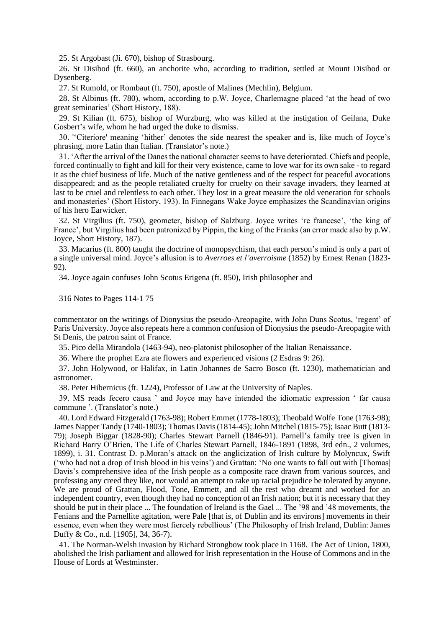25. St Argobast (Ji. 670), bishop of Strasbourg.

26. St Disibod (ft. 660), an anchorite who, according to tradition, settled at Mount Disibod or Dysenberg.

27. St Rumold, or Rombaut (ft. 750), apostle of Malines (Mechlin), Belgium.

28. St Albinus (ft. 780), whom, according to p.W. Joyce, Charlemagne placed 'at the head of two great seminaries' (Short History, 188).

29. St Kilian (ft. 675), bishop of Wurzburg, who was killed at the instigation of Geilana, Duke Gosbert's wife, whom he had urged the duke to dismiss.

30. ''Citeriore' meaning 'hither' denotes the side nearest the speaker and is, like much of Joyce's phrasing, more Latin than Italian. (Translator's note.)

31. 'After the arrival of the Danes the national character seems to have deteriorated. Chiefs and people, forced continually to fight and kill for their very existence, came to love war for its own sake - to regard it as the chief business of life. Much of the native gentleness and of the respect for peaceful avocations disappeared; and as the people retaliated cruelty for cruelty on their savage invaders, they learned at last to be cruel and relentless to each other. They lost in a great measure the old veneration for schools and monasteries' (Short History, 193). In Finnegans Wake Joyce emphasizes the Scandinavian origins of his hero Earwicker.

32. St Virgilius (ft. 750), geometer, bishop of Salzburg. Joyce writes 're francese', 'the king of France', but Virgilius had been patronized by Pippin, the king of the Franks (an error made also by p.W. Joyce, Short History, 187).

33. Macarius (ft. 800) taught the doctrine of monopsychism, that each person's mind is only a part of a single universal mind. Joyce's allusion is to *Averroes et l'averroisme* (1852) by Ernest Renan (1823- 92).

34. Joyce again confuses John Scotus Erigena (ft. 850), Irish philosopher and

316 Notes to Pages 114-1 75

commentator on the writings of Dionysius the pseudo-Areopagite, with John Duns Scotus, 'regent' of Paris University. Joyce also repeats here a common confusion of Dionysius the pseudo-Areopagite with St Denis, the patron saint of France.

35. Pico della Mirandola (1463-94), neo-platonist philosopher of the Italian Renaissance.

36. Where the prophet Ezra ate flowers and experienced visions (2 Esdras 9: 26).

37. John Holywood, or Halifax, in Latin Johannes de Sacro Bosco (ft. 1230), mathematician and astronomer.

38. Peter Hibernicus (ft. 1224), Professor of Law at the University of Naples.

39. MS reads fecero causa ' and Joyce may have intended the idiomatic expression ' far causa commune '. (Translator's note.)

40. Lord Edward Fitzgerald (1763-98); Robert Emmet (1778-1803); Theobald Wolfe Tone (1763-98); James Napper Tandy (1740-1803); Thomas Davis (1814-45); John Mitchel (1815-75); Isaac Butt (1813- 79); Joseph Biggar (1828-90); Charles Stewart Parnell (1846-91). Parnell's family tree is given in Richard Barry O'Brien, The Life of Charles Stewart Parnell, 1846-1891 (1898, 3rd edn., 2 volumes, 1899), i. 31. Contrast D. p.Moran's attack on the anglicization of Irish culture by Molyncux, Swift ('who had not a drop of Irish blood in his veins') and Grattan: 'No one wants to fall out with [Thomas| Davis's comprehensive idea of the Irish people as a composite race drawn from various sources, and professing any creed they like, nor would an attempt to rake up racial prejudice be tolerated by anyone. We are proud of Grattan, Flood, Tone, Emmett, and all the rest who dreamt and worked for an independent country, even though they had no conception of an Irish nation; but it is necessary that they should be put in their place ... The foundation of Ireland is the Gael ... The '98 and '48 movements, the Fenians and the Parnellite agitation, were Pale [that is, of Dublin and its environs] movements in their essence, even when they were most fiercely rebellious' (The Philosophy of Irish Ireland, Dublin: James Duffy & Co., n.d. [1905], 34, 36-7).

41. The Norman-Welsh invasion by Richard Strongbow took place in 1168. The Act of Union, 1800, abolished the Irish parliament and allowed for Irish representation in the House of Commons and in the House of Lords at Westminster.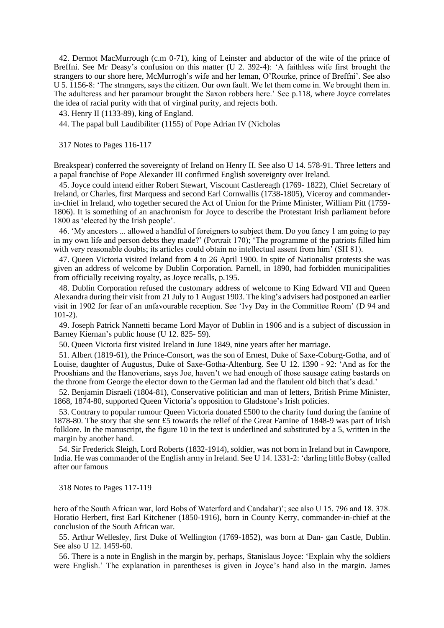42. Dermot MacMurrough (c.m 0-71), king of Leinster and abductor of the wife of the prince of Breffni. See Mr Deasy's confusion on this matter (U 2. 392-4): 'A faithless wife first brought the strangers to our shore here, McMurrogh's wife and her leman, O'Rourke, prince of Breffni'. See also U 5. 1156-8: 'The strangers, says the citizen. Our own fault. We let them come in. We brought them in. The adulteress and her paramour brought the Saxon robbers here.' See p.118, where Joyce correlates the idea of racial purity with that of virginal purity, and rejects both.

43. Henry II (1133-89), king of England.

44. The papal bull Laudibiliter (1155) of Pope Adrian IV (Nicholas

317 Notes to Pages 116-117

Breakspear) conferred the sovereignty of Ireland on Henry II. See also U 14. 578-91. Three letters and a papal franchise of Pope Alexander III confirmed English sovereignty over Ireland.

45. Joyce could intend either Robert Stewart, Viscount Castlereagh (1769- 1822), Chief Secretary of Ireland, or Charles, first Marquess and second Earl Cornwallis (1738-1805), Viceroy and commanderin-chief in Ireland, who together secured the Act of Union for the Prime Minister, William Pitt (1759- 1806). It is something of an anachronism for Joyce to describe the Protestant Irish parliament before 1800 as 'elected by the Irish people'.

46. 'My ancestors ... allowed a handful of foreigners to subject them. Do you fancy 1 am going to pay in my own life and person debts they made?' (Portrait 170); 'The programme of the patriots filled him with very reasonable doubts; its articles could obtain no intellectual assent from him' (SH 81).

47. Queen Victoria visited Ireland from 4 to 26 April 1900. In spite of Nationalist protests she was given an address of welcome by Dublin Corporation. Parnell, in 1890, had forbidden municipalities from officially receiving royalty, as Joyce recalls, p.195.

48. Dublin Corporation refused the customary address of welcome to King Edward VII and Queen Alexandra during their visit from 21 July to 1 August 1903. The king's advisers had postponed an earlier visit in 1902 for fear of an unfavourable reception. See 'Ivy Day in the Committee Room' (D 94 and 101-2).

49. Joseph Patrick Nannetti became Lord Mayor of Dublin in 1906 and is a subject of discussion in Barney Kiernan's public house (U 12. 825- 59).

50. Queen Victoria first visited Ireland in June 1849, nine years after her marriage.

51. Albert (1819-61), the Prince-Consort, was the son of Ernest, Duke of Saxe-Coburg-Gotha, and of Louise, daughter of Augustus, Duke of Saxe-Gotha-Altenburg. See U 12. 1390 - 92: 'And as for the Prooshians and the Hanoverians, says Joe, haven't we had enough of those sausage eating bastards on the throne from George the elector down to the German lad and the flatulent old bitch that's dead.'

52. Benjamin Disraeli (1804-81), Conservative politician and man of letters, British Prime Minister, 1868, 1874-80, supported Queen Victoria's opposition to Gladstone's Irish policies.

53. Contrary to popular rumour Queen Victoria donated £500 to the charity fund during the famine of 1878-80. The story that she sent £5 towards the relief of the Great Famine of 1848-9 was part of Irish folklore. In the manuscript, the figure 10 in the text is underlined and substituted by a 5, written in the margin by another hand.

54. Sir Frederick Sleigh, Lord Roberts (1832-1914), soldier, was not born in Ireland but in Cawnpore, India. He was commander of the English army in Ireland. See U 14. 1331-2: 'darling little Bobsy (called after our famous

318 Notes to Pages 117-119

hero of the South African war, lord Bobs of Waterford and Candahar)'; see also U 15. 796 and 18. 378. Horatio Herbert, first Earl Kitchener (1850-1916), born in County Kerry, commander-in-chief at the conclusion of the South African war.

55. Arthur Wellesley, first Duke of Wellington (1769-1852), was born at Dan- gan Castle, Dublin. See also U 12. 1459-60.

56. There is a note in English in the margin by, perhaps, Stanislaus Joyce: 'Explain why the soldiers were English.' The explanation in parentheses is given in Joyce's hand also in the margin. James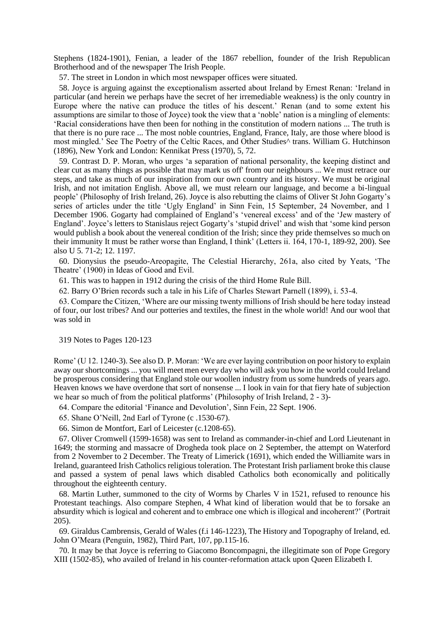Stephens (1824-1901), Fenian, a leader of the 1867 rebellion, founder of the Irish Republican Brotherhood and of the newspaper The Irish People.

57. The street in London in which most newspaper offices were situated.

58. Joyce is arguing against the exceptionalism asserted about Ireland by Ernest Renan: 'Ireland in particular (and herein we perhaps have the secret of her irremediable weakness) is the only country in Europe where the native can produce the titles of his descent.' Renan (and to some extent his assumptions are similar to those of Joyce) took the view that a 'noble' nation is a mingling of elements: 'Racial considerations have then been for nothing in the constitution of modern nations ... The truth is that there is no pure race ... The most noble countries, England, France, Italy, are those where blood is most mingled.' See The Poetry of the Celtic Races, and Other Studies^ trans. William G. Hutchinson (1896), New York and London: Kennikat Press (1970), 5, 72.

59. Contrast D. P. Moran, who urges 'a separation of national personality, the keeping distinct and clear cut as many things as possible that may mark us off' from our neighbours ... We must retrace our steps, and take as much of our inspiration from our own country and its history. We must be original Irish, and not imitation English. Above all, we must relearn our language, and become a bi-lingual people' (Philosophy of Irish Ireland, 26). Joyce is also rebutting the claims of Oliver St John Gogarty's series of articles under the title 'Ugly England' in Sinn Fein, 15 September, 24 November, and 1 December 1906. Gogarty had complained of England's 'venereal excess' and of the 'Jew mastery of England'. Joyce's letters to Stanislaus reject Gogarty's 'stupid drivel' and wish that 'some kind person would publish a book about the venereal condition of the Irish; since they pride themselves so much on their immunity It must be rather worse than England, I think' (Letters ii. 164, 170-1, 189-92, 200). See also U 5. 71-2; 12. 1197.

60. Dionysius the pseudo-Areopagite, The Celestial Hierarchy, 261a, also cited by Yeats, 'The Theatre' (1900) in Ideas of Good and Evil.

61. This was to happen in 1912 during the crisis of the third Home Rule Bill.

62. Barry O'Brien records such a tale in his Life of Charles Stewart Parnell (1899), i. 53-4.

63. Compare the Citizen, 'Where are our missing twenty millions of Irish should be here today instead of four, our lost tribes? And our potteries and textiles, the finest in the whole world! And our wool that was sold in

319 Notes to Pages 120-123

Rome' (U 12. 1240-3). See also D. P. Moran: 'We are ever laying contribution on poor history to explain away our shortcomings ... you will meet men every day who will ask you how in the world could Ireland be prosperous considering that England stole our woollen industry from us some hundreds of years ago. Heaven knows we have overdone that sort of nonsense ... I look in vain for that fiery hate of subjection we hear so much of from the political platforms' (Philosophy of Irish Ireland, 2 - 3)-

64. Compare the editorial 'Finance and Devolution', Sinn Fein, 22 Sept. 1906.

- 65. Shane O'Neill, 2nd Earl of Tyrone (c .1530-67).
- 66. Simon de Montfort, Earl of Leicester (c.1208-65).

67. Oliver Cromwell (1599-1658) was sent to Ireland as commander-in-chief and Lord Lieutenant in 1649; the storming and massacre of Drogheda took place on 2 September, the attempt on Waterford from 2 November to 2 December. The Treaty of Limerick (1691), which ended the Williamite wars in Ireland, guaranteed Irish Catholics religious toleration. The Protestant Irish parliament broke this clause and passed a system of penal laws which disabled Catholics both economically and politically throughout the eighteenth century.

68. Martin Luther, summoned to the city of Worms by Charles V in 1521, refused to renounce his Protestant teachings. Also compare Stephen, 4 What kind of liberation would that be to forsake an absurdity which is logical and coherent and to embrace one which is illogical and incoherent?' (Portrait 205).

69. Giraldus Cambrensis, Gerald of Wales (f.i 146-1223), The History and Topography of Ireland, ed. John O'Meara (Penguin, 1982), Third Part, 107, pp.115-16.

70. It may be that Joyce is referring to Giacomo Boncompagni, the illegitimate son of Pope Gregory XIII (1502-85), who availed of Ireland in his counter-reformation attack upon Queen Elizabeth I.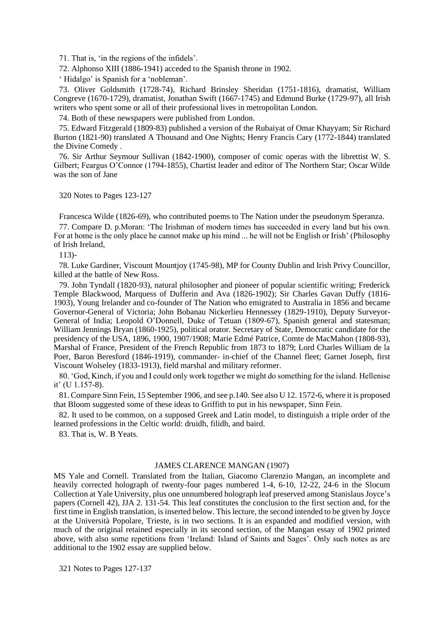71. That is, 'in the regions of the infidels'.

72. Alphonso XIII (1886-1941) acceded to the Spanish throne in 1902.

' Hidalgo' is Spanish for a 'nobleman'.

73. Oliver Goldsmith (1728-74), Richard Brinsley Sheridan (1751-1816), dramatist, William Congreve (1670-1729), dramatist, Jonathan Swift (1667-1745) and Edmund Burke (1729-97), all Irish writers who spent some or all of their professional lives in metropolitan London.

74. Both of these newspapers were published from London.

75. Edward Fitzgerald (1809-83) published a version of the Rubaiyat of Omar Khayyam; Sir Richard Burton (1821-90) translated A Thousand and One Nights; Henry Francis Cary (1772-1844) translated the Divine Comedy .

76. Sir Arthur Seymour Sullivan (1842-1900), composer of comic operas with the librettist W. S. Gilbert; Feargus O'Connor (1794-1855), Chartist leader and editor of The Northern Star; Oscar Wilde was the son of Jane

320 Notes to Pages 123-127

Francesca Wilde (1826-69), who contributed poems to The Nation under the pseudonym Speranza.

77. Compare D. p.Moran: 'The Irishman of modern times has succeeded in every land but his own. For at home is the only place he cannot make up his mind ... he will not be English or Irish' (Philosophy of Irish Ireland,

113)-

78. Luke Gardiner, Viscount Mountjoy (1745-98), MP for County Dublin and Irish Privy Councillor, killed at the battle of New Ross.

79. John Tyndall (1820-93), natural philosopher and pioneer of popular scientific writing; Frederick Temple Blackwood, Marquess of Dufferin and Ava (1826-1902); Sir Charles Gavan Duffy (1816- 1903), Young Irelander and co-founder of The Nation who emigrated to Australia in 1856 and became Governor-General of Victoria; John Bobanau Nickerlieu Hennessey (1829-1910), Deputy Surveyor-General of India; Leopold O'Donnell, Duke of Tetuan (1809-67), Spanish general and statesman; William Jennings Bryan (1860-1925), political orator. Secretary of State, Democratic candidate for the presidency of the USA, 1896, 1900, 1907/1908; Marie Edmé Patrice, Comte de MacMahon (1808-93), Marshal of France, President of the French Republic from 1873 to 1879; Lord Charles William de la Poer, Baron Beresford (1846-1919), commander- in-chief of the Channel fleet; Garnet Joseph, first Viscount Wolseley (1833-1913), field marshal and military reformer.

80. 'God, Kinch, if you and I could only work together we might do something for the island. Hellenise it' (U 1.157-8).

81. Compare Sinn Fein, 15 September 1906, and see p.140. See also U 12. 1572-6, where it is proposed that Bloom suggested some of these ideas to Griffith to put in his newspaper, Sinn Fein.

82. It used to be common, on a supposed Greek and Latin model, to distinguish a triple order of the learned professions in the Celtic world: druidh, filidh, and baird.

83. That is, W. B Yeats.

## JAMES CLARENCE MANGAN (1907)

MS Yale and Cornell. Translated from the Italian, Giacomo Clarenzio Mangan, an incomplete and heavily corrected holograph of twenty-four pages numbered 1-4, 6-10, 12-22, 24-6 in the Slocum Collection at Yale University, plus one unnumbered holograph leaf preserved among Stanislaus Joyce's papers (Cornell 42), JJA 2. 131-54. This leaf constitutes the conclusion to the first section and, for the first time in English translation, is inserted below. This lecture, the second intended to be given by Joyce at the Università Popolare, Trieste, is in two sections. It is an expanded and modified version, with much of the original retained especially in its second section, of the Mangan essay of 1902 printed above, with also some repetitions from 'Ireland: Island of Saints and Sages'. Only such notes as are additional to the 1902 essay are supplied below.

321 Notes to Pages 127-137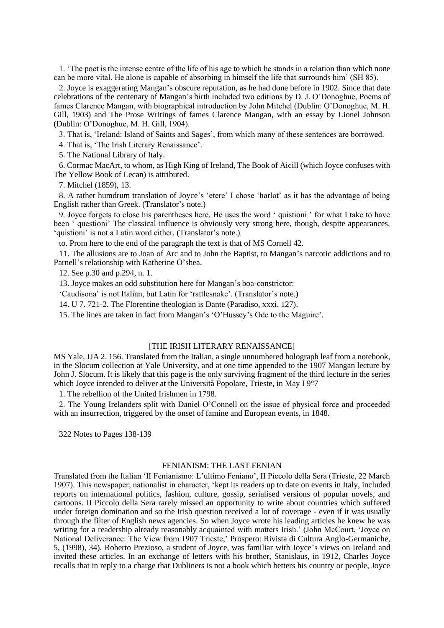1. 'The poet is the intense centre of the life of his age to which he stands in a relation than which none can be more vital. He alone is capable of absorbing in himself the life that surrounds him' (SH 85).

2. Joyce is exaggerating Mangan's obscure reputation, as he had done before in 1902. Since that date celebrations of the centenary of Mangan's birth included two editions by D. J. O'Donoghue, Poems of fames Clarence Mangan, with biographical introduction by John Mitchel (Dublin: O'Donoghue, M. H. Gill, 1903) and The Prose Writings of fames Clarence Mangan, with an essay by Lionel Johnson (Dublin: O'Donoghue, M. H. Gill, 1904).

3. That is, 'Ireland: Island of Saints and Sages', from which many of these sentences are borrowed.

4. That is, 'The Irish Literary Renaissance'.

5. The National Library of Italy.

6. Cormac MacArt, to whom, as High King of Ireland, The Book of Aicill (which Joyce confuses with The Yellow Book of Lecan) is attributed.

7. Mitchel (1859), 13.

8. A rather humdrum translation of Joyce's 'etere' I chose 'harlot' as it has the advantage of being English rather than Greek. (Translator's note.)

9. Joyce forgets to close his parentheses here. He uses the word ' quistioni ' for what I take to have been ' questioni' The classical influence is obviously very strong here, though, despite appearances, 'quistioni' is not a Latin word either. (Translator's note.)

to. Prom here to the end of the paragraph the text is that of MS Cornell 42.

11. The allusions are to Joan of Arc and to John the Baptist, to Mangan's narcotic addictions and to Parnell's relationship with Katherine O'shea.

12. See p.30 and p.294, n. 1.

13. Joyce makes an odd substitution here for Mangan's boa-constrictor:

'Caudisona' is not Italian, but Latin for 'rattlesnake'. (Translator's note.)

14. U 7. 721-2. The Florentine theologian is Dante (Paradiso, xxxi. 127).

15. The lines are taken in fact from Mangan's 'O'Hussey's Ode to the Maguire'.

# [THE IRISH LITERARY RENAISSANCE]

MS Yale, JJA 2. 156. Translated from the Italian, a single unnumbered holograph leaf from a notebook, in the Slocum collection at Yale University, and at one time appended to the 1907 Mangan lecture by John J. Slocum. It is likely that this page is the only surviving fragment of the third lecture in the series which Joyce intended to deliver at the Università Popolare, Trieste, in May I 9°7

1. The rebellion of the United Irishmen in 1798.

2. The Young Irelanders split with Daniel O'Connell on the issue of physical force and proceeded with an insurrection, triggered by the onset of famine and European events, in 1848.

322 Notes to Pages 138-139

## FENIANISM: THE LAST FENIAN

Translated from the Italian 'II Fenianismo: L'ultimo Feniano', II Piccolo della Sera (Trieste, 22 March 1907). This newspaper, nationalist in character, 'kept its readers up to date on events in Italy, included reports on international politics, fashion, culture, gossip, serialised versions of popular novels, and cartoons. II Piccolo della Sera rarely missed an opportunity to write about countries which suffered under foreign domination and so the Irish question received a lot of coverage - even if it was usually through the filter of English news agencies. So when Joyce wrote his leading articles he knew he was writing for a readership already reasonably acquainted with matters Irish.' (John McCourt, 'Joyce on National Deliverance: The View from 1907 Trieste,' Prospero: Rivista di Cultura Anglo-Germaniche, 5, (1998), 34). Roberto Prezioso, a student of Joyce, was familiar with Joyce's views on Ireland and invited these articles. In an exchange of letters with his brother, Stanislaus, in 1912, Charles Joyce recalls that in reply to a charge that Dubliners is not a book which betters his country or people, Joyce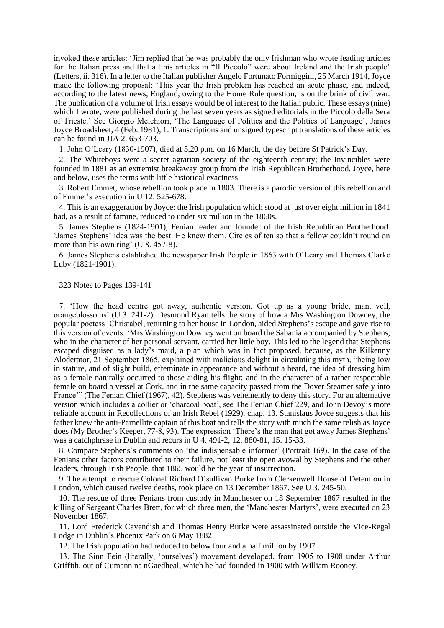invoked these articles: 'Jim replied that he was probably the only Irishman who wrote leading articles for the Italian press and that all his articles in "II Piccolo" were about Ireland and the Irish people' (Letters, ii. 316). In a letter to the Italian publisher Angelo Fortunato Formiggini, 25 March 1914, Joyce made the following proposal: 'This year the Irish problem has reached an acute phase, and indeed, according to the latest news, England, owing to the Home Rule question, is on the brink of civil war. The publication of a volume of Irish essays would be of interest to the Italian public. These essays (nine) which I wrote, were published during the last seven years as signed editorials in the Piccolo della Sera of Trieste.' See Giorgio Melchiori, 'The Language of Politics and the Politics of Language', James Joyce Broadsheet, 4 (Feb. 1981), 1. Transcriptions and unsigned typescript translations of these articles can be found in JJA 2. 653-703.

1. John O'Leary (1830-1907), died at 5.20 p.m. on 16 March, the day before St Patrick's Day.

2. The Whiteboys were a secret agrarian society of the eighteenth century; the Invincibles were founded in 1881 as an extremist breakaway group from the Irish Republican Brotherhood. Joyce, here and below, uses the terms with little historical exactness.

3. Robert Emmet, whose rebellion took place in 1803. There is a parodic version of this rebellion and of Emmet's execution in U 12. 525-678.

4. This is an exaggeration by Joyce: the Irish population which stood at just over eight million in 1841 had, as a result of famine, reduced to under six million in the 1860s.

5. James Stephens (1824-1901), Fenian leader and founder of the Irish Republican Brotherhood. 'James Stephens' idea was the best. He knew them. Circles of ten so that a fellow couldn't round on more than his own ring' (U 8. 457-8).

6. James Stephens established the newspaper Irish People in 1863 with O'Leary and Thomas Clarke Luby (1821-1901).

323 Notes to Pages 139-141

7. 'How the head centre got away, authentic version. Got up as a young bride, man, veil, orangeblossoms' (U 3. 241-2). Desmond Ryan tells the story of how a Mrs Washington Downey, the popular poetess 'Christabel, returning to her house in London, aided Stephens's escape and gave rise to this version of events: 'Mrs Washington Downey went on board the Sabania accompanied by Stephens, who in the character of her personal servant, carried her little boy. This led to the legend that Stephens escaped disguised as a lady's maid, a plan which was in fact proposed, because, as the Kilkenny Aloderator, 21 September 1865, explained with malicious delight in circulating this myth, "being low in stature, and of slight build, effeminate in appearance and without a beard, the idea of dressing him as a female naturally occurred to those aiding his flight; and in the character of a rather respectable female on board a vessel at Cork, and in the same capacity passed from the Dover Steamer safely into France'" (The Fenian Chief (1967), 42). Stephens was vehemently to deny this story. For an alternative version which includes a collier or 'charcoal boat', see The Fenian Chief 229, and John Devoy's more reliable account in Recollections of an Irish Rebel (1929), chap. 13. Stanislaus Joyce suggests that his father knew the anti-Parnellite captain of this boat and tells the story with much the same relish as Joyce does (My Brother's Keeper, 77-8, 93). The expression 'There's the man that got away James Stephens' was a catchphrase in Dublin and recurs in U 4. 491-2, 12. 880-81, 15. 15-33.

8. Compare Stephens's comments on 'the indispensable informer' (Portrait 169). In the case of the Fenians other factors contributed to their failure, not least the open avowal by Stephens and the other leaders, through Irish People, that 1865 would be the year of insurrection.

9. The attempt to rescue Colonel Richard O'sullivan Burke from Clerkenwell House of Detention in London, which caused twelve deaths, took place on 13 December 1867. See U 3. 245-50.

10. The rescue of three Fenians from custody in Manchester on 18 September 1867 resulted in the killing of Sergeant Charles Brett, for which three men, the 'Manchester Martyrs', were executed on 23 November 1867.

11. Lord Frederick Cavendish and Thomas Henry Burke were assassinated outside the Vice-Regal Lodge in Dublin's Phoenix Park on 6 May 1882.

12. The Irish population had reduced to below four and a half million by 1907.

13. The Sinn Fein (literally, 'ourselves') movement developed, from 1905 to 1908 under Arthur Griffith, out of Cumann na nGaedheal, which he had founded in 1900 with William Rooney.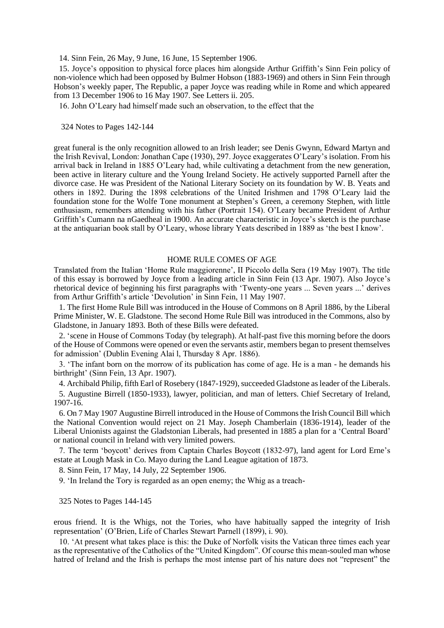14. Sinn Fein, 26 May, 9 June, 16 June, 15 September 1906.

15. Joyce's opposition to physical force places him alongside Arthur Griffith's Sinn Fein policy of non-violence which had been opposed by Bulmer Hobson (1883-1969) and others in Sinn Fein through Hobson's weekly paper, The Republic, a paper Joyce was reading while in Rome and which appeared from 13 December 1906 to 16 May 1907. See Letters ii. 205.

16. John O'Leary had himself made such an observation, to the effect that the

324 Notes to Pages 142-144

great funeral is the only recognition allowed to an Irish leader; see Denis Gwynn, Edward Martyn and the Irish Revival, London: Jonathan Cape (1930), 297. Joyce exaggerates O'Leary's isolation. From his arrival back in Ireland in 1885 O'Leary had, while cultivating a detachment from the new generation, been active in literary culture and the Young Ireland Society. He actively supported Parnell after the divorce case. He was President of the National Literary Society on its foundation by W. B. Yeats and others in 1892. During the 1898 celebrations of the United Irishmen and 1798 O'Leary laid the foundation stone for the Wolfe Tone monument at Stephen's Green, a ceremony Stephen, with little enthusiasm, remembers attending with his father (Portrait 154). O'Leary became President of Arthur Griffith's Cumann na nGaedheal in 1900. An accurate characteristic in Joyce's sketch is the purchase at the antiquarian book stall by O'Leary, whose library Yeats described in 1889 as 'the best I know'.

### HOME RULE COMES OF AGE

Translated from the Italian 'Home Rule maggiorenne', II Piccolo della Sera (19 May 1907). The title of this essay is borrowed by Joyce from a leading article in Sinn Fein (13 Apr. 1907). Also Joyce's rhetorical device of beginning his first paragraphs with 'Twenty-one years ... Seven years ...' derives from Arthur Griffith's article 'Devolution' in Sinn Fein, 11 May 1907.

1. The first Home Rule Bill was introduced in the House of Commons on 8 April 1886, by the Liberal Prime Minister, W. E. Gladstone. The second Home Rule Bill was introduced in the Commons, also by Gladstone, in January 1893. Both of these Bills were defeated.

2. 'scene in House of Commons Today (by telegraph). At half-past five this morning before the doors of the House of Commons were opened or even the servants astir, members began to present themselves for admission' (Dublin Evening Alai l, Thursday 8 Apr. 1886).

3. 'The infant born on the morrow of its publication has come of age. He is a man - he demands his birthright' (Sinn Fein, 13 Apr. 1907).

4. Archibald Philip, fifth Earl of Rosebery (1847-1929), succeeded Gladstone as leader of the Liberals.

5. Augustine Birrell (1850-1933), lawyer, politician, and man of letters. Chief Secretary of Ireland, 1907-16.

6. On 7 May 1907 Augustine Birrell introduced in the House of Commons the Irish Council Bill which the National Convention would reject on 21 May. Joseph Chamberlain (1836-1914), leader of the Liberal Unionists against the Gladstonian Liberals, had presented in 1885 a plan for a 'Central Board' or national council in Ireland with very limited powers.

7. The term 'boycott' derives from Captain Charles Boycott (1832-97), land agent for Lord Erne's estate at Lough Mask in Co. Mayo during the Land League agitation of 1873.

8. Sinn Fein, 17 May, 14 July, 22 September 1906.

9. 'In Ireland the Tory is regarded as an open enemy; the Whig as a treach-

325 Notes to Pages 144-145

erous friend. It is the Whigs, not the Tories, who have habitually sapped the integrity of Irish representation' (O'Brien, Life of Charles Stewart Parnell (1899), i. 90).

10. 'At present what takes place is this: the Duke of Norfolk visits the Vatican three times each year as the representative of the Catholics of the "United Kingdom". Of course this mean-souled man whose hatred of Ireland and the Irish is perhaps the most intense part of his nature does not "represent" the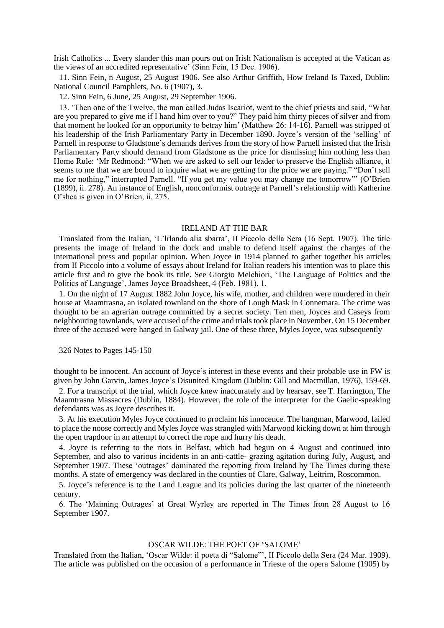Irish Catholics ... Every slander this man pours out on Irish Nationalism is accepted at the Vatican as the views of an accredited representative' (Sinn Fein, 15 Dec. 1906).

11. Sinn Fein, n August, 25 August 1906. See also Arthur Griffith, How Ireland Is Taxed, Dublin: National Council Pamphlets, No. 6 (1907), 3.

12. Sinn Fein, 6 June, 25 August, 29 September 1906.

13. 'Then one of the Twelve, the man called Judas Iscariot, went to the chief priests and said, "What are you prepared to give me if I hand him over to you?" They paid him thirty pieces of silver and from that moment he looked for an opportunity to betray him' (Matthew 26: 14-16). Parnell was stripped of his leadership of the Irish Parliamentary Party in December 1890. Joyce's version of the 'selling' of Parnell in response to Gladstone's demands derives from the story of how Parnell insisted that the Irish Parliamentary Party should demand from Gladstone as the price for dismissing him nothing less than Home Rule: 'Mr Redmond: "When we are asked to sell our leader to preserve the English alliance, it seems to me that we are bound to inquire what we are getting for the price we are paying." "Don't sell me for nothing," interrupted Parnell. "If you get my value you may change me tomorrow"' (O'Brien (1899), ii. 278). An instance of English, nonconformist outrage at Parnell's relationship with Katherine O'shea is given in O'Brien, ii. 275.

#### IRELAND AT THE BAR

Translated from the Italian, 'L'lrlanda alia sbarra', II Piccolo della Sera (16 Sept. 1907). The title presents the image of Ireland in the dock and unable to defend itself against the charges of the international press and popular opinion. When Joyce in 1914 planned to gather together his articles from II Piccolo into a volume of essays about Ireland for Italian readers his intention was to place this article first and to give the book its title. See Giorgio Melchiori, 'The Language of Politics and the Politics of Language', James Joyce Broadsheet, 4 (Feb. 1981), 1.

1. On the night of 17 August 1882 John Joyce, his wife, mother, and children were murdered in their house at Maamtrasna, an isolated townland on the shore of Lough Mask in Connemara. The crime was thought to be an agrarian outrage committed by a secret society. Ten men, Joyces and Caseys from neighbouring townlands, were accused of the crime and trials took place in November. On 15 December three of the accused were hanged in Galway jail. One of these three, Myles Joyce, was subsequently

326 Notes to Pages 145-150

thought to be innocent. An account of Joyce's interest in these events and their probable use in FW is given by John Garvin, James Joyce's Disunited Kingdom (Dublin: Gill and Macmillan, 1976), 159-69.

2. For a transcript of the trial, which Joyce knew inaccurately and by hearsay, see T. Harrington, The Maamtrasna Massacres (Dublin, 1884). However, the role of the interpreter for the Gaelic-speaking defendants was as Joyce describes it.

3. At his execution Myles Joyce continued to proclaim his innocence. The hangman, Marwood, failed to place the noose correctly and Myles Joyce was strangled with Marwood kicking down at him through the open trapdoor in an attempt to correct the rope and hurry his death.

4. Joyce is referring to the riots in Belfast, which had begun on 4 August and continued into September, and also to various incidents in an anti-cattle- grazing agitation during July, August, and September 1907. These 'outrages' dominated the reporting from Ireland by The Times during these months. A state of emergency was declared in the counties of Clare, Galway, Leitrim, Roscommon.

5. Joyce's reference is to the Land League and its policies during the last quarter of the nineteenth century.

6. The 'Maiming Outrages' at Great Wyrley are reported in The Times from 28 August to 16 September 1907.

# OSCAR WILDE: THE POET OF 'SALOME'

Translated from the Italian, 'Oscar Wilde: il poeta di "Salome"', II Piccolo della Sera (24 Mar. 1909). The article was published on the occasion of a performance in Trieste of the opera Salome (1905) by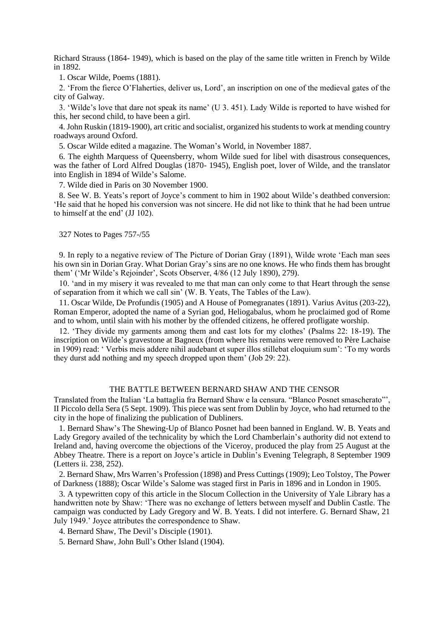Richard Strauss (1864- 1949), which is based on the play of the same title written in French by Wilde in 1892.

1. Oscar Wilde, Poems (1881).

2. 'From the fierce O'Flaherties, deliver us, Lord', an inscription on one of the medieval gates of the city of Galway.

3. 'Wilde's love that dare not speak its name' (U 3. 451). Lady Wilde is reported to have wished for this, her second child, to have been a girl.

4. John Ruskin (1819-1900), art critic and socialist, organized his students to work at mending country roadways around Oxford.

5. Oscar Wilde edited a magazine. The Woman's World, in November 1887.

6. The eighth Marquess of Queensberry, whom Wilde sued for libel with disastrous consequences, was the father of Lord Alfred Douglas (1870- 1945), English poet, lover of Wilde, and the translator into English in 1894 of Wilde's Salome.

7. Wilde died in Paris on 30 November 1900.

8. See W. B. Yeats's report of Joyce's comment to him in 1902 about Wilde's deathbed conversion: 'He said that he hoped his conversion was not sincere. He did not like to think that he had been untrue to himself at the end' (JJ 102).

327 Notes to Pages 757-/55

9. In reply to a negative review of The Picture of Dorian Gray (1891), Wilde wrote 'Each man sees his own sin in Dorian Gray. What Dorian Gray's sins are no one knows. He who finds them has brought them' ('Mr Wilde's Rejoinder', Scots Observer, 4/86 (12 July 1890), 279).

10. 'and in my misery it was revealed to me that man can only come to that Heart through the sense of separation from it which we call sin' (W. B. Yeats, The Tables of the Law).

11. Oscar Wilde, De Profundis (1905) and A House of Pomegranates (1891). Varius Avitus (203-22), Roman Emperor, adopted the name of a Syrian god, Heliogabalus, whom he proclaimed god of Rome and to whom, until slain with his mother by the offended citizens, he offered profligate worship.

12. 'They divide my garments among them and cast lots for my clothes' (Psalms 22: 18-19). The inscription on Wilde's gravestone at Bagneux (from where his remains were removed to Père Lachaise in 1909) read: ' Verbis meis addere nihil audebant et super illos stillebat eloquium sum': 'To my words they durst add nothing and my speech dropped upon them' (Job 29: 22).

## THE BATTLE BETWEEN BERNARD SHAW AND THE CENSOR

Translated from the Italian 'La battaglia fra Bernard Shaw e la censura. "Blanco Posnet smascherato"', II Piccolo della Sera (5 Sept. 1909). This piece was sent from Dublin by Joyce, who had returned to the city in the hope of finalizing the publication of Dubliners.

1. Bernard Shaw's The Shewing-Up of Blanco Posnet had been banned in England. W. B. Yeats and Lady Gregory availed of the technicality by which the Lord Chamberlain's authority did not extend to Ireland and, having overcome the objections of the Viceroy, produced the play from 25 August at the Abbey Theatre. There is a report on Joyce's article in Dublin's Evening Telegraph, 8 September 1909 (Letters ii. 238, 252).

2. Bernard Shaw, Mrs Warren's Profession (1898) and Press Cuttings (1909); Leo Tolstoy, The Power of Darkness (1888); Oscar Wilde's Salome was staged first in Paris in 1896 and in London in 1905.

3. A typewritten copy of this article in the Slocum Collection in the University of Yale Library has a handwritten note by Shaw: 'There was no exchange of letters between myself and Dublin Castle. The campaign was conducted by Lady Gregory and W. B. Yeats. I did not interfere. G. Bernard Shaw, 21 July 1949.' Joyce attributes the correspondence to Shaw.

4. Bernard Shaw, The Devil's Disciple (1901).

5. Bernard Shaw, John Bull's Other Island (1904).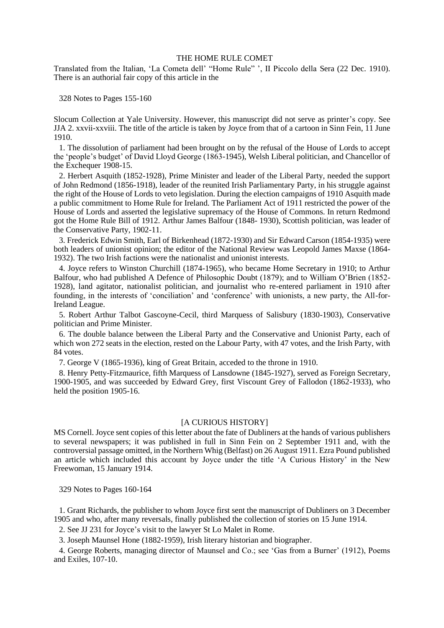#### THE HOME RULE COMET

Translated from the Italian, 'La Cometa dell' "Home Rule" ', II Piccolo della Sera (22 Dec. 1910). There is an authorial fair copy of this article in the

328 Notes to Pages 155-160

Slocum Collection at Yale University. However, this manuscript did not serve as printer's copy. See JJA 2. xxvii-xxviii. The title of the article is taken by Joyce from that of a cartoon in Sinn Fein, 11 June 1910.

1. The dissolution of parliament had been brought on by the refusal of the House of Lords to accept the 'people's budget' of David Lloyd George (1863-1945), Welsh Liberal politician, and Chancellor of the Exchequer 1908-15.

2. Herbert Asquith (1852-1928), Prime Minister and leader of the Liberal Party, needed the support of John Redmond (1856-1918), leader of the reunited Irish Parliamentary Party, in his struggle against the right of the House of Lords to veto legislation. During the election campaigns of 1910 Asquith made a public commitment to Home Rule for Ireland. The Parliament Act of 1911 restricted the power of the House of Lords and asserted the legislative supremacy of the House of Commons. In return Redmond got the Home Rule Bill of 1912. Arthur James Balfour (1848- 1930), Scottish politician, was leader of the Conservative Party, 1902-11.

3. Frederick Edwin Smith, Earl of Birkenhead (1872-1930) and Sir Edward Carson (1854-1935) were both leaders of unionist opinion; the editor of the National Review was Leopold James Maxse (1864- 1932). The two Irish factions were the nationalist and unionist interests.

4. Joyce refers to Winston Churchill (1874-1965), who became Home Secretary in 1910; to Arthur Balfour, who had published A Defence of Philosophic Doubt (1879); and to William O'Brien (1852- 1928), land agitator, nationalist politician, and journalist who re-entered parliament in 1910 after founding, in the interests of 'conciliation' and 'conference' with unionists, a new party, the All-for-Ireland League.

5. Robert Arthur Talbot Gascoyne-Cecil, third Marquess of Salisbury (1830-1903), Conservative politician and Prime Minister.

6. The double balance between the Liberal Party and the Conservative and Unionist Party, each of which won 272 seats in the election, rested on the Labour Party, with 47 votes, and the Irish Party, with 84 votes.

7. George V (1865-1936), king of Great Britain, acceded to the throne in 1910.

8. Henry Petty-Fitzmaurice, fifth Marquess of Lansdowne (1845-1927), served as Foreign Secretary, 1900-1905, and was succeeded by Edward Grey, first Viscount Grey of Fallodon (1862-1933), who held the position 1905-16.

# [A CURIOUS HISTORY]

MS Cornell. Joyce sent copies of this letter about the fate of Dubliners at the hands of various publishers to several newspapers; it was published in full in Sinn Fein on 2 September 1911 and, with the controversial passage omitted, in the Northern Whig (Belfast) on 26 August 1911. Ezra Pound published an article which included this account by Joyce under the title 'A Curious History' in the New Freewoman, 15 January 1914.

329 Notes to Pages 160-164

1. Grant Richards, the publisher to whom Joyce first sent the manuscript of Dubliners on 3 December 1905 and who, after many reversals, finally published the collection of stories on 15 June 1914.

2. See JJ 231 for Joyce's visit to the lawyer St Lo Malet in Rome.

3. Joseph Maunsel Hone (1882-1959), Irish literary historian and biographer.

4. George Roberts, managing director of Maunsel and Co.; see 'Gas from a Burner' (1912), Poems and Exiles, 107-10.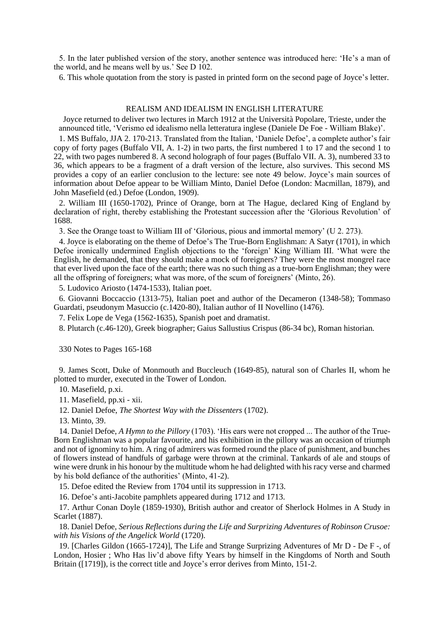5. In the later published version of the story, another sentence was introduced here: 'He's a man of the world, and he means well by us.' See D 102.

6. This whole quotation from the story is pasted in printed form on the second page of Joyce's letter.

# REALISM AND IDEALISM IN ENGLISH LITERATURE

Joyce returned to deliver two lectures in March 1912 at the Università Popolare, Trieste, under the announced title, 'Verismo ed idealismo nella letteratura inglese (Daniele De Foe - William Blake)'.

1. MS Buffalo, JJA 2. 170-213. Translated from the Italian, 'Daniele Defoe', a complete author's fair copy of forty pages (Buffalo VII, A. 1-2) in two parts, the first numbered 1 to 17 and the second 1 to 22, with two pages numbered 8. A second holograph of four pages (Buffalo VII. A. 3), numbered 33 to 36, which appears to be a fragment of a draft version of the lecture, also survives. This second MS provides a copy of an earlier conclusion to the lecture: see note 49 below. Joyce's main sources of information about Defoe appear to be William Minto, Daniel Defoe (London: Macmillan, 1879), and John Masefield (ed.) Defoe (London, 1909).

2. William III (1650-1702), Prince of Orange, born at The Hague, declared King of England by declaration of right, thereby establishing the Protestant succession after the 'Glorious Revolution' of 1688.

3. See the Orange toast to William III of 'Glorious, pious and immortal memory' (U 2. 273).

4. Joyce is elaborating on the theme of Defoe's The True-Born Englishman: A Satyr (1701), in which Defoe ironically undermined English objections to the 'foreign' King William III. 'What were the English, he demanded, that they should make a mock of foreigners? They were the most mongrel race that ever lived upon the face of the earth; there was no such thing as a true-born Englishman; they were all the offspring of foreigners; what was more, of the scum of foreigners' (Minto, 26).

5. Ludovico Ariosto (1474-1533), Italian poet.

6. Giovanni Boccaccio (1313-75), Italian poet and author of the Decameron (1348-58); Tommaso Guardati, pseudonym Masuccio (c.1420-80), Italian author of II Novellino (1476).

7. Felix Lope de Vega (1562-1635), Spanish poet and dramatist.

8. Plutarch (c.46-120), Greek biographer; Gaius Sallustius Crispus (86-34 bc), Roman historian.

330 Notes to Pages 165-168

9. James Scott, Duke of Monmouth and Buccleuch (1649-85), natural son of Charles II, whom he plotted to murder, executed in the Tower of London.

10. Masefield, p.xi.

11. Masefield, pp.xi - xii.

12. Daniel Defoe, *The Shortest Way with the Dissenters* (1702).

13. Minto, 39.

14. Daniel Defoe, *A Hymn to the Pillory* (1703). 'His ears were not cropped ... The author of the True-Born Englishman was a popular favourite, and his exhibition in the pillory was an occasion of triumph and not of ignominy to him. A ring of admirers was formed round the place of punishment, and bunches of flowers instead of handfuls of garbage were thrown at the criminal. Tankards of ale and stoups of wine were drunk in his honour by the multitude whom he had delighted with his racy verse and charmed by his bold defiance of the authorities' (Minto, 41-2).

15. Defoe edited the Review from 1704 until its suppression in 1713.

16. Defoe's anti-Jacobite pamphlets appeared during 1712 and 1713.

17. Arthur Conan Doyle (1859-1930), British author and creator of Sherlock Holmes in A Study in Scarlet (1887).

18. Daniel Defoe, *Serious Reflections during the Life and Surprizing Adventures of Robinson Crusoe: with his Visions of the Angelick World* (1720).

19. [Charles Gildon (1665-1724)], The Life and Strange Surprizing Adventures of Mr D - De F -, of London, Hosier ; Who Has liv'd above fifty Years by himself in the Kingdoms of North and South Britain ([1719]), is the correct title and Joyce's error derives from Minto, 151-2.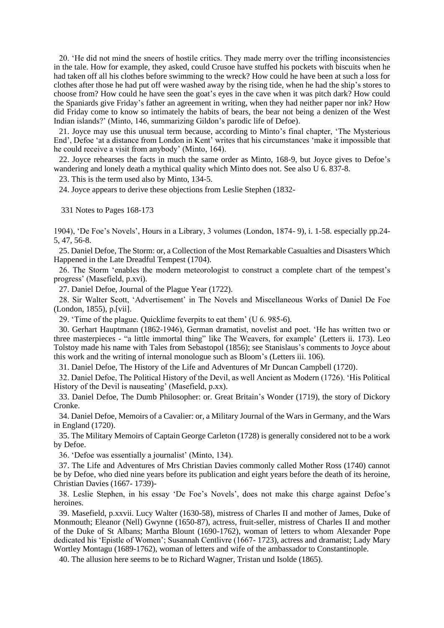20. 'He did not mind the sneers of hostile critics. They made merry over the trifling inconsistencies in the tale. How for example, they asked, could Crusoe have stuffed his pockets with biscuits when he had taken off all his clothes before swimming to the wreck? How could he have been at such a loss for clothes after those he had put off were washed away by the rising tide, when he had the ship's stores to choose from? How could he have seen the goat's eyes in the cave when it was pitch dark? How could the Spaniards give Friday's father an agreement in writing, when they had neither paper nor ink? How did Friday come to know so intimately the habits of bears, the bear not being a denizen of the West Indian islands?' (Minto, 146, summarizing Gildon's parodic life of Defoe).

21. Joyce may use this unusual term because, according to Minto's final chapter, 'The Mysterious End', Defoe 'at a distance from London in Kent' writes that his circumstances 'make it impossible that he could receive a visit from anybody' (Minto, 164).

22. Joyce rehearses the facts in much the same order as Minto, 168-9, but Joyce gives to Defoe's wandering and lonely death a mythical quality which Minto does not. See also U 6. 837-8.

23. This is the term used also by Minto, 134-5.

24. Joyce appears to derive these objections from Leslie Stephen (1832-

331 Notes to Pages 168-173

1904), 'De Foe's Novels', Hours in a Library, 3 volumes (London, 1874- 9), i. 1-58. especially pp.24- 5, 47, 56-8.

25. Daniel Defoe, The Storm: or, a Collection of the Most Remarkable Casualties and Disasters Which Happened in the Late Dreadful Tempest (1704).

26. The Storm 'enables the modern meteorologist to construct a complete chart of the tempest's progress' (Masefield, p.xvi).

27. Daniel Defoe, Journal of the Plague Year (1722).

28. Sir Walter Scott, 'Advertisement' in The Novels and Miscellaneous Works of Daniel De Foe (London, 1855), p.[vii].

29. 'Time of the plague. Quicklime feverpits to eat them' (U 6. 985-6).

30. Gerhart Hauptmann (1862-1946), German dramatist, novelist and poet. 'He has written two or three masterpieces - "a little immortal thing" like The Weavers, for example' (Letters ii. 173). Leo Tolstoy made his name with Tales from Sebastopol (1856); see Stanislaus's comments to Joyce about this work and the writing of internal monologue such as Bloom's (Letters iii. 106).

31. Daniel Defoe, The History of the Life and Adventures of Mr Duncan Campbell (1720).

32. Daniel Defoe, The Political History of the Devil, as well Ancient as Modern (1726). 'His Political History of the Devil is nauseating' (Masefield, p.xx).

33. Daniel Defoe, The Dumb Philosopher: or. Great Britain's Wonder (1719), the story of Dickory Cronke.

34. Daniel Defoe, Memoirs of a Cavalier: or, a Military Journal of the Wars in Germany, and the Wars in England (1720).

35. The Military Memoirs of Captain George Carleton (1728) is generally considered not to be a work by Defoe.

36. 'Defoe was essentially a journalist' (Minto, 134).

37. The Life and Adventures of Mrs Christian Davies commonly called Mother Ross (1740) cannot be by Defoe, who died nine years before its publication and eight years before the death of its heroine, Christian Davies (1667- 1739)-

38. Leslie Stephen, in his essay 'De Foe's Novels', does not make this charge against Defoe's heroines.

39. Masefield, p.xxvii. Lucy Walter (1630-58), mistress of Charles II and mother of James, Duke of Monmouth; Eleanor (Nell) Gwynne (1650-87), actress, fruit-seller, mistress of Charles II and mother of the Duke of St Albans; Martha Blount (1690-1762), woman of letters to whom Alexander Pope dedicated his 'Epistle of Women'; Susannah Centlivre (1667- 1723), actress and dramatist; Lady Mary Wortley Montagu (1689-1762), woman of letters and wife of the ambassador to Constantinople.

40. The allusion here seems to be to Richard Wagner, Tristan und Isolde (1865).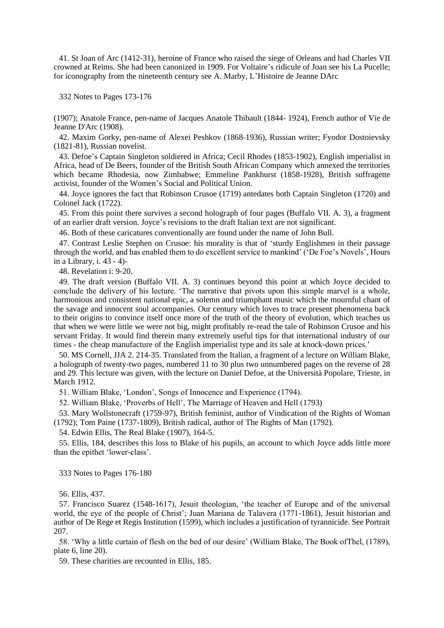41. St Joan of Arc (1412-31), heroine of France who raised the siege of Orleans and had Charles VII crowned at Reims. She had been canonized in 1909. For Voltaire's ridicule of Joan see his La Pucelle; for iconography from the nineteenth century see A. Marby, L'Histoire de Jeanne DArc

332 Notes to Pages 173-176

(1907); Anatole France, pen-name of Jacques Anatole Thibault (1844- 1924), French author of Vie de Jeanne D'Arc (1908).

42. Maxim Gorky, pen-name of Alexei Peshkov (1868-1936), Russian writer; Fyodor Dostoievsky (1821-81), Russian novelist.

43. Defoe's Captain Singleton soldiered in Africa; Cecil Rhodes (1853-1902), English imperialist in Africa, head of De Beers, founder of the British South African Company which annexed the territories which became Rhodesia, now Zimbabwe; Emmeline Pankhurst (1858-1928), British suffragette activist, founder of the Women's Social and Political Union.

44. Joyce ignores the fact that Robinson Crusoe (1719) antedates both Captain Singleton (1720) and Colonel Jack (1722).

45. From this point there survives a second holograph of four pages (Buffalo VII. A. 3), a fragment of an earlier draft version. Joyce's revisions to the draft Italian text are not significant.

46. Both of these caricatures conventionally are found under the name of John Bull.

47. Contrast Leslie Stephen on Crusoe: his morality is that of 'sturdy Englishmen in their passage through the world, and has enabled them to do excellent service to mankind' ('De Foe's Novels', Hours in a Library, i. 43 - 4)-

48. Revelation i: 9-20.

49. The draft version (Buffalo VII. A. 3) continues beyond this point at which Joyce decided to conclude the delivery of his lecture. 'The narrative that pivots upon this simple marvel is a whole, harmonious and consistent national epic, a solemn and triumphant music which the mournful chant of the savage and innocent soul accompanies. Our century which loves to trace present phenomena back to their origins to convince itself once more of the truth of the theory of evolution, which teaches us that when we were little we were not big, might profitably re-read the tale of Robinson Crusoe and his servant Friday. It would find therein many extremely useful tips for that international industry of our times - the cheap manufacture of the English imperialist type and its sale at knock-down prices.'

50. MS Cornell, JJA 2. 214-35. Translated from the Italian, a fragment of a lecture on William Blake, a holograph of twenty-two pages, numbered 11 to 30 plus two unnumbered pages on the reverse of 28 and 29. This lecture was given, with the lecture on Daniel Defoe, at the Università Popolare, Trieste, in March 1912.

51. William Blake, 'London', Songs of Innocence and Experience (1794).

52. William Blake, 'Proverbs of Hell', The Marriage of Heaven and Hell (1793)

53. Mary Wollstonecraft (1759-97), British feminist, author of Vindication of the Rights of Woman (1792); Tom Paine (1737-1809), British radical, author of The Rights of Man (1792).

54. Edwin Ellis, The Real Blake (1907), 164-5.

55. Ellis, 184, describes this loss to Blake of his pupils, an account to which Joyce adds little more than the epithet 'lower-class'.

333 Notes to Pages 176-180

56. Ellis, 437.

57. Francisco Suarez (1548-1617), Jesuit theologian, 'the teacher of Europe and of the universal world, the eye of the people of Christ'; Juan Mariana de Talavera (1771-1861), Jesuit historian and author of De Rege et Regis Institution (1599), which includes a justification of tyrannicide. See Portrait 207.

58. 'Why a little curtain of flesh on the bed of our desire' (William Blake, The Book ofThel, (1789), plate 6, line 20).

59. These charities are recounted in Ellis, 185.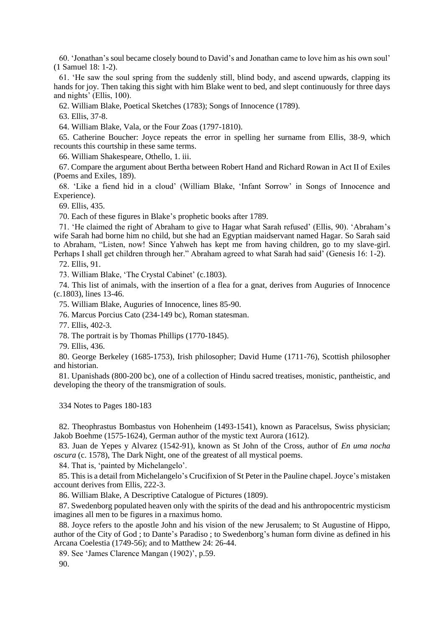60. 'Jonathan's soul became closely bound to David's and Jonathan came to love him as his own soul' (1 Samuel 18: 1-2).

61. 'He saw the soul spring from the suddenly still, blind body, and ascend upwards, clapping its hands for joy. Then taking this sight with him Blake went to bed, and slept continuously for three days and nights' (Ellis, 100).

62. William Blake, Poetical Sketches (1783); Songs of Innocence (1789).

63. Ellis, 37-8.

64. William Blake, Vala, or the Four Zoas (1797-1810).

65. Catherine Boucher: Joyce repeats the error in spelling her surname from Ellis, 38-9, which recounts this courtship in these same terms.

66. William Shakespeare, Othello, 1. iii.

67. Compare the argument about Bertha between Robert Hand and Richard Rowan in Act II of Exiles (Poems and Exiles, 189).

68. 'Like a fiend hid in a cloud' (William Blake, 'Infant Sorrow' in Songs of Innocence and Experience).

69. Ellis, 435.

70. Each of these figures in Blake's prophetic books after 1789.

71. 'He claimed the right of Abraham to give to Hagar what Sarah refused' (Ellis, 90). 'Abraham's wife Sarah had borne him no child, but she had an Egyptian maidservant named Hagar. So Sarah said to Abraham, "Listen, now! Since Yahweh has kept me from having children, go to my slave-girl. Perhaps I shall get children through her." Abraham agreed to what Sarah had said' (Genesis 16: 1-2).

72. Ellis, 91.

73. William Blake, 'The Crystal Cabinet' (c.1803).

74. This list of animals, with the insertion of a flea for a gnat, derives from Auguries of Innocence (c.1803), lines 13-46.

75. William Blake, Auguries of Innocence, lines 85-90.

76. Marcus Porcius Cato (234-149 bc), Roman statesman.

77. Ellis, 402-3.

78. The portrait is by Thomas Phillips (1770-1845).

79. Ellis, 436.

80. George Berkeley (1685-1753), Irish philosopher; David Hume (1711-76), Scottish philosopher and historian.

81. Upanishads (800-200 bc), one of a collection of Hindu sacred treatises, monistic, pantheistic, and developing the theory of the transmigration of souls.

334 Notes to Pages 180-183

82. Theophrastus Bombastus von Hohenheim (1493-1541), known as Paracelsus, Swiss physician; Jakob Boehme (1575-1624), German author of the mystic text Aurora (1612).

83. Juan de Yepes y Alvarez (1542-91), known as St John of the Cross, author of *En uma nocha oscura* (c. 1578), The Dark Night, one of the greatest of all mystical poems.

84. That is, 'painted by Michelangelo'.

85. This is a detail from Michelangelo's Crucifixion of St Peter in the Pauline chapel. Joyce's mistaken account derives from Ellis, 222-3.

86. William Blake, A Descriptive Catalogue of Pictures (1809).

87. Swedenborg populated heaven only with the spirits of the dead and his anthropocentric mysticism imagines all men to be figures in a rnaximus homo.

88. Joyce refers to the apostle John and his vision of the new Jerusalem; to St Augustine of Hippo, author of the City of God ; to Dante's Paradiso ; to Swedenborg's human form divine as defined in his Arcana Coelestia (1749-56); and to Matthew 24: 26-44.

89. See 'James Clarence Mangan (1902)', p.59.

90.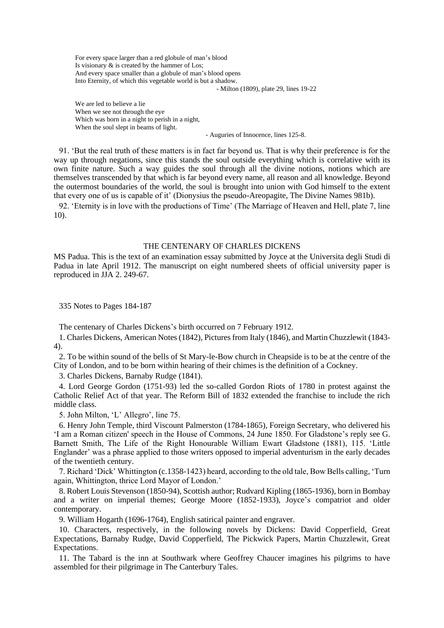For every space larger than a red globule of man's blood Is visionary  $\&$  is created by the hammer of Los; And every space smaller than a globule of man's blood opens Into Eternity, of which this vegetable world is but a shadow. - Milton (1809), plate 29, lines 19-22

We are led to believe a lie When we see not through the eye Which was born in a night to perish in a night, When the soul slept in beams of light.

- Auguries of Innocence, lines 125-8.

91. 'But the real truth of these matters is in fact far beyond us. That is why their preference is for the way up through negations, since this stands the soul outside everything which is correlative with its own finite nature. Such a way guides the soul through all the divine notions, notions which are themselves transcended by that which is far beyond every name, all reason and all knowledge. Beyond the outermost boundaries of the world, the soul is brought into union with God himself to the extent that every one of us is capable of it' (Dionysius the pseudo-Areopagite, The Divine Names 981b).

92. 'Eternity is in love with the productions of Time' (The Marriage of Heaven and Hell, plate 7, line 10).

# THE CENTENARY OF CHARLES DICKENS

MS Padua. This is the text of an examination essay submitted by Joyce at the Universita degli Studi di Padua in late April 1912. The manuscript on eight numbered sheets of official university paper is reproduced in JJA 2. 249-67.

335 Notes to Pages 184-187

The centenary of Charles Dickens's birth occurred on 7 February 1912.

1. Charles Dickens, American Notes (1842), Pictures from Italy (1846), and Martin Chuzzlewit (1843- 4).

2. To be within sound of the bells of St Mary-le-Bow church in Cheapside is to be at the centre of the City of London, and to be born within hearing of their chimes is the definition of a Cockney.

3. Charles Dickens, Barnaby Rudge (1841).

4. Lord George Gordon (1751-93) led the so-called Gordon Riots of 1780 in protest against the Catholic Relief Act of that year. The Reform Bill of 1832 extended the franchise to include the rich middle class.

5. John Milton, 'L' Allegro', line 75.

6. Henry John Temple, third Viscount Palmerston (1784-1865), Foreign Secretary, who delivered his 'I am a Roman citizen' speech in the House of Commons, 24 June 1850. For Gladstone's reply see G. Barnett Smith, The Life of the Right Honourable William Ewart Gladstone (1881), 115. 'Little Englander' was a phrase applied to those writers opposed to imperial adventurism in the early decades of the twentieth century.

7. Richard 'Dick' Whittington (c.1358-1423) heard, according to the old tale, Bow Bells calling, 'Turn again, Whittington, thrice Lord Mayor of London.'

8. Robert Louis Stevenson (1850-94), Scottish author; Rudvard Kipling (1865-1936), born in Bombay and a writer on imperial themes; George Moore (1852-1933), Joyce's compatriot and older contemporary.

9. William Hogarth (1696-1764), English satirical painter and engraver.

10. Characters, respectively, in the following novels by Dickens: David Copperfield, Great Expectations, Barnaby Rudge, David Copperfield, The Pickwick Papers, Martin Chuzzlewit, Great Expectations.

11. The Tabard is the inn at Southwark where Geoffrey Chaucer imagines his pilgrims to have assembled for their pilgrimage in The Canterbury Tales.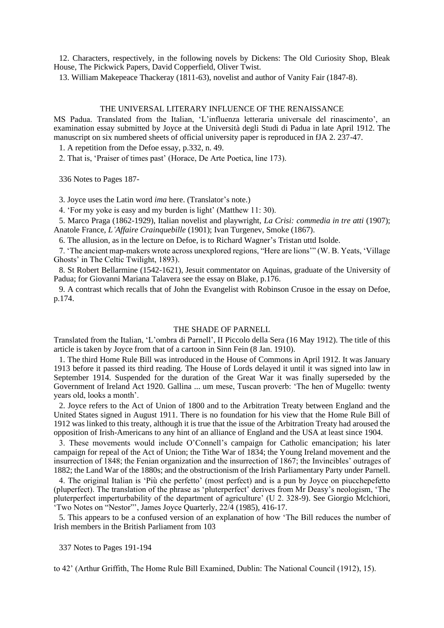12. Characters, respectively, in the following novels by Dickens: The Old Curiosity Shop, Bleak House, The Pickwick Papers, David Copperfield, Oliver Twist.

13. William Makepeace Thackeray (1811-63), novelist and author of Vanity Fair (1847-8).

# THE UNIVERSAL LITERARY INFLUENCE OF THE RENAISSANCE

MS Padua. Translated from the Italian, 'L'influenza letteraria universale del rinascimento', an examination essay submitted by Joyce at the Università degli Studi di Padua in late April 1912. The manuscript on six numbered sheets of official university paper is reproduced in fJA 2. 237-47.

1. A repetition from the Defoe essay, p.332, n. 49.

2. That is, 'Praiser of times past' (Horace, De Arte Poetica, line 173).

336 Notes to Pages 187-

3. Joyce uses the Latin word *ima* here. (Translator's note.)

4. 'For my yoke is easy and my burden is light' (Matthew 11: 30).

5. Marco Praga (1862-1929), Italian novelist and playwright, *La Crisi: commedia in tre atti* (1907); Anatole France, *L'Affaire Crainquebille* (1901); Ivan Turgenev, Smoke (1867).

6. The allusion, as in the lecture on Defoe, is to Richard Wagner's Tristan uttd Isolde.

7. 'The ancient map-makers wrote across unexplored regions, "Here are lions'" (W. B. Yeats, 'Village Ghosts' in The Celtic Twilight, 1893).

8. St Robert Bellarmine (1542-1621), Jesuit commentator on Aquinas, graduate of the University of Padua; for Giovanni Mariana Talavera see the essay on Blake, p.176.

9. A contrast which recalls that of John the Evangelist with Robinson Crusoe in the essay on Defoe, p.174.

### THE SHADE OF PARNELL

Translated from the Italian, 'L'ombra di Parnell', II Piccolo della Sera (16 May 1912). The title of this article is taken by Joyce from that of a cartoon in Sinn Fein (8 Jan. 1910).

1. The third Home Rule Bill was introduced in the House of Commons in April 1912. It was January 1913 before it passed its third reading. The House of Lords delayed it until it was signed into law in September 1914. Suspended for the duration of the Great War it was finally superseded by the Government of Ireland Act 1920. Gallina ... um mese, Tuscan proverb: 'The hen of Mugello: twenty years old, looks a month'.

2. Joyce refers to the Act of Union of 1800 and to the Arbitration Treaty between England and the United States signed in August 1911. There is no foundation for his view that the Home Rule Bill of 1912 was linked to this treaty, although it is true that the issue of the Arbitration Treaty had aroused the opposition of Irish-Americans to any hint of an alliance of England and the USA at least since 1904.

3. These movements would include O'Connell's campaign for Catholic emancipation; his later campaign for repeal of the Act of Union; the Tithe War of 1834; the Young Ireland movement and the insurrection of 1848; the Fenian organization and the insurrection of 1867; the Invincibles' outrages of 1882; the Land War of the 1880s; and the obstructionism of the Irish Parliamentary Party under Parnell.

4. The original Italian is 'Più che perfetto' (most perfect) and is a pun by Joyce on piucchepefetto (pluperfect). The translation of the phrase as 'pluterperfect' derives from Mr Deasy's neologism, 'The pluterperfect imperturbability of the department of agriculture' (U 2. 328-9). See Giorgio Mclchiori, 'Two Notes on "Nestor"', James Joyce Quarterly, 22/4 (1985), 416-17.

5. This appears to be a confused version of an explanation of how 'The Bill reduces the number of Irish members in the British Parliament from 103

337 Notes to Pages 191-194

to 42' (Arthur Griffith, The Home Rule Bill Examined, Dublin: The National Council (1912), 15).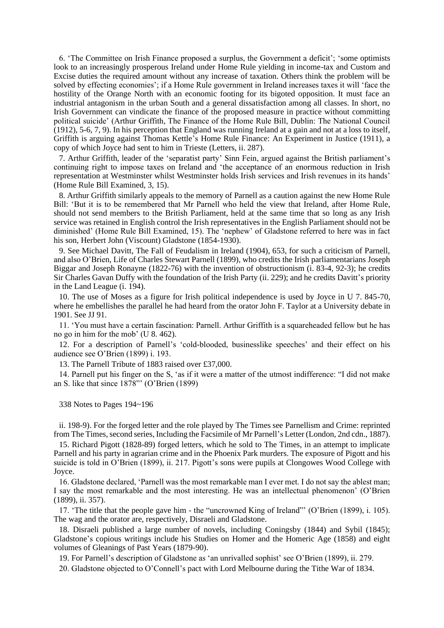6. 'The Committee on Irish Finance proposed a surplus, the Government a deficit'; 'some optimists look to an increasingly prosperous Ireland under Home Rule yielding in income-tax and Custom and Excise duties the required amount without any increase of taxation. Others think the problem will be solved by effecting economies'; if a Home Rule government in Ireland increases taxes it will 'face the hostility of the Orange North with an economic footing for its bigoted opposition. It must face an industrial antagonism in the urban South and a general dissatisfaction among all classes. In short, no Irish Government can vindicate the finance of the proposed measure in practice without committing political suicide' (Arthur Griffith, The Finance of the Home Rule Bill, Dublin: The National Council (1912), 5-6, 7, 9). In his perception that England was running Ireland at a gain and not at a loss to itself, Griffith is arguing against Thomas Kettle's Home Rule Finance: An Experiment in Justice (1911), a copy of which Joyce had sent to him in Trieste (Letters, ii. 287).

7. Arthur Griffith, leader of the 'separatist party' Sinn Fein, argued against the British parliament's continuing right to impose taxes on Ireland and 'the acceptance of an enormous reduction in Irish representation at Westminster whilst Westminster holds Irish services and Irish revenues in its hands' (Home Rule Bill Examined, 3, 15).

8. Arthur Griffith similarly appeals to the memory of Parnell as a caution against the new Home Rule Bill: 'But it is to be remembered that Mr Parnell who held the view that Ireland, after Home Rule, should not send members to the British Parliament, held at the same time that so long as any Irish service was retained in English control the Irish representatives in the English Parliament should not be diminished' (Home Rule Bill Examined, 15). The 'nephew' of Gladstone referred to here was in fact his son, Herbert John (Viscount) Gladstone (1854-1930).

9. See Michael Davitt, The Fall of Feudalism in Ireland (1904), 653, for such a criticism of Parnell, and also O'Brien, Life of Charles Stewart Parnell (1899), who credits the Irish parliamentarians Joseph Biggar and Joseph Ronayne (1822-76) with the invention of obstructionism (i. 83-4, 92-3); he credits Sir Charles Gavan Duffy with the foundation of the Irish Party (ii. 229); and he credits Davitt's priority in the Land League (i. 194).

10. The use of Moses as a figure for Irish political independence is used by Joyce in U 7. 845-70, where he embellishes the parallel he had heard from the orator John F. Taylor at a University debate in 1901. See JJ 91.

11. 'You must have a certain fascination: Parnell. Arthur Griffith is a squareheaded fellow but he has no go in him for the mob' (U 8. 462).

12. For a description of Parnell's 'cold-blooded, businesslike speeches' and their effect on his audience see O'Brien (1899) i. 193.

13. The Parnell Tribute of 1883 raised over £37,000.

14. Parnell put his finger on the S, 'as if it were a matter of the utmost indifference: "I did not make an S. like that since 1878"' (O'Brien (1899)

338 Notes to Pages 194~196

ii. 198-9). For the forged letter and the role played by The Times see Parnellism and Crime: reprinted from The Times, second series, Including the Facsimile of Mr Parnell's Letter (London, 2nd cdn., 1887).

15. Richard Pigott (1828-89) forged letters, which he sold to The Times, in an attempt to implicate Parnell and his party in agrarian crime and in the Phoenix Park murders. The exposure of Pigott and his suicide is told in O'Brien (1899), ii. 217. Pigott's sons were pupils at Clongowes Wood College with Joyce.

16. Gladstone declared, 'Parnell was the most remarkable man I ever met. I do not say the ablest man; I say the most remarkable and the most interesting. He was an intellectual phenomenon' (O'Brien (1899), ii. 357).

17. 'The title that the people gave him - the "uncrowned King of Ireland"' (O'Brien (1899), i. 105). The wag and the orator are, respectively, Disraeli and Gladstone.

18. Disraeli published a large number of novels, including Coningsby (1844) and Sybil (1845); Gladstone's copious writings include his Studies on Homer and the Homeric Age (1858) and eight volumes of Gleanings of Past Years (1879-90).

19. For Parnell's description of Gladstone as 'an unrivalled sophist' see O'Brien (1899), ii. 279.

20. Gladstone objected to O'Connell's pact with Lord Melbourne during the Tithe War of 1834.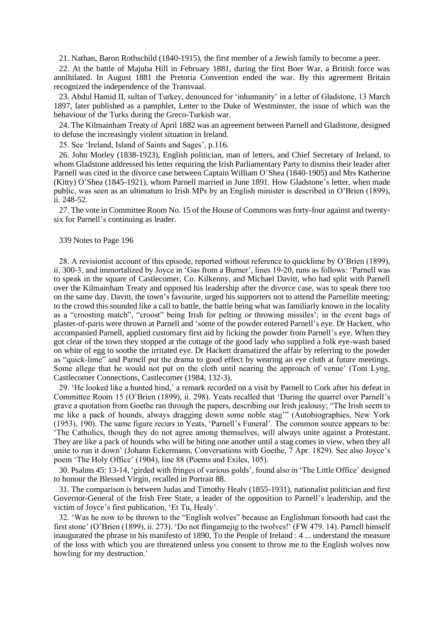21. Nathan, Baron Rothschild (1840-1915), the first member of a Jewish family to become a peer.

22. At the battle of Majuba Hill in February 1881, during the first Boer War, a British force was annihilated. In August 1881 the Pretoria Convention ended the war. By this agreement Britain recognized the independence of the Transvaal.

23. Abdul Hamid II, sultan of Turkey, denounced for 'inhumanity' in a letter of Gladstone, 13 March 1897, later published as a pamphlet, Letter to the Duke of Westminster, the issue of which was the behaviour of the Turks during the Greco-Turkish war.

24. The Kilmainham Treaty of April 1882 was an agreement between Parnell and Gladstone, designed to defuse the increasingly violent situation in Ireland.

25. See 'Ireland, Island of Saints and Sages', p.116.

26. John Morley (1838-1923), English politician, man of letters, and Chief Secretary of Ireland, to whom Gladstone addressed his letter requiring the Irish Parliamentary Party to dismiss their leader after Parnell was cited in the divorce case between Captain William O'Shea (1840-1905) and Mrs Katherine (Kitty) O'Shea (1845-1921), whom Parnell married in June 1891. How Gladstone's letter, when made public, was seen as an ultimatum to Irish MPs by an English minister is described in O'Brien (1899), ii. 248-52.

27. The vote in Committee Room No. 15 of the House of Commons was forty-four against and twentysix for Parnell's continuing as leader.

#### 339 Notes to Page 196

28. A revisionist account of this episode, reported without reference to quicklime by O'Brien (1899), ii. 300-3, and immortalized by Joyce in 'Gas from a Burner', lines 19-20, runs as follows: 'Parnell was to speak in the square of Castlecomer, Co. Kilkenny, and Michael Davitt, who had split with Parnell over the Kilmainham Treaty and opposed his leadership after the divorce case, was to speak there too on the same day. Davitt, the town's favourite, urged his supporters not to attend the Parnellite meeting: to the crowd this sounded like a call to battle, the battle being what was familiarly known in the locality as a "croosting match", "croost" being Irish for pelting or throwing missiles'; in the event bags of plaster-of-paris were thrown at Parnell and 'some of the powder entered Parnell's eye. Dr Hackett, who accompanied Parnell, applied customary first aid by licking the powder from Parnell's eye. When they got clear of the town they stopped at the cottage of the good lady who supplied a folk eye-wash based on white of egg to soothe the irritated eye. Dr Hackett dramatized the affair by referring to the powder as "quick-lime" and Parnell put the drama to good effect by wearing an eye cloth at future meetings. Some allege that he would not put on the cloth until nearing the approach of venue' (Tom Lyng, Castlecomer Connections, Castlecomer (1984, 132-3).

29. 'He looked like a hunted hind,' a remark recorded on a visit by Parnell to Cork after his defeat in Committee Room 15 (O'Brien (1899), ii. 298). Yeats recalled that 'During the quarrel over Parnell's grave a quotation from Goethe ran through the papers, describing our Irish jealousy; "The Irish seem to me like a pack of hounds, always dragging down some noble stag'" (Autobiographies, New York (1953), 190). The same figure recurs in Yeats, 'Parnell's Funeral'. The common source appears to be: 'The Catholics, though they do not agree among themselves, will always unite against a Protestant. They are like a pack of hounds who will be biting one another until a stag comes in view, when they all unite to run it down' (Johann Eckermann, Conversations with Goethe, 7 Apr. 1829). See also Joyce's poem 'The Holy Office' (1904), line 88 (Poems and Exiles, 105).

30. Psalms 45: 13-14, 'girded with fringes of various golds', found also in 'The Little Office' designed to honour the Blessed Virgin, recalled in Portrait 88.

31. The comparison is between Judas and Timothy Healv (1855-1931), nationalist politician and first Governor-General of the Irish Free State, a leader of the opposition to Parnell's leadership, and the victim of Joyce's first publication, 'Et Tu, Healy'.

32. 'Was he now to be thrown to the "English wolves" because an Englishman forsooth had cast the first stone' (O'Brien (1899), ii. 273). 'Do not flingamejig to the twolves!' (FW 479. 14). Parnell himself inaugurated the phrase in his manifesto of 1890, To the People of Ireland : 4 ... understand the measure of the loss with which you are threatened unless you consent to throw me to the English wolves now howling for my destruction.'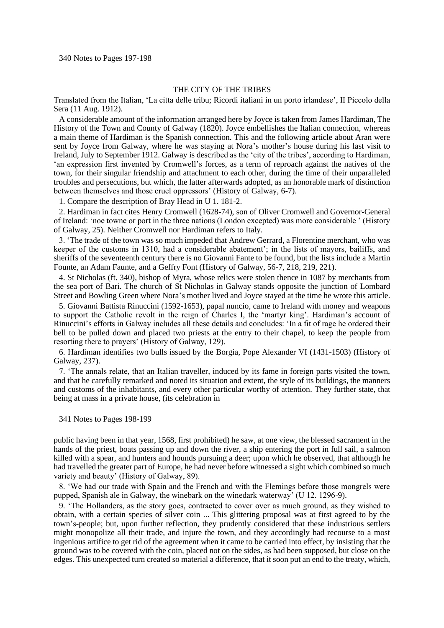340 Notes to Pages 197-198

## THE CITY OF THE TRIBES

Translated from the Italian, 'La citta delle tribu; Ricordi italiani in un porto irlandese', II Piccolo della Sera (11 Aug. 1912).

A considerable amount of the information arranged here by Joyce is taken from James Hardiman, The History of the Town and County of Galway (1820). Joyce embellishes the Italian connection, whereas a main theme of Hardiman is the Spanish connection. This and the following article about Aran were sent by Joyce from Galway, where he was staying at Nora's mother's house during his last visit to Ireland, July to September 1912. Galway is described as the 'city of the tribes', according to Hardiman, 'an expression first invented by Cromwell's forces, as a term of reproach against the natives of the town, for their singular friendship and attachment to each other, during the time of their unparalleled troubles and persecutions, but which, the latter afterwards adopted, as an honorable mark of distinction between themselves and those cruel oppressors' (History of Galway, 6-7).

1. Compare the description of Bray Head in U 1. 181-2.

2. Hardiman in fact cites Henry Cromwell (1628-74), son of Oliver Cromwell and Governor-General of Ireland: 'noe towne or port in the three nations (London excepted) was more considerable ' (History of Galway, 25). Neither Cromwell nor Hardiman refers to Italy.

3. 'The trade of the town was so much impeded that Andrew Gerrard, a Florentine merchant, who was keeper of the customs in 1310, had a considerable abatement'; in the lists of mayors, bailiffs, and sheriffs of the seventeenth century there is no Giovanni Fante to be found, but the lists include a Martin Founte, an Adam Faunte, and a Geffry Font (History of Galway, 56-7, 218, 219, 221).

4. St Nicholas (ft. 340), bishop of Myra, whose relics were stolen thence in 1087 by merchants from the sea port of Bari. The church of St Nicholas in Galway stands opposite the junction of Lombard Street and Bowling Green where Nora's mother lived and Joyce stayed at the time he wrote this article.

5. Giovanni Battista Rinuccini (1592-1653), papal nuncio, came to Ireland with money and weapons to support the Catholic revolt in the reign of Charles I, the 'martyr king'. Hardiman's account of Rinuccini's efforts in Galway includes all these details and concludes: 'In a fit of rage he ordered their bell to be pulled down and placed two priests at the entry to their chapel, to keep the people from resorting there to prayers' (History of Galway, 129).

6. Hardiman identifies two bulls issued by the Borgia, Pope Alexander VI (1431-1503) (History of Galway, 237).

7. 'The annals relate, that an Italian traveller, induced by its fame in foreign parts visited the town, and that he carefully remarked and noted its situation and extent, the style of its buildings, the manners and customs of the inhabitants, and every other particular worthy of attention. They further state, that being at mass in a private house, (its celebration in

341 Notes to Pages 198-199

public having been in that year, 1568, first prohibited) he saw, at one view, the blessed sacrament in the hands of the priest, boats passing up and down the river, a ship entering the port in full sail, a salmon killed with a spear, and hunters and hounds pursuing a deer; upon which he observed, that although he had travelled the greater part of Europe, he had never before witnessed a sight which combined so much variety and beauty' (History of Galway, 89).

8. 'We had our trade with Spain and the French and with the Flemings before those mongrels were pupped, Spanish ale in Galway, the winebark on the winedark waterway' (U 12. 1296-9).

9. 'The Hollanders, as the story goes, contracted to cover over as much ground, as they wished to obtain, with a certain species of silver coin ... This glittering proposal was at first agreed to by the town's-people; but, upon further reflection, they prudently considered that these industrious settlers might monopolize all their trade, and injure the town, and they accordingly had recourse to a most ingenious artifice to get rid of the agreement when it came to be carried into effect, by insisting that the ground was to be covered with the coin, placed not on the sides, as had been supposed, but close on the edges. This unexpected turn created so material a difference, that it soon put an end to the treaty, which,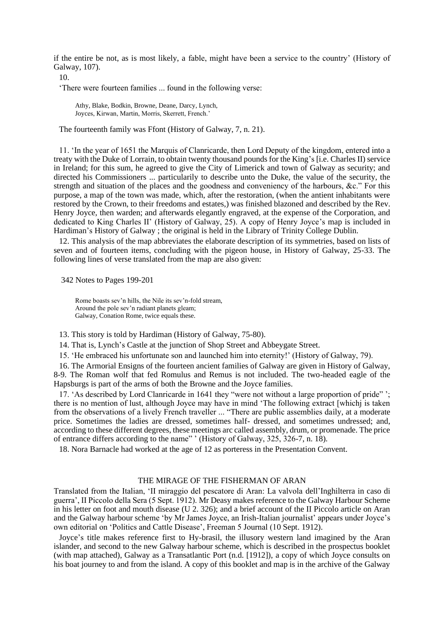if the entire be not, as is most likely, a fable, might have been a service to the country' (History of Galway, 107).

10.

'There were fourteen families ... found in the following verse:

Athy, Blake, Bodkin, Browne, Deane, Darcy, Lynch, Joyces, Kirwan, Martin, Morris, Skerrett, French.'

The fourteenth family was Ffont (History of Galway, 7, n. 21).

11. 'In the year of 1651 the Marquis of Clanricarde, then Lord Deputy of the kingdom, entered into a treaty with the Duke of Lorrain, to obtain twenty thousand pounds for the King's [i.e. Charles II) service in Ireland; for this sum, he agreed to give the City of Limerick and town of Galway as security; and directed his Commissioners ... particularily to describe unto the Duke, the value of the security, the strength and situation of the places and the goodness and conveniency of the harbours, &c." For this purpose, a map of the town was made, which, after the restoration, (when the antient inhabitants were restored by the Crown, to their freedoms and estates,) was finished blazoned and described by the Rev. Henry Joyce, then warden; and afterwards elegantly engraved, at the expense of the Corporation, and dedicated to King Charles II' (History of Galway, 25). A copy of Henry Joyce's map is included in Hardiman's History of Galway ; the original is held in the Library of Trinity College Dublin.

12. This analysis of the map abbreviates the elaborate description of its symmetries, based on lists of seven and of fourteen items, concluding with the pigeon house, in History of Galway, 25-33. The following lines of verse translated from the map are also given:

342 Notes to Pages 199-201

Rome boasts sev'n hills, the Nile its sev'n-fold stream, Around the pole sev'n radiant planets gleam; Galway, Conation Rome, twice equals these.

13. This story is told by Hardiman (History of Galway, 75-80).

14. That is, Lynch's Castle at the junction of Shop Street and Abbeygate Street.

15. 'He embraced his unfortunate son and launched him into eternity!' (History of Galway, 79).

16. The Armorial Ensigns of the fourteen ancient families of Galway are given in History of Galway, 8-9. The Roman wolf that fed Romulus and Remus is not included. The two-headed eagle of the Hapsburgs is part of the arms of both the Browne and the Joyce families.

17. 'As described by Lord Clanricarde in 1641 they "were not without a large proportion of pride" '; there is no mention of lust, although Joyce may have in mind 'The following extract [whichj is taken from the observations of a lively French traveller ... "There are public assemblies daily, at a moderate price. Sometimes the ladies are dressed, sometimes half- dressed, and sometimes undressed; and, according to these different degrees, these meetings arc called assembly, drum, or promenade. The price of entrance differs according to the name" ' (History of Galway, 325, 326-7, n. 18).

18. Nora Barnacle had worked at the age of 12 as porteress in the Presentation Convent.

# THE MIRAGE OF THE FISHERMAN OF ARAN

Translated from the Italian, 'II miraggio del pescatore di Aran: La valvola dell'Inghilterra in caso di guerra', II Piccolo della Sera (5 Sept. 1912). Mr Deasy makes reference to the Galway Harbour Scheme in his letter on foot and mouth disease (U 2. 326); and a brief account of the II Piccolo article on Aran and the Galway harbour scheme 'by Mr James Joyce, an Irish-Italian journalist' appears under Joyce's own editorial on 'Politics and Cattle Disease', Freeman 5 Journal (10 Sept. 1912).

Joyce's title makes reference first to Hy-brasil, the illusory western land imagined by the Aran islander, and second to the new Galway harbour scheme, which is described in the prospectus booklet (with map attached), Galway as a Transatlantic Port (n.d. [1912]), a copy of which Joyce consults on his boat journey to and from the island. A copy of this booklet and map is in the archive of the Galway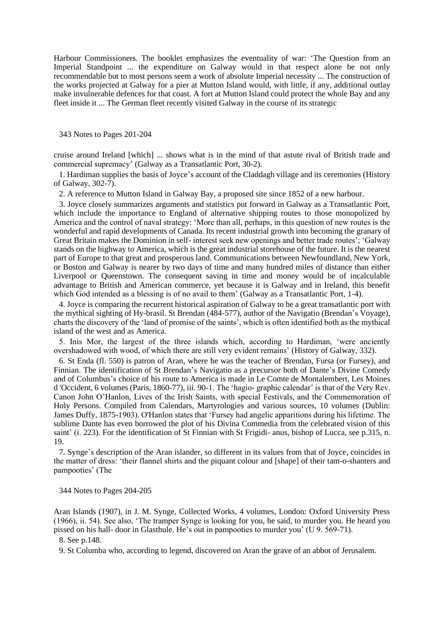Harbour Commissioners. The booklet emphasizes the eventuality of war: 'The Question from an Imperial Standpoint ... the expenditure on Galway would in that respect alone be not only recommendable but to most persons seem a work of absolute Imperial necessity ... The construction of the works projected at Galway for a pier at Mutton Island would, with little, if any, additional outlay make invulnerable defences for that coast. A fort at Mutton Island could protect the whole Bay and any fleet inside it ... The German fleet recently visited Galway in the course of its strategic

343 Notes to Pages 201-204

cruise around Ireland [which] ... shows what is in the mind of that astute rival of British trade and commercial supremacy' (Galway as a Transatlantic Port, 30-2).

1. Hardiman supplies the basis of Joyce's account of the Claddagh village and its ceremonies (History of Galway,  $302 - 7$ ).

2. A reference to Mutton Island in Galway Bay, a proposed site since 1852 of a new harbour.

3. Joyce closely summarizes arguments and statistics put forward in Galway as a Transatlantic Port, which include the importance to England of alternative shipping routes to those monopolized by America and the control of naval strategy: 'More than all, perhaps, in this question of new routes is the wonderful and rapid developments of Canada. Its recent industrial growth into becoming the granary of Great Britain makes the Dominion in self- interest seek new openings and better trade routes'; 'Galway stands on the highway to America, which is the great industrial storehouse of the future. It is the nearest part of Europe to that great and prosperous land. Communications between Newfoundland, New York, or Boston and Galway is nearer by two days of time and many hundred miles of distance than either Liverpool or Queenstown. The consequent saving in time and money would be of incalculable advantage to British and American commerce, yet because it is Galway and in Ireland, this benefit which God intended as a blessing is of no avail to them' (Galway as a Transatlantic Port, 1-4).

4. Joyce is comparing the recurrent historical aspiration of Galway to be a great transatlantic port with the mythical sighting of Hy-brasil. St Brendan (484-577), author of the Navigatio (Brendan's Voyage), charts the discovery of the 'land of promise of the saints', which is often identified both as the mythical island of the west and as America.

5. Inis Mor, the largest of the three islands which, according to Hardiman, 'were anciently overshadowed with wood, of which there are still very evident remains' (History of Galway, 332).

6. St Enda (fl. 550) is patron of Aran, where he was the teacher of Brendan, Fursa (or Fursey), and Finnian. The identification of St Brendan's Navigatio as a precursor both of Dante's Divine Comedy and of Columbus's choice of his route to America is made in Le Comte de Montalembert, Les Moines d 'Occident, 6 volumes (Paris, 1860-77), iii. 90-1. The 'hagio- graphic calendar' is that of the Very Rev. Canon John O'Hanlon, Lives of the Irish Saints, with special Festivals, and the Commemoration of Holy Persons. Compiled from Calendars, Martyrologies and various sources, 10 volumes (Dublin: James Duffy, 1875-1903). O'Hanlon states that 'Fursey had angelic apparitions during his lifetime. The sublime Dante has even borrowed the plot of his Divina Commedia from the celebrated vision of this saint' (i. 223). For the identification of St Finnian with St Frigidi- anus, bishop of Lucca, see p.315, n. 19.

7. Synge's description of the Aran islander, so different in its values from that of Joyce, coincides in the matter of dress: 'their flannel shirts and the piquant colour and [shape] of their tam-o-shanters and pampooties' (The

344 Notes to Pages 204-205

Aran Islands (1907), in J. M. Synge, Collected Works, 4 volumes, London: Oxford University Press (1966), ii. 54). See also, 'The tramper Synge is looking for you, he said, to murder you. He heard you pissed on his hall- door in Glasthule. He's out in pampooties to murder you' (U 9. 569-71).

8. See p.148.

9. St Columba who, according to legend, discovered on Aran the grave of an abbot of Jerusalem.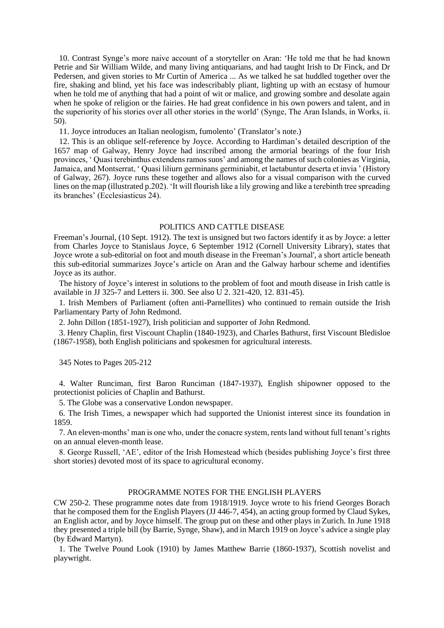10. Contrast Synge's more naive account of a storyteller on Aran: 'He told me that he had known Petrie and Sir William Wilde, and many living antiquarians, and had taught Irish to Dr Finck, and Dr Pedersen, and given stories to Mr Curtin of America ... As we talked he sat huddled together over the fire, shaking and blind, yet his face was indescribably pliant, lighting up with an ecstasy of humour when he told me of anything that had a point of wit or malice, and growing sombre and desolate again when he spoke of religion or the fairies. He had great confidence in his own powers and talent, and in the superiority of his stories over all other stories in the world' (Synge, The Aran Islands, in Works, ii. 50).

11. Joyce introduces an Italian neologism, fumolento' (Translator's note.)

12. This is an oblique self-reference by Joyce. According to Hardiman's detailed description of the 1657 map of Galway, Henry Joyce had inscribed among the armorial bearings of the four Irish provinces, ' Quasi terebinthus extendens ramos suos' and among the names of such colonies as Virginia, Jamaica, and Montserrat, ' Quasi liliurn germinans germiniabit, et laetabuntur deserta et invia ' (History of Galway, 267). Joyce runs these together and allows also for a visual comparison with the curved lines on the map (illustrated p.202). 'It will flourish like a lily growing and like a terebinth tree spreading its branches' (Ecclesiasticus 24).

# POLITICS AND CATTLE DISEASE

Freeman's Journal, (10 Sept. 1912). The text is unsigned but two factors identify it as by Joyce: a letter from Charles Joyce to Stanislaus Joyce, 6 September 1912 (Cornell University Library), states that Joyce wrote a sub-editorial on foot and mouth disease in the Freeman's Journal', a short article beneath this sub-editorial summarizes Joyce's article on Aran and the Galway harbour scheme and identifies Joyce as its author.

The history of Joyce's interest in solutions to the problem of foot and mouth disease in Irish cattle is available in JJ 325-7 and Letters ii. 300. See also U 2. 321-420, 12. 831-45).

1. Irish Members of Parliament (often anti-Parnellites) who continued to remain outside the Irish Parliamentary Party of John Redmond.

2. John Dillon (1851-1927), Irish politician and supporter of John Redmond.

3. Henry Chaplin, first Viscount Chaplin (1840-1923), and Charles Bathurst, first Viscount Bledisloe (1867-1958), both English politicians and spokesmen for agricultural interests.

345 Notes to Pages 205-212

4. Walter Runciman, first Baron Runciman (1847-1937), English shipowner opposed to the protectionist policies of Chaplin and Bathurst.

5. The Globe was a conservative London newspaper.

6. The Irish Times, a newspaper which had supported the Unionist interest since its foundation in 1859.

7. An eleven-months' man is one who, under the conacre system, rents land without full tenant's rights on an annual eleven-month lease.

8. George Russell, 'AE', editor of the Irish Homestead which (besides publishing Joyce's first three short stories) devoted most of its space to agricultural economy.

### PROGRAMME NOTES FOR THE ENGLISH PLAYERS

CW 250-2. These programme notes date from 1918/1919. Joyce wrote to his friend Georges Borach that he composed them for the English Players (JJ 446-7, 454), an acting group formed by Claud Sykes, an English actor, and by Joyce himself. The group put on these and other plays in Zurich. In June 1918 they presented a triple bill (by Barrie, Synge, Shaw), and in March 1919 on Joyce's advice a single play (by Edward Martyn).

1. The Twelve Pound Look (1910) by James Matthew Barrie (1860-1937), Scottish novelist and playwright.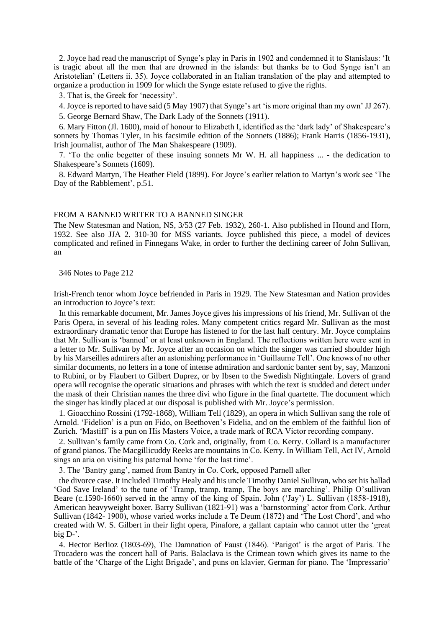2. Joyce had read the manuscript of Synge's play in Paris in 1902 and condemned it to Stanislaus: 'It is tragic about all the men that are drowned in the islands: but thanks be to God Synge isn't an Aristotelian' (Letters ii. 35). Joyce collaborated in an Italian translation of the play and attempted to organize a production in 1909 for which the Synge estate refused to give the rights.

3. That is, the Greek for 'necessity'.

4. Joyce is reported to have said (5 May 1907) that Synge's art 'is more original than my own' JJ 267).

5. George Bernard Shaw, The Dark Lady of the Sonnets (1911).

6. Mary Fitton (Jl. 1600), maid of honour to Elizabeth I, identified as the 'dark lady' of Shakespeare's sonnets by Thomas Tyler, in his facsimile edition of the Sonnets (1886); Frank Harris (1856-1931), Irish journalist, author of The Man Shakespeare (1909).

7. 'To the onlie begetter of these insuing sonnets Mr W. H. all happiness ... - the dedication to Shakespeare's Sonnets (1609).

8. Edward Martyn, The Heather Field (1899). For Joyce's earlier relation to Martyn's work see 'The Day of the Rabblement', p.51.

## FROM A BANNED WRITER TO A BANNED SINGER

The New Statesman and Nation, NS, 3/53 (27 Feb. 1932), 260-1. Also published in Hound and Horn, 1932. See also JJA 2. 310-30 for MSS variants. Joyce published this piece, a model of devices complicated and refined in Finnegans Wake, in order to further the declining career of John Sullivan, an

346 Notes to Page 212

Irish-French tenor whom Joyce befriended in Paris in 1929. The New Statesman and Nation provides an introduction to Joyce's text:

In this remarkable document, Mr. James Joyce gives his impressions of his friend, Mr. Sullivan of the Paris Opera, in several of his leading roles. Many competent critics regard Mr. Sullivan as the most extraordinary dramatic tenor that Europe has listened to for the last half century. Mr. Joyce complains that Mr. Sullivan is 'banned' or at least unknown in England. The reflections written here were sent in a letter to Mr. Sullivan by Mr. Joyce after an occasion on which the singer was carried shoulder high by his Marseilles admirers after an astonishing performance in 'Guillaume Tell'. One knows of no other similar documents, no letters in a tone of intense admiration and sardonic banter sent by, say, Manzoni to Rubini, or by Flaubert to Gilbert Duprez, or by Ibsen to the Swedish Nightingale. Lovers of grand opera will recognise the operatic situations and phrases with which the text is studded and detect under the mask of their Christian names the three divi who figure in the final quartette. The document which the singer has kindly placed at our disposal is published with Mr. Joyce's permission.

1. Gioacchino Rossini (1792-1868), William Tell (1829), an opera in which Sullivan sang the role of Arnold. 'Fidelion' is a pun on Fido, on Beethoven's Fidelia, and on the emblem of the faithful lion of Zurich. 'Mastiff' is a pun on His Masters Voice, a trade mark of RCA Victor recording company.

2. Sullivan's family came from Co. Cork and, originally, from Co. Kerry. Collard is a manufacturer of grand pianos. The Macgillicuddy Reeks are mountains in Co. Kerry. In William Tell, Act IV, Arnold sings an aria on visiting his paternal home 'for the last time'.

3. The 'Bantry gang', named from Bantry in Co. Cork, opposed Parnell after

the divorce case. It included Timothy Healy and his uncle Timothy Daniel Sullivan, who set his ballad 'God Save Ireland' to the tune of 'Tramp, tramp, tramp, The boys are marching'. Philip O'sullivan Beare (c.1590-1660) served in the army of the king of Spain. John ('Jay') L. Sullivan (1858-1918), American heavyweight boxer. Barry Sullivan (1821-91) was a 'barnstorming' actor from Cork. Arthur Sullivan (1842- 1900), whose varied works include a Te Deum (1872) and 'The Lost Chord', and who created with W. S. Gilbert in their light opera, Pinafore, a gallant captain who cannot utter the 'great big D-'.

4. Hector Berlioz (1803-69), The Damnation of Faust (1846). 'Parigot' is the argot of Paris. The Trocadero was the concert hall of Paris. Balaclava is the Crimean town which gives its name to the battle of the 'Charge of the Light Brigade', and puns on klavier, German for piano. The 'Impressario'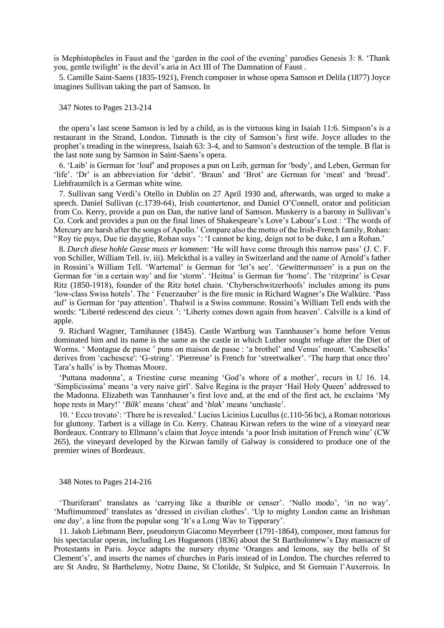is Mephistopheles in Faust and the 'garden in the cool of the evening' parodies Genesis 3: 8. 'Thank you, gentle twilight' is the devil's aria in Act III of The Damnation of Faust .

5. Camille Saint-Saens (1835-1921), French composer in whose opera Samson et Delila (1877) Joyce imagines Sullivan taking the part of Samson. In

### 347 Notes to Pages 213-214

the opera's last scene Samson is led by a child, as is the virtuous king in Isaiah 11:6. Simpson's is a restaurant in the Strand, London. Timnath is the city of Samson's first wife. Joyce alludes to the prophet's treading in the winepress, Isaiah 63: 3-4, and to Samson's destruction of the temple. B flat is the last note sung by Samson in Saint-Saens's opera.

6. 'Laib' is German for 'loaf' and proposes a pun on Leib, german for 'body', and Leben, German for 'life'. 'Dr' is an abbreviation for 'debit'. 'Braun' and 'Brot' are German for 'meat' and 'bread'. Liebfraumilch is a German white wine.

7. Sullivan sang Verdi's Otello in Dublin on 27 April 1930 and, afterwards, was urged to make a speech. Daniel Sullivan (c.1739-64), Irish countertenor, and Daniel O'Connell, orator and politician from Co. Kerry, provide a pun on Dan, the native land of Samson. Muskerry is a barony in Sullivan's Co. Cork and provides a pun on the final lines of Shakespeare's Love's Labour's Lost : 'The words of Mercury are harsh after the songs of Apollo.' Compare also the motto of the Irish-French family, Rohan: ''Roy tie puys, Due tie daygtie, Rohan suys ': 'I cannot be king, deign not to be duke, I am a Rohan.'

8. *Durch diese hohle Gasse muss er kommen*: 'He will have come through this narrow pass' (J. C. F. von Schiller, William Tell. iv. iii). Melckthal is a valley in Switzerland and the name of Arnold's father in Rossini's William Tell. 'Wartemal' is German for 'let's see'. '*Gewittermassen*' is a pun on the German for 'in a certain way' and for 'storm'. 'Heitna' is German for 'home'. The 'ritzprinz' is Cesar Ritz (1850-1918), founder of the Ritz hotel chain. 'Chyberschwitzerhoofs' includes among its puns 'low-class Swiss hotels'. The ' Feuerzauber' is the fire music in Richard Wagner's Die Walküre. 'Pass auf' is German for 'pay attention'. Thalwil is a Swiss commune. Rossini's William Tell ends with the words: "Liberté redescend des cieux ': 'Liberty comes down again from heaven'. Calville is a kind of apple.

9. Richard Wagner, Tamihauser (1845). Castle Wartburg was Tannhauser's home before Venus dominated him and its name is the same as the castle in which Luther sought refuge after the Diet of Worms. ' Montague de passe ' puns on maison de passe : 'a brothel' and Venus' mount. 'Casheselks' derives from 'cachesexe': 'G-string'. 'Pierreuse' is French for 'streetwalker'. 'The harp that once thro' Tara's halls' is by Thomas Moore.

'Puttana madonna', a Triestine curse meaning 'God's whore of a mother', recurs in U 16. 14. 'Simplicissima' means 'a very naive girl'. Salve Regina is the prayer 'Hail Holy Queen' addressed to the Madonna. Elizabeth was Tannhauser's first love and, at the end of the first act, he exclaims 'My hope rests in Mary!' '*Bilk*' means 'cheat' and '*blak*' means 'unchaste'.

10. ' Ecco trovato': 'There he is revealed.' Lucius Licinius Lucullus (c.110-56 bc), a Roman notorious for gluttony. Tarbert is a village in Co. Kerry. Chateau Kirwan refers to the wine of a vineyard near Bordeaux. Contrary to Ellmann's claim that Joyce intends 'a poor Irish imitation of French wine' (CW 265), the vineyard developed by the Kirwan family of Galway is considered to produce one of the premier wines of Bordeaux.

348 Notes to Pages 214-216

'Thuriferant' translates as 'carrying like a thurible or censer'. 'Nullo modo', 'in no way'. 'Muftimummed' translates as 'dressed in civilian clothes'. 'Up to mighty London came an Irishman one day', a line from the popular song 'It's a Long Wav to Tipperary'.

11. Jakob Liebmann Beer, pseudonym Giacomo Meyerbeer (1791-1864), composer, most famous for his spectacular operas, including Les Huguenots (1836) about the St Bartholomew's Day massacre of Protestants in Paris. Joyce adapts the nursery rhyme 'Oranges and lemons, say the bells of St Clement's', and inserts the names of churches in Paris instead of in London. The churches referred to are St Andre, St Barthelemy, Notre Dame, St Clotilde, St Sulpice, and St Germain l'Auxerrois. In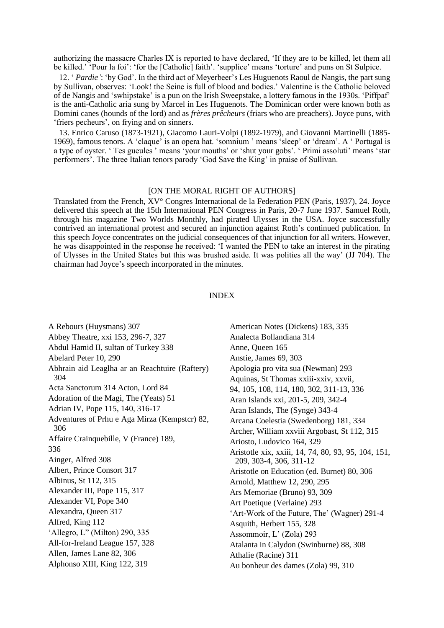authorizing the massacre Charles IX is reported to have declared, 'If they are to be killed, let them all be killed.' 'Pour la foi': 'for the [Catholic] faith'. 'supplice' means 'torture' and puns on St Sulpice.

12. ' *Pardie'*: 'by God'. In the third act of Meyerbeer's Les Huguenots Raoul de Nangis, the part sung by Sullivan, observes: 'Look! the Seine is full of blood and bodies.' Valentine is the Catholic beloved of de Nangis and 'swhipstake' is a pun on the Irish Sweepstake, a lottery famous in the 1930s. 'Piffpaf' is the anti-Catholic aria sung by Marcel in Les Huguenots. The Dominican order were known both as Domini canes (hounds of the lord) and as *frères prêcheurs* (friars who are preachers). Joyce puns, with 'friers pecheurs', on frying and on sinners.

13. Enrico Caruso (1873-1921), Giacomo Lauri-Volpi (1892-1979), and Giovanni Martinelli (1885- 1969), famous tenors. A 'claque' is an opera hat. 'somnium ' means 'sleep' or 'dream'. A ' Portugal is a type of oyster. ' Tes gueules ' means 'your mouths' or 'shut your gobs'. ' Primi assoluti' means 'star performers'. The three Italian tenors parody 'God Save the King' in praise of Sullivan.

### [ON THE MORAL RIGHT OF AUTHORS]

Translated from the French, XV° Congres International de la Federation PEN (Paris, 1937), 24. Joyce delivered this speech at the 15th International PEN Congress in Paris, 20-7 June 1937. Samuel Roth, through his magazine Two Worlds Monthly, had pirated Ulysses in the USA. Joyce successfully contrived an international protest and secured an injunction against Roth's continued publication. In this speech Joyce concentrates on the judicial consequences of that injunction for all writers. However, he was disappointed in the response he received: 'I wanted the PEN to take an interest in the pirating of Ulysses in the United States but this was brushed aside. It was polities all the way' (JJ 704). The chairman had Joyce's speech incorporated in the minutes.

#### INDEX

A Rebours (Huysmans) 307 Abbey Theatre, xxi 153, 296-7, 327 Abdul Hamid II, sultan of Turkey 338 Abelard Peter 10, 290 Abhrain aid Leaglha ar an Reachtuire (Raftery) 304 Acta Sanctorum 314 Acton, Lord 84 Adoration of the Magi, The (Yeats) 51 Adrian IV, Pope 115, 140, 316-17 Adventures of Prhu e Aga Mirza (Kempstcr) 82, 306 Affaire Crainquebille, V (France) 189, 336 Ainger, Alfred 308 Albert, Prince Consort 317 Albinus, St 112, 315 Alexander III, Pope 115, 317 Alexander VI, Pope 340 Alexandra, Queen 317 Alfred, King 112 'Allegro, L" (Milton) 290, 335 All-for-Ireland League 157, 328 Allen, James Lane 82, 306 Alphonso XIII, King 122, 319

American Notes (Dickens) 183, 335 Analecta Bollandiana 314 Anne, Queen 165 Anstie, James 69, 303 Apologia pro vita sua (Newman) 293 Aquinas, St Thomas xxiii-xxiv, xxvii, 94, 105, 108, 114, 180, 302, 311-13, 336 Aran Islands xxi, 201-5, 209, 342-4 Aran Islands, The (Synge) 343-4 Arcana Coelestia (Swedenborg) 181, 334 Archer, William xxviii Argobast, St 112, 315 Ariosto, Ludovico 164, 329 Aristotle xix, xxiii, 14, 74, 80, 93, 95, 104, 151, 209, 303-4, 306, 311-12 Aristotle on Education (ed. Burnet) 80, 306 Arnold, Matthew 12, 290, 295 Ars Memoriae (Bruno) 93, 309 Art Poetique (Verlaine) 293 'Art-Work of the Future, The' (Wagner) 291-4 Asquith, Herbert 155, 328 Assommoir, L' (Zola) 293 Atalanta in Calydon (Swinburne) 88, 308 Athalie (Racine) 311 Au bonheur des dames (Zola) 99, 310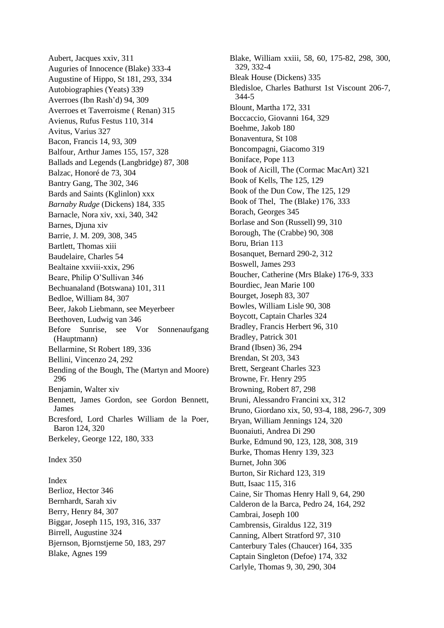Aubert, Jacques xxiv, 311 Auguries of Innocence (Blake) 333-4 Augustine of Hippo, St 181, 293, 334 Autobiographies (Yeats) 339 Averroes (Ibn Rash'd) 94, 309 Averroes et Taverroisme ( Renan) 315 Avienus, Rufus Festus 110, 314 Avitus, Varius 327 Bacon, Francis 14, 93, 309 Balfour, Arthur James 155, 157, 328 Ballads and Legends (Langbridge) 87, 308 Balzac, Honoré de 73, 304 Bantry Gang, The 302, 346 Bards and Saints (Kglinlon) xxx *Barnaby Rudge* (Dickens) 184, 335 Barnacle, Nora xiv, xxi, 340, 342 Barnes, Djuna xiv Barrie, J. M. 209, 308, 345 Bartlett, Thomas xiii Baudelaire, Charles 54 Bealtaine xxviii-xxix, 296 Beare, Philip O'Sullivan 346 Bechuanaland (Botswana) 101, 311 Bedloe, William 84, 307 Beer, Jakob Liebmann, see Meyerbeer Beethoven, Ludwig van 346 Before Sunrise, see Vor Sonnenaufgang (Hauptmann) Bellarmine, St Robert 189, 336 Bellini, Vincenzo 24, 292 Bending of the Bough, The (Martyn and Moore) 296 Benjamin, Walter xiv Bennett, James Gordon, see Gordon Bennett, James Bcresford, Lord Charles William de la Poer, Baron 124, 320 Berkeley, George 122, 180, 333 Index 350 Index

Berlioz, Hector 346 Bernhardt, Sarah xiv Berry, Henry 84, 307 Biggar, Joseph 115, 193, 316, 337 Birrell, Augustine 324 Bjernson, Bjornstjerne 50, 183, 297 Blake, Agnes 199

Blake, William xxiii, 58, 60, 175-82, 298, 300, 329, 332-4 Bleak House (Dickens) 335 Bledisloe, Charles Bathurst 1st Viscount 206-7, 344-5 Blount, Martha 172, 331 Boccaccio, Giovanni 164, 329 Boehme, Jakob 180 Bonaventura, St 108 Boncompagni, Giacomo 319 Boniface, Pope 113 Book of Aicill, The (Cormac MacArt) 321 Book of Kells, The 125, 129 Book of the Dun Cow, The 125, 129 Book of Thel, The (Blake) 176, 333 Borach, Georges 345 Borlase and Son (Russell) 99, 310 Borough, The (Crabbe) 90, 308 Boru, Brian 113 Bosanquet, Bernard 290-2, 312 Boswell, James 293 Boucher, Catherine (Mrs Blake) 176-9, 333 Bourdiec, Jean Marie 100 Bourget, Joseph 83, 307 Bowles, William Lisle 90, 308 Boycott, Captain Charles 324 Bradley, Francis Herbert 96, 310 Bradley, Patrick 301 Brand (Ibsen) 36, 294 Brendan, St 203, 343 Brett, Sergeant Charles 323 Browne, Fr. Henry 295 Browning, Robert 87, 298 Bruni, Alessandro Francini xx, 312 Bruno, Giordano xix, 50, 93-4, 188, 296-7, 309 Bryan, William Jennings 124, 320 Buonaiuti, Andrea Di 290 Burke, Edmund 90, 123, 128, 308, 319 Burke, Thomas Henry 139, 323 Burnet, John 306 Burton, Sir Richard 123, 319 Butt, Isaac 115, 316 Caine, Sir Thomas Henry Hall 9, 64, 290 Calderon de la Barca, Pedro 24, 164, 292 Cambrai, Joseph 100 Cambrensis, Giraldus 122, 319 Canning, Albert Stratford 97, 310 Canterbury Tales (Chaucer) 164, 335 Captain Singleton (Defoe) 174, 332 Carlyle, Thomas 9, 30, 290, 304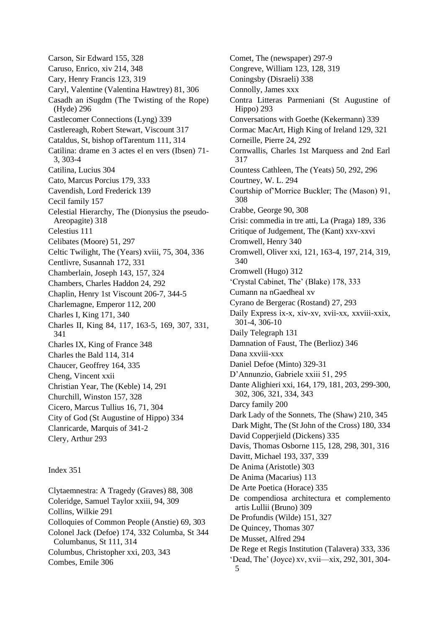Carson, Sir Edward 155, 328 Caruso, Enrico, xiv 214, 348 Cary, Henry Francis 123, 319 Caryl, Valentine (Valentina Hawtrey) 81, 306 Casadh an iSugdm (The Twisting of the Rope) (Hyde) 296 Castlecomer Connections (Lyng) 339 Castlereagh, Robert Stewart, Viscount 317 Cataldus, St, bishop ofTarentum 111, 314 Catilina: drame en 3 actes el en vers (Ibsen) 71- 3, 303-4 Catilina, Lucius 304 Cato, Marcus Porcius 179, 333 Cavendish, Lord Frederick 139 Cecil family 157 Celestial Hierarchy, The (Dionysius the pseudo-Areopagite) 318 Celestius 111 Celibates (Moore) 51, 297 Celtic Twilight, The (Years) xviii, 75, 304, 336 Centlivre, Susannah 172, 331 Chamberlain, Joseph 143, 157, 324 Chambers, Charles Haddon 24, 292 Chaplin, Henry 1st Viscount 206-7, 344-5 Charlemagne, Emperor 112, 200 Charles I, King 171, 340 Charles II, King 84, 117, 163-5, 169, 307, 331, 341 Charles IX, King of France 348 Charles the Bald 114, 314 Chaucer, Geoffrey 164, 335 Cheng, Vincent xxii Christian Year, The (Keble) 14, 291 Churchill, Winston 157, 328 Cicero, Marcus Tullius 16, 71, 304 City of God (St Augustine of Hippo) 334 Clanricarde, Marquis of 341-2 Clery, Arthur 293

# Index 351

Clytaemnestra: A Tragedy (Graves) 88, 308 Coleridge, Samuel Taylor xxiii, 94, 309 Collins, Wilkie 291 Colloquies of Common People (Anstie) 69, 303 Colonel Jack (Defoe) 174, 332 Columba, St 344 Columbanus, St 111, 314 Columbus, Christopher xxi, 203, 343 Combes, Emile 306

Comet, The (newspaper) 297-9 Congreve, William 123, 128, 319 Coningsby (Disraeli) 338 Connolly, James xxx Contra Litteras Parmeniani (St Augustine of Hippo) 293 Conversations with Goethe (Kekermann) 339 Cormac MacArt, High King of Ireland 129, 321 Corneille, Pierre 24, 292 Cornwallis, Charles 1st Marquess and 2nd Earl 317 Countess Cathleen, The (Yeats) 50, 292, 296 Courtney, W. L. 294 Courtship of'Morrice Buckler; The (Mason) 91, 308 Crabbe, George 90, 308 Crisi: commedia in tre atti, La (Praga) 189, 336 Critique of Judgement, The (Kant) xxv-xxvi Cromwell, Henry 340 Cromwell, Oliver xxi, 121, 163-4, 197, 214, 319, 340 Cromwell (Hugo) 312 'Crystal Cabinet, The' (Blake) 178, 333 Cumann na nGaedheal xv Cyrano de Bergerac (Rostand) 27, 293 Daily Express ix-x, xiv-xv, xvii-xx, xxviii-xxix, 301-4, 306-10 Daily Telegraph 131 Damnation of Faust, The (Berlioz) 346 Dana xxviii-xxx Daniel Defoe (Minto) 329-31 D'Annunzio, Gabriele xxiii 51, 295 Dante Alighieri xxi, 164, 179, 181, 203, 299-300, 302, 306, 321, 334, 343 Darcy family 200 Dark Lady of the Sonnets, The (Shaw) 210, 345 Dark Might, The (St John of the Cross) 180, 334 David Copperjield (Dickens) 335 Davis, Thomas Osborne 115, 128, 298, 301, 316 Davitt, Michael 193, 337, 339 De Anima (Aristotle) 303 De Anima (Macarius) 113 De Arte Poetica (Horace) 335 De compendiosa architectura et complemento artis Lullii (Bruno) 309 De Profundis (Wilde) 151, 327 De Quincey, Thomas 307 De Musset, Alfred 294 De Rege et Regis Institution (Talavera) 333, 336 'Dead, The' (Joyce) xv, xvii—xix, 292, 301, 304- 5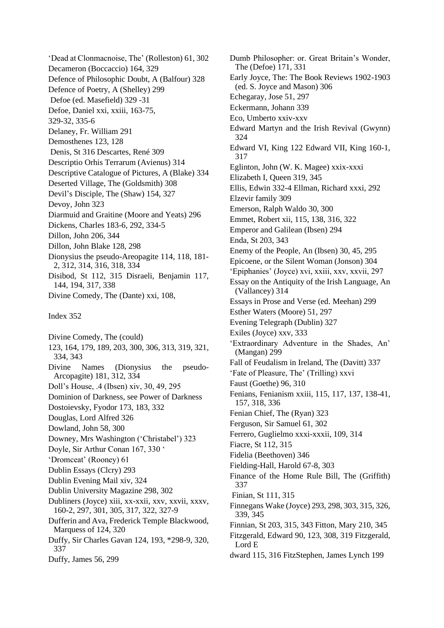'Dead at Clonmacnoise, The' (Rolleston) 61, 302 Decameron (Boccaccio) 164, 329 Defence of Philosophic Doubt, A (Balfour) 328 Defence of Poetry, A (Shelley) 299 Defoe (ed. Masefield) 329 -31 Defoe, Daniel xxi, xxiii, 163-75, 329-32, 335-6 Delaney, Fr. William 291 Demosthenes 123, 128 Denis, St 316 Descartes, René 309 Descriptio Orhis Terrarum (Avienus) 314 Descriptive Catalogue of Pictures, A (Blake) 334 Deserted Village, The (Goldsmith) 308 Devil's Disciple, The (Shaw) 154, 327 Devoy, John 323 Diarmuid and Graitine (Moore and Yeats) 296 Dickens, Charles 183-6, 292, 334-5 Dillon, John 206, 344 Dillon, John Blake 128, 298 Dionysius the pseudo-Areopagite 114, 118, 181- 2, 312, 314, 316, 318, 334 Disibod, St 112, 315 Disraeli, Benjamin 117, 144, 194, 317, 338 Divine Comedy, The (Dante) xxi, 108,

Index 352

Divine Comedy, The (could) 123, 164, 179, 189, 203, 300, 306, 313, 319, 321, 334, 343 Divine Names (Dionysius the pseudo-Arcopagite) 181, 312, 334 Doll's House, .4 (Ibsen) xiv, 30, 49, 295 Dominion of Darkness, see Power of Darkness Dostoievsky, Fyodor 173, 183, 332 Douglas, Lord Alfred 326 Dowland, John 58, 300 Downey, Mrs Washington ('Christabel') 323 Doyle, Sir Arthur Conan 167, 330 ' 'Dromceat' (Rooney) 61 Dublin Essays (Clcry) 293 Dublin Evening Mail xiv, 324 Dublin University Magazine 298, 302 Dubliners (Joyce) xiii, xx-xxii, xxv, xxvii, xxxv, 160-2, 297, 301, 305, 317, 322, 327-9 Dufferin and Ava, Frederick Temple Blackwood, Marquess of 124, 320 Duffy, Sir Charles Gavan 124, 193, \*298-9, 320, 337 Duffy, James 56, 299

Dumb Philosopher: or. Great Britain's Wonder, The (Defoe) 171, 331 Early Joyce, The: The Book Reviews 1902-1903 (ed. S. Joyce and Mason) 306 Echegaray, Jose 51, 297 Eckermann, Johann 339 Eco, Umberto xxiv-xxv Edward Martyn and the Irish Revival (Gwynn) 324 Edward VI, King 122 Edward VII, King 160-1, 317 Eglinton, John (W. K. Magee) xxix-xxxi Elizabeth I, Queen 319, 345 Ellis, Edwin 332-4 Ellman, Richard xxxi, 292 Elzevir family 309 Emerson, Ralph Waldo 30, 300 Emmet, Robert xii, 115, 138, 316, 322 Emperor and Galilean (Ibsen) 294 Enda, St 203, 343 Enemy of the People, An (Ibsen) 30, 45, 295 Epicoene, or the Silent Woman (Jonson) 304 'Epiphanies' (Joyce) xvi, xxiii, xxv, xxvii, 297 Essay on the Antiquity of the Irish Language, An (Vallancey) 314 Essays in Prose and Verse (ed. Meehan) 299 Esther Waters (Moore) 51, 297 Evening Telegraph (Dublin) 327 Exiles (Joyce) xxv, 333 'Extraordinary Adventure in the Shades, An' (Mangan) 299 Fall of Feudalism in Ireland, The (Davitt) 337 'Fate of Pleasure, The' (Trilling) xxvi Faust (Goethe) 96, 310 Fenians, Fenianism xxiii, 115, 117, 137, 138-41, 157, 318, 336 Fenian Chief, The (Ryan) 323 Ferguson, Sir Samuel 61, 302 Ferrero, Guglielmo xxxi-xxxii, 109, 314 Fiacre, St 112, 315 Fidelia (Beethoven) 346 Fielding-Hall, Harold 67-8, 303 Finance of the Home Rule Bill, The (Griffith) 337 Finian, St 111, 315 Finnegans Wake (Joyce) 293, 298, 303, 315, 326, 339, 345 Finnian, St 203, 315, 343 Fitton, Mary 210, 345 Fitzgerald, Edward 90, 123, 308, 319 Fitzgerald, Lord E dward 115, 316 FitzStephen, James Lynch 199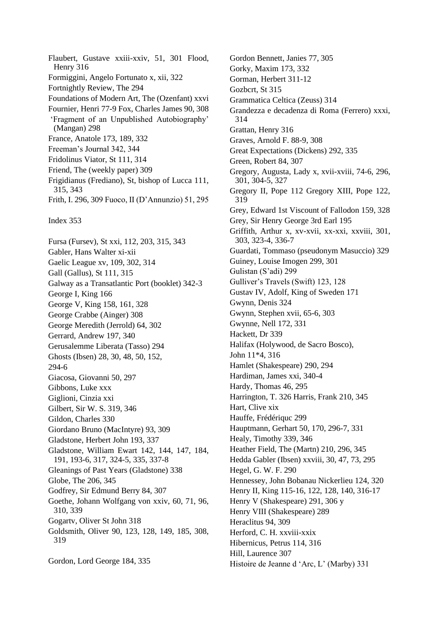Flaubert, Gustave xxiii-xxiv, 51, 301 Flood, Henry 316 Formiggini, Angelo Fortunato x, xii, 322 Fortnightly Review, The 294 Foundations of Modern Art, The (Ozenfant) xxvi Fournier, Henri 77-9 Fox, Charles James 90, 308 'Fragment of an Unpublished Autobiography' (Mangan) 298 France, Anatole 173, 189, 332 Freeman's Journal 342, 344 Fridolinus Viator, St 111, 314 Friend, The (weekly paper) 309 Frigidianus (Frediano), St, bishop of Lucca 111, 315, 343 Frith, I. 296, 309 Fuoco, II (D'Annunzio) 51, 295 Index 353 Fursa (Fursev), St xxi, 112, 203, 315, 343 Gabler, Hans Walter xi-xii Gaelic League xv, 109, 302, 314 Gall (Gallus), St 111, 315 Galway as a Transatlantic Port (booklet) 342-3 George I, King 166 George V, King 158, 161, 328 George Crabbe (Ainger) 308 George Meredith (Jerrold) 64, 302 Gerrard, Andrew 197, 340 Gerusalemme Liberata (Tasso) 294 Ghosts (Ibsen) 28, 30, 48, 50, 152, 294-6 Giacosa, Giovanni 50, 297 Gibbons, Luke xxx Giglioni, Cinzia xxi Gilbert, Sir W. S. 319, 346 Gildon, Charles 330 Giordano Bruno (MacIntyre) 93, 309 Gladstone, Herbert John 193, 337 Gladstone, William Ewart 142, 144, 147, 184, 191, 193-6, 317, 324-5, 335, 337-8 Gleanings of Past Years (Gladstone) 338 Globe, The 206, 345 Godfrey, Sir Edmund Berry 84, 307 Goethe, Johann Wolfgang von xxiv, 60, 71, 96, 310, 339 Gogartv, Oliver St John 318 Goldsmith, Oliver 90, 123, 128, 149, 185, 308, 319 Gordon, Lord George 184, 335

Gordon Bennett, Janies 77, 305 Gorky, Maxim 173, 332 Gorman, Herbert 311-12 Gozbcrt, St 315 Grammatica Celtica (Zeuss) 314 Grandezza e decadenza di Roma (Ferrero) xxxi, 314 Grattan, Henry 316 Graves, Arnold F. 88-9, 308 Great Expectations (Dickens) 292, 335 Green, Robert 84, 307 Gregory, Augusta, Lady x, xvii-xviii, 74-6, 296, 301, 304-5, 327 Gregory II, Pope 112 Gregory XIII, Pope 122, 319 Grey, Edward 1st Viscount of Fallodon 159, 328 Grey, Sir Henry George 3rd Earl 195 Griffith, Arthur x, xv-xvii, xx-xxi, xxviii, 301, 303, 323-4, 336-7 Guardati, Tommaso (pseudonym Masuccio) 329 Guiney, Louise Imogen 299, 301 Gulistan (S'adi) 299 Gulliver's Travels (Swift) 123, 128 Gustav IV, Adolf, King of Sweden 171 Gwynn, Denis 324 Gwynn, Stephen xvii, 65-6, 303 Gwynne, Nell 172, 331 Hackett, Dr 339 Halifax (Holywood, de Sacro Bosco), John 11\*4, 316 Hamlet (Shakespeare) 290, 294 Hardiman, James xxi, 340-4 Hardy, Thomas 46, 295 Harrington, T. 326 Harris, Frank 210, 345 Hart, Clive xix Hauffe, Frédériquc 299 Hauptmann, Gerhart 50, 170, 296-7, 331 Healy, Timothy 339, 346 Heather Field, The (Martn) 210, 296, 345 Hedda Gabler (Ibsen) xxviii, 30, 47, 73, 295 Hegel, G. W. F. 290 Hennessey, John Bobanau Nickerlieu 124, 320 Henry II, King 115-16, 122, 128, 140, 316-17 Henry V (Shakespeare) 291, 306 y Henry VIII (Shakespeare) 289 Heraclitus 94, 309 Herford, C. H. xxviii-xxix Hibernicus, Petrus 114, 316 Hill, Laurence 307 Histoire de Jeanne d 'Arc, L' (Marby) 331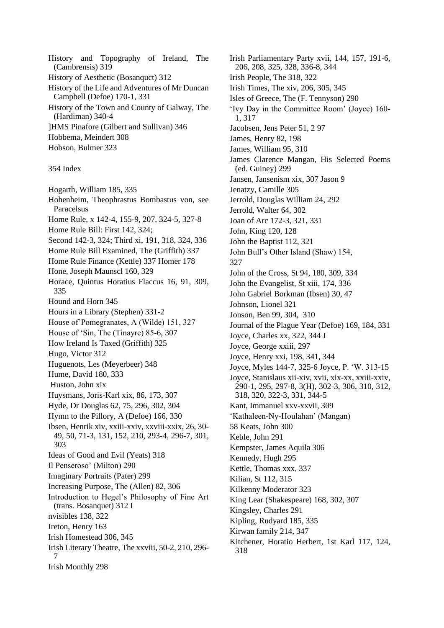History and Topography of Ireland, The (Cambrensis) 319 History of Aesthetic (Bosanquct) 312 History of the Life and Adventures of Mr Duncan Campbell (Defoe) 170-1, 331 History of the Town and County of Galway, The (Hardiman) 340-4 ]HMS Pinafore (Gilbert and Sullivan) 346 Hobbema, Meindert 308 Hobson, Bulmer 323 354 Index

Hogarth, William 185, 335 Hohenheim, Theophrastus Bombastus von, see Paracelsus Home Rule, x 142-4, 155-9, 207, 324-5, 327-8 Home Rule Bill: First 142, 324; Second 142-3, 324; Third xi, 191, 318, 324, 336 Home Rule Bill Examined, The (Griffith) 337 Home Rule Finance (Kettle) 337 Homer 178 Hone, Joseph Maunscl 160, 329 Horace, Quintus Horatius Flaccus 16, 91, 309, 335 Hound and Horn 345 Hours in a Library (Stephen) 331-2 House of'Pomegranates, A (Wilde) 151, 327 House of 'Sin, The (Tinayre) 85-6, 307 How Ireland Is Taxed (Griffith) 325 Hugo, Victor 312 Huguenots, Les (Meyerbeer) 348 Hume, David 180, 333 Huston, John xix Huysmans, Joris-Karl xix, 86, 173, 307 Hyde, Dr Douglas 62, 75, 296, 302, 304 Hymn to the Pillory, A (Defoe) 166, 330 Ibsen, Henrik xiv, xxiii-xxiv, xxviii-xxix, 26, 30- 49, 50, 71-3, 131, 152, 210, 293-4, 296-7, 301, 303 Ideas of Good and Evil (Yeats) 318 Il Penseroso' (Milton) 290 Imaginary Portraits (Pater) 299 Increasing Purpose, The (Allen) 82, 306 Introduction to Hegel's Philosophy of Fine Art (trans. Bosanquet) 312 I nvisibles 138, 322 Ireton, Henry 163 Irish Homestead 306, 345 Irish Literary Theatre, The xxviii, 50-2, 210, 296- 7 Irish Monthly 298

Irish Parliamentary Party xvii, 144, 157, 191-6, 206, 208, 325, 328, 336-8, 344 Irish People, The 318, 322 Irish Times, The xiv, 206, 305, 345 Isles of Greece, The (F. Tennyson) 290 'Ivy Day in the Committee Room' (Joyce) 160- 1, 317 Jacobsen, Jens Peter 51, 2 97 James, Henry 82, 198 James, William 95, 310 James Clarence Mangan, His Selected Poems (ed. Guiney) 299 Jansen, Jansenism xix, 307 Jason 9 Jenatzy, Camille 305 Jerrold, Douglas William 24, 292 Jerrold, Walter 64, 302 Joan of Arc 172-3, 321, 331 John, King 120, 128 John the Baptist 112, 321 John Bull's Other Island (Shaw) 154, 327 John of the Cross, St 94, 180, 309, 334 John the Evangelist, St xiii, 174, 336 John Gabriel Borkman (Ibsen) 30, 47 Johnson, Lionel 321 Jonson, Ben 99, 304, 310 Journal of the Plague Year (Defoe) 169, 184, 331 Joyce, Charles xx, 322, 344 J Joyce, George xxiii, 297 Joyce, Henry xxi, 198, 341, 344 Joyce, Myles 144-7, 325-6 Joyce, P. 'W. 313-15 Joyce, Stanislaus xii-xiv, xvii, xix-xx, xxiii-xxiv, 290-1, 295, 297-8, 3(H), 302-3, 306, 310, 312, 318, 320, 322-3, 331, 344-5 Kant, Immanuel xxv-xxvii, 309 'Kathaleen-Ny-Houlahan' (Mangan) 58 Keats, John 300 Keble, John 291 Kempster, James Aquila 306 Kennedy, Hugh 295 Kettle, Thomas xxx, 337 Kilian, St 112, 315 Kilkenny Moderator 323 King Lear (Shakespeare) 168, 302, 307 Kingsley, Charles 291 Kipling, Rudyard 185, 335 Kirwan family 214, 347 Kitchener, Horatio Herbert, 1st Karl 117, 124, 318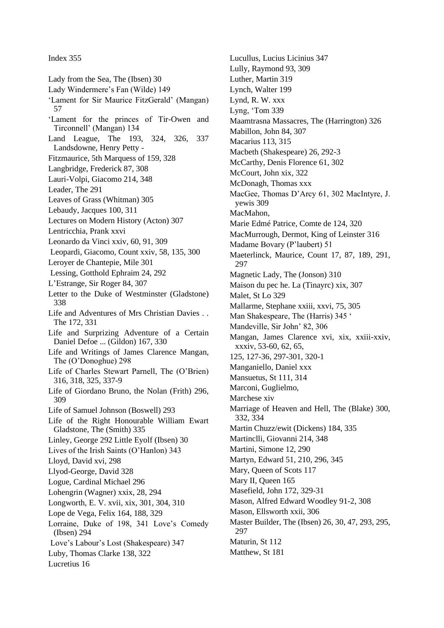Index 355

Lady from the Sea, The (Ibsen) 30 Lady Windermere's Fan (Wilde) 149 'Lament for Sir Maurice FitzGerald' (Mangan) 57 'Lament for the princes of Tir-Owen and Tirconnell' (Mangan) 134 Land League, The 193, 324, 326, 337 Landsdowne, Henry Petty - Fitzmaurice, 5th Marquess of 159, 328 Langbridge, Frederick 87, 308 Lauri-Volpi, Giacomo 214, 348 Leader, The 291 Leaves of Grass (Whitman) 305 Lebaudy, Jacques 100, 311 Lectures on Modern History (Acton) 307 Lentricchia, Prank xxvi Leonardo da Vinci xxiv, 60, 91, 309 Leopardi, Giacomo, Count xxiv, 58, 135, 300 Leroyer de Chantepie, Mile 301 Lessing, Gotthold Ephraim 24, 292 L'Estrange, Sir Roger 84, 307 Letter to the Duke of Westminster (Gladstone) 338 Life and Adventures of Mrs Christian Davies . . The 172, 331 Life and Surprizing Adventure of a Certain Daniel Defoe ... (Gildon) 167, 330 Life and Writings of James Clarence Mangan, The (O'Donoghue) 298 Life of Charles Stewart Parnell, The (O'Brien) 316, 318, 325, 337-9 Life of Giordano Bruno, the Nolan (Frith) 296, 309 Life of Samuel Johnson (Boswell) 293 Life of the Right Honourable William Ewart Gladstone, The (Smith) 335 Linley, George 292 Little Eyolf (Ibsen) 30 Lives of the Irish Saints (O'Hanlon) 343 Lloyd, David xvi, 298 Llyod-George, David 328 Logue, Cardinal Michael 296 Lohengrin (Wagner) xxix, 28, 294 Longworth, E. V. xvii, xix, 301, 304, 310 Lope de Vega, Felix 164, 188, 329 Lorraine, Duke of 198, 341 Love's Comedy (Ibsen) 294 Love's Labour's Lost (Shakespeare) 347 Luby, Thomas Clarke 138, 322 Lucretius 16

Lucullus, Lucius Licinius 347 Lully, Raymond 93, 309 Luther, Martin 319 Lynch, Walter 199 Lynd, R. W. xxx Lyng, 'Tom 339 Maamtrasna Massacres, The (Harrington) 326 Mabillon, John 84, 307 Macarius 113, 315 Macbeth (Shakespeare) 26, 292-3 McCarthy, Denis Florence 61, 302 McCourt, John xix, 322 McDonagh, Thomas xxx MacGee, Thomas D'Arcy 61, 302 MacIntyre, J. yewis 309 MacMahon, Marie Edmé Patrice, Comte de 124, 320 MacMurrough, Dermot, King of Leinster 316 Madame Bovary (P'laubert) 51 Maeterlinck, Maurice, Count 17, 87, 189, 291, 297 Magnetic Lady, The (Jonson) 310 Maison du pec he. La (Tinayrc) xix, 307 Malet, St Lo 329 Mallarme, Stephane xxiii, xxvi, 75, 305 Man Shakespeare, The (Harris) 345 ' Mandeville, Sir John' 82, 306 Mangan, James Clarence xvi, xix, xxiii-xxiv, xxxiv, 53-60, 62, 65, 125, 127-36, 297-301, 320-1 Manganiello, Daniel xxx Mansuetus, St 111, 314 Marconi, Guglielmo, Marchese xiv Marriage of Heaven and Hell, The (Blake) 300, 332, 334 Martin Chuzz/ewit (Dickens) 184, 335 Martinclli, Giovanni 214, 348 Martini, Simone 12, 290 Martyn, Edward 51, 210, 296, 345 Mary, Queen of Scots 117 Mary II, Queen 165 Masefield, John 172, 329-31 Mason, Alfred Edward Woodley 91-2, 308 Mason, Ellsworth xxii, 306 Master Builder, The (Ibsen) 26, 30, 47, 293, 295, 297 Maturin, St 112 Matthew, St 181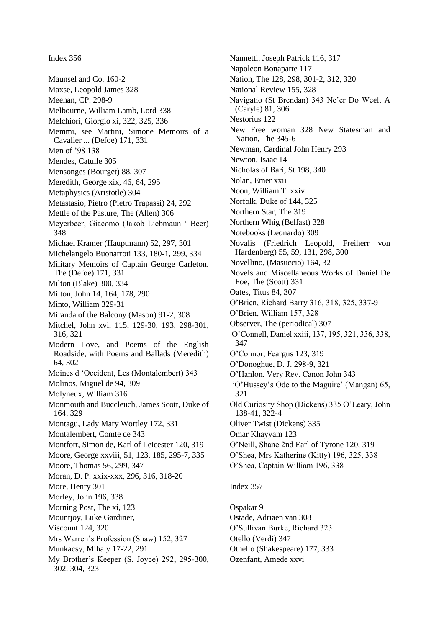Index 356

Maunsel and Co. 160-2 Maxse, Leopold James 328 Meehan, CP. 298-9 Melbourne, William Lamb, Lord 338 Melchiori, Giorgio xi, 322, 325, 336 Memmi, see Martini, Simone Memoirs of a Cavalier ... (Defoe) 171, 331 Men of '98 138 Mendes, Catulle 305 Mensonges (Bourget) 88, 307 Meredith, George xix, 46, 64, 295 Metaphysics (Aristotle) 304 Metastasio, Pietro (Pietro Trapassi) 24, 292 Mettle of the Pasture, The (Allen) 306 Meyerbeer, Giacomo (Jakob Liebmaun ' Beer) 348 Michael Kramer (Hauptmann) 52, 297, 301 Michelangelo Buonarroti 133, 180-1, 299, 334 Military Memoirs of Captain George Carleton. The (Defoe) 171, 331 Milton (Blake) 300, 334 Milton, John 14, 164, 178, 290 Minto, William 329-31 Miranda of the Balcony (Mason) 91-2, 308 Mitchel, John xvi, 115, 129-30, 193, 298-301, 316, 321 Modern Love, and Poems of the English Roadside, with Poems and Ballads (Meredith) 64, 302 Moines d 'Occident, Les (Montalembert) 343 Molinos, Miguel de 94, 309 Molyneux, William 316 Monmouth and Buccleuch, James Scott, Duke of 164, 329 Montagu, Lady Mary Wortley 172, 331 Montalembert, Comte de 343 Montfort, Simon de, Karl of Leicester 120, 319 Moore, George xxviii, 51, 123, 185, 295-7, 335 Moore, Thomas 56, 299, 347 Moran, D. P. xxix-xxx, 296, 316, 318-20 More, Henry 301 Morley, John 196, 338 Morning Post, The xi, 123 Mountjoy, Luke Gardiner, Viscount 124, 320 Mrs Warren's Profession (Shaw) 152, 327 Munkacsy, Mihaly 17-22, 291 My Brother's Keeper (S. Joyce) 292, 295-300, 302, 304, 323

Nannetti, Joseph Patrick 116, 317 Napoleon Bonaparte 117 Nation, The 128, 298, 301-2, 312, 320 National Review 155, 328 Navigatio (St Brendan) 343 Ne'er Do Weel, A (Caryle) 81, 306 Nestorius 122 New Free woman 328 New Statesman and Nation, The 345-6 Newman, Cardinal John Henry 293 Newton, Isaac 14 Nicholas of Bari, St 198, 340 Nolan, Emer xxii Noon, William T. xxiv Norfolk, Duke of 144, 325 Northern Star, The 319 Northern Whig (Belfast) 328 Notebooks (Leonardo) 309 Novalis (Friedrich Leopold, Freiherr von Hardenberg) 55, 59, 131, 298, 300 Novellino, (Masuccio) 164, 32 Novels and Miscellaneous Works of Daniel De Foe, The (Scott) 331 Oates, Titus 84, 307 O'Brien, Richard Barry 316, 318, 325, 337-9 O'Brien, William 157, 328 Observer, The (periodical) 307 O'Connell, Daniel xxiii, 137, 195, 321, 336, 338, 347 O'Connor, Feargus 123, 319 O'Donoghue, D. J. 298-9, 321 O'Hanlon, Very Rev. Canon John 343 'O'Hussey's Ode to the Maguire' (Mangan) 65, 321 Old Curiosity Shop (Dickens) 335 O'Leary, John 138-41, 322-4 Oliver Twist (Dickens) 335 Omar Khayyam 123 O'Neill, Shane 2nd Earl of Tyrone 120, 319 O'Shea, Mrs Katherine (Kitty) 196, 325, 338 O'Shea, Captain William 196, 338

# Index 357

Ospakar 9 Ostade, Adriaen van 308 O'Sullivan Burke, Richard 323 Otello (Verdi) 347 Othello (Shakespeare) 177, 333 Ozenfant, Amede xxvi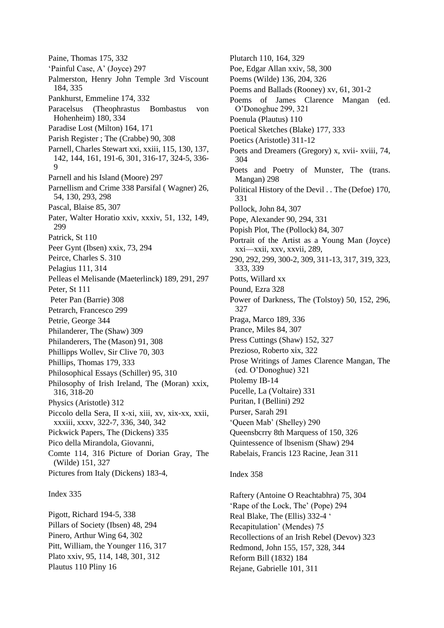Paine, Thomas 175, 332 'Painful Case, A' (Joyce) 297 Palmerston, Henry John Temple 3rd Viscount 184, 335 Pankhurst, Emmeline 174, 332 Paracelsus (Theophrastus Bombastus von Hohenheim) 180, 334 Paradise Lost (Milton) 164, 171 Parish Register ; The (Crabbe) 90, 308 Parnell, Charles Stewart xxi, xxiii, 115, 130, 137, 142, 144, 161, 191-6, 301, 316-17, 324-5, 336- 9 Parnell and his Island (Moore) 297 Parnellism and Crime 338 Parsifal ( Wagner) 26, 54, 130, 293, 298 Pascal, Blaise 85, 307 Pater, Walter Horatio xxiv, xxxiv, 51, 132, 149, 299 Patrick, St 110 Peer Gynt (Ibsen) xxix, 73, 294 Peirce, Charles S. 310 Pelagius 111, 314 Pelleas el Melisande (Maeterlinck) 189, 291, 297 Peter, St 111 Peter Pan (Barrie) 308 Petrarch, Francesco 299 Petrie, George 344 Philanderer, The (Shaw) 309 Philanderers, The (Mason) 91, 308 Phillipps Wollev, Sir Clive 70, 303 Phillips, Thomas 179, 333 Philosophical Essays (Schiller) 95, 310 Philosophy of Irish Ireland, The (Moran) xxix, 316, 318-20 Physics (Aristotle) 312 Piccolo della Sera, II x-xi, xiii, xv, xix-xx, xxii, xxxiii, xxxv, 322-7, 336, 340, 342 Pickwick Papers, The (Dickens) 335 Pico della Mirandola, Giovanni, Comte 114, 316 Picture of Dorian Gray, The (Wilde) 151, 327 Pictures from Italy (Dickens) 183-4,

# Index 335

Pigott, Richard 194-5, 338 Pillars of Society (Ibsen) 48, 294 Pinero, Arthur Wing 64, 302 Pitt, William, the Younger 116, 317 Plato xxiv, 95, 114, 148, 301, 312 Plautus 110 Pliny 16

Plutarch 110, 164, 329 Poe, Edgar Allan xxiv, 58, 300 Poems (Wilde) 136, 204, 326 Poems and Ballads (Rooney) xv, 61, 301-2 Poems of James Clarence Mangan (ed. O'Donoghue 299, 321 Poenula (Plautus) 110 Poetical Sketches (Blake) 177, 333 Poetics (Aristotle) 311-12 Poets and Dreamers (Gregory) x, xvii- xviii, 74, 304 Poets and Poetry of Munster, The (trans. Mangan) 298 Political History of the Devil . . The (Defoe) 170, 331 Pollock, John 84, 307 Pope, Alexander 90, 294, 331 Popish Plot, The (Pollock) 84, 307 Portrait of the Artist as a Young Man (Joyce) xxi—xxii, xxv, xxvii, 289, 290, 292, 299, 300-2, 309, 311-13, 317, 319, 323, 333, 339 Potts, Willard xx Pound, Ezra 328 Power of Darkness, The (Tolstoy) 50, 152, 296, 327 Praga, Marco 189, 336 Prance, Miles 84, 307 Press Cuttings (Shaw) 152, 327 Prezioso, Roberto xix, 322 Prose Writings of James Clarence Mangan, The (ed. O'Donoghue) 321 Ptolemy IB-14 Pucelle, La (Voltaire) 331 Puritan, I (Bellini) 292 Purser, Sarah 291 'Queen Mab' (Shelley) 290 Queensbcrry 8th Marquess of 150, 326 Quintessence of lbsenism (Shaw) 294 Rabelais, Francis 123 Racine, Jean 311

# Index 358

Raftery (Antoine O Reachtabhra) 75, 304 'Rape of the Lock, The' (Pope) 294 Real Blake, The (Ellis) 332-4 ' Recapitulation' (Mendes) 75 Recollections of an Irish Rebel (Devov) 323 Redmond, John 155, 157, 328, 344 Reform Bill (1832) 184 Rejane, Gabrielle 101, 311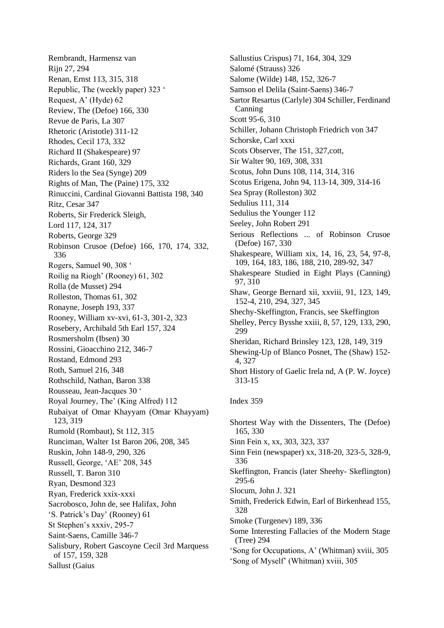Rembrandt, Harmensz van Rijn 27, 294 Renan, Ernst 113, 315, 318 Republic, The (weekly paper) 323 ' Request, A' (Hyde) 62 Review, The (Defoe) 166, 330 Revue de Paris, La 307 Rhetoric (Aristotle) 311-12 Rhodes, Cecil 173, 332 Richard II (Shakespeare) 97 Richards, Grant 160, 329 Riders lo the Sea (Synge) 209 Rights of Man, The (Paine) 175, 332 Rinuccini, Cardinal Giovanni Battista 198, 340 Ritz, Cesar 347 Roberts, Sir Frederick Sleigh, Lord 117, 124, 317 Roberts, George 329 Robinson Crusoe (Defoe) 166, 170, 174, 332, 336 Rogers, Samuel 90, 308 ' Roilig na Riogh' (Rooney) 61, 302 Rolla (de Musset) 294 Rolleston, Thomas 61, 302 Ronayne, Joseph 193, 337 Rooney, William xv-xvi, 61-3, 301-2, 323 Rosebery, Archibald 5th Earl 157, 324 Rosmersholm (Ibsen) 30 Rossini, Gioacchino 212, 346-7 Rostand, Edmond 293 Roth, Samuel 216, 348 Rothschild, Nathan, Baron 338 Rousseau, Jean-Jacques 30 ' Royal Journey, The' (King Alfred) 112 Rubaiyat of Omar Khayyam (Omar Khayyam) 123, 319 Rumold (Rombaut), St 112, 315 Runciman, Walter 1st Baron 206, 208, 345 Ruskin, John 148-9, 290, 326 Russell, George, 'AE' 208, 345 Russell, T. Baron 310 Ryan, Desmond 323 Ryan, Frederick xxix-xxxi Sacrobosco, John de, see Halifax, John 'S. Patrick's Day' (Rooney) 61 St Stephen's xxxiv, 295-7 Saint-Saens, Camille 346-7 Salisbury, Robert Gascoyne Cecil 3rd Marquess of 157, 159, 328 Sallust (Gaius

Sallustius Crispus) 71, 164, 304, 329 Salomé (Strauss) 326 Salome (Wilde) 148, 152, 326-7 Samson el Delila (Saint-Saens) 346-7 Sartor Resartus (Carlyle) 304 Schiller, Ferdinand Canning Scott 95-6, 310 Schiller, Johann Christoph Friedrich von 347 Schorske, Carl xxxi Scots Observer, The 151, 327,cott, Sir Walter 90, 169, 308, 331 Scotus, John Duns 108, 114, 314, 316 Scotus Erigena, John 94, 113-14, 309, 314-16 Sea Spray (Rolleston) 302 Sedulius 111, 314 Sedulius the Younger 112 Seeley, John Robert 291 Serious Reflections ... of Robinson Crusoe (Defoe) 167, 330 Shakespeare, William xix, 14, 16, 23, 54, 97-8, 109, 164, 183, 186, 188, 210, 289-92, 347 Shakespeare Studied in Eight Plays (Canning) 97, 310 Shaw, George Bernard xii, xxviii, 91, 123, 149, 152-4, 210, 294, 327, 345 Shechy-Skeffington, Francis, see Skeffington Shelley, Percy Bysshe xxiii, 8, 57, 129, 133, 290, 299 Sheridan, Richard Brinsley 123, 128, 149, 319 Shewing-Up of Blanco Posnet, The (Shaw) 152- 4, 327 Short History of Gaelic Irela nd, A (P. W. Joyce) 313-15 Index 359 Shortest Way with the Dissenters, The (Defoe) 165, 330 Sinn Fein x, xx, 303, 323, 337 Sinn Fein (newspaper) xx, 318-20, 323-5, 328-9, 336 Skeffington, Francis (later Sheehy- Skeflington) 295-6 Slocum, John J. 321 Smith, Frederick Edwin, Earl of Birkenhead 155, 328 Smoke (Turgenev) 189, 336 Some Interesting Fallacies of the Modern Stage (Tree) 294 'Song for Occupations, A' (Whitman) xviii, 305 'Song of Myself' (Whitman) xviii, 305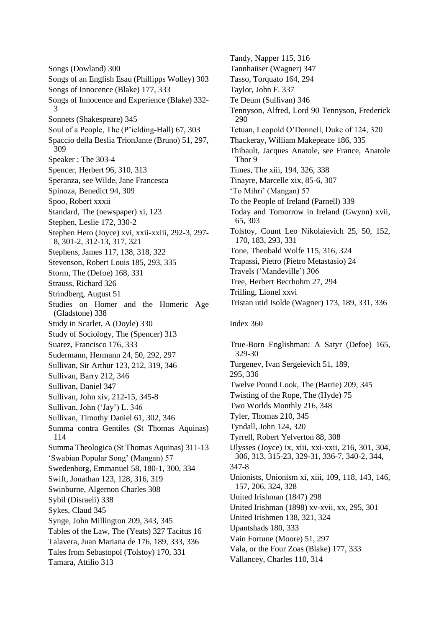Songs (Dowland) 300 Songs of an English Esau (Phillipps Wolley) 303 Songs of Innocence (Blake) 177, 333 Songs of Innocence and Experience (Blake) 332- 3 Sonnets (Shakespeare) 345 Soul of a People, The (P'ielding-Hall) 67, 303 Spaccio della Beslia TrionJante (Bruno) 51, 297, 309 Speaker ; The 303-4 Spencer, Herbert 96, 310, 313 Speranza, see Wilde, Jane Francesca Spinoza, Benedict 94, 309 Spoo, Robert xxxii Standard, The (newspaper) xi, 123 Stephen, Leslie 172, 330-2 Stephen Hero (Joyce) xvi, xxii-xxiii, 292-3, 297- 8, 301-2, 312-13, 317, 321 Stephens, James 117, 138, 318, 322 Stevenson, Robert Louis 185, 293, 335 Storm, The (Defoe) 168, 331 Strauss, Richard 326 Strindberg, August 51 Studies on Homer and the Homeric Age (Gladstone) 338 Study in Scarlet, A (Doyle) 330 Study of Sociology, The (Spencer) 313 Suarez, Francisco 176, 333 Sudermann, Hermann 24, 50, 292, 297 Sullivan, Sir Arthur 123, 212, 319, 346 Sullivan, Barry 212, 346 Sullivan, Daniel 347 Sullivan, John xiv, 212-15, 345-8 Sullivan, John ('Jay') L. 346 Sullivan, Timothy Daniel 61, 302, 346 Summa contra Gentiles (St Thomas Aquinas) 114 Summa Theologica (St Thomas Aquinas) 311-13 'Swabian Popular Song' (Mangan) 57 Swedenborg, Emmanuel 58, 180-1, 300, 334 Swift, Jonathan 123, 128, 316, 319 Swinburne, Algernon Charles 308 Sybil (Disraeli) 338 Sykes, Claud 345 Synge, John Millington 209, 343, 345 Tables of the Law, The (Yeats) 327 Tacitus 16 Talavera, Juan Mariana de 176, 189, 333, 336 Tales from Sebastopol (Tolstoy) 170, 331 Tamara, Attilio 313

Tandy, Napper 115, 316 Tannhaüser (Wagner) 347 Tasso, Torquato 164, 294 Taylor, John F. 337 Te Deum (Sullivan) 346 Tennyson, Alfred, Lord 90 Tennyson, Frederick 290 Tetuan, Leopold O'Donnell, Duke of 124, 320 Thackeray, William Makepeace 186, 335 Thibault, Jacques Anatole, see France, Anatole Thor 9 Times, The xiii, 194, 326, 338 Tinayre, Marcelle xix, 85-6, 307 'To Mihri' (Mangan) 57 To the People of Ireland (Parnell) 339 Today and Tomorrow in Ireland (Gwynn) xvii, 65, 303 Tolstoy, Count Leo Nikolaievich 25, 50, 152, 170, 183, 293, 331 Tone, Theobald Wolfe 115, 316, 324 Trapassi, Pietro (Pietro Metastasio) 24 Travels ('Mandeville') 306 Tree, Herbert Becrhohm 27, 294 Trilling, Lionel xxvi Tristan utid Isolde (Wagner) 173, 189, 331, 336

# Index 360

True-Born Englishman: A Satyr (Defoe) 165, 329-30 Turgenev, Ivan Sergeievich 51, 189, 295, 336 Twelve Pound Look, The (Barrie) 209, 345 Twisting of the Rope, The (Hyde) 75 Two Worlds Monthly 216, 348 Tyler, Thomas 210, 345 Tyndall, John 124, 320 Tyrrell, Robert Yelverton 88, 308 Ulysses (Joyce) ix, xiii, xxi-xxii, 216, 301, 304, 306, 313, 315-23, 329-31, 336-7, 340-2, 344, 347-8 Unionists, Unionism xi, xiii, 109, 118, 143, 146, 157, 206, 324, 328 United Irishman (1847) 298 United Irishman (1898) xv-xvii, xx, 295, 301 United Irishmen 138, 321, 324 Upantshads 180, 333 Vain Fortune (Moore) 51, 297 Vala, or the Four Zoas (Blake) 177, 333 Vallancey, Charles 110, 314